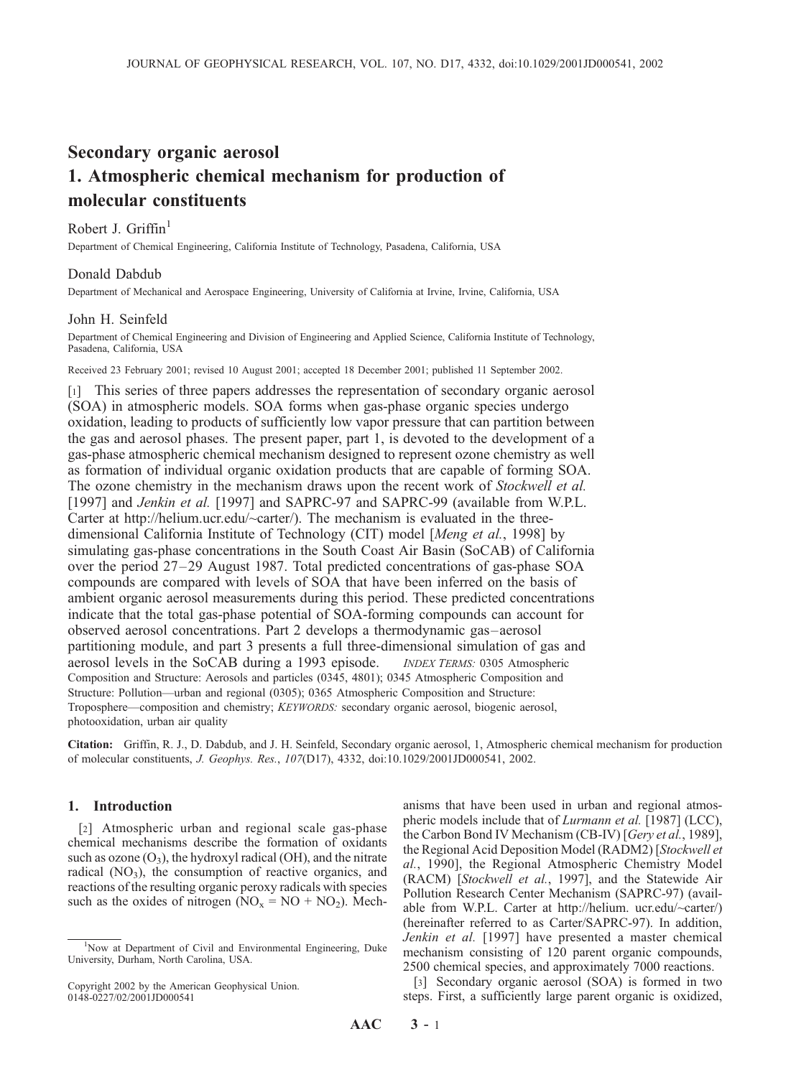# Secondary organic aerosol 1. Atmospheric chemical mechanism for production of molecular constituents

## Robert J. Griffin<sup>1</sup>

Department of Chemical Engineering, California Institute of Technology, Pasadena, California, USA

## Donald Dabdub

Department of Mechanical and Aerospace Engineering, University of California at Irvine, Irvine, California, USA

#### John H. Seinfeld

Department of Chemical Engineering and Division of Engineering and Applied Science, California Institute of Technology, Pasadena, California, USA

Received 23 February 2001; revised 10 August 2001; accepted 18 December 2001; published 11 September 2002.

[1] This series of three papers addresses the representation of secondary organic aerosol (SOA) in atmospheric models. SOA forms when gas-phase organic species undergo oxidation, leading to products of sufficiently low vapor pressure that can partition between the gas and aerosol phases. The present paper, part 1, is devoted to the development of a gas-phase atmospheric chemical mechanism designed to represent ozone chemistry as well as formation of individual organic oxidation products that are capable of forming SOA. The ozone chemistry in the mechanism draws upon the recent work of *Stockwell et al.* [1997] and Jenkin et al. [1997] and SAPRC-97 and SAPRC-99 (available from W.P.L. Carter at http://helium.ucr.edu/~carter/). The mechanism is evaluated in the threedimensional California Institute of Technology (CIT) model [Meng et al., 1998] by simulating gas-phase concentrations in the South Coast Air Basin (SoCAB) of California over the period 27–29 August 1987. Total predicted concentrations of gas-phase SOA compounds are compared with levels of SOA that have been inferred on the basis of ambient organic aerosol measurements during this period. These predicted concentrations indicate that the total gas-phase potential of SOA-forming compounds can account for observed aerosol concentrations. Part 2 develops a thermodynamic gas–aerosol partitioning module, and part 3 presents a full three-dimensional simulation of gas and aerosol levels in the SoCAB during a 1993 episode. INDEX TERMS: 0305 Atmospheric Composition and Structure: Aerosols and particles (0345, 4801); 0345 Atmospheric Composition and Structure: Pollution—urban and regional (0305); 0365 Atmospheric Composition and Structure: Troposphere—composition and chemistry; KEYWORDS: secondary organic aerosol, biogenic aerosol, photooxidation, urban air quality

Citation: Griffin, R. J., D. Dabdub, and J. H. Seinfeld, Secondary organic aerosol, 1, Atmospheric chemical mechanism for production of molecular constituents, J. Geophys. Res., 107(D17), 4332, doi:10.1029/2001JD000541, 2002.

## 1. Introduction

[2] Atmospheric urban and regional scale gas-phase chemical mechanisms describe the formation of oxidants such as ozone  $(O_3)$ , the hydroxyl radical (OH), and the nitrate radical  $(NO_3)$ , the consumption of reactive organics, and reactions of the resulting organic peroxy radicals with species such as the oxides of nitrogen  $(NO_x = NO + NO_2)$ . Mech-

anisms that have been used in urban and regional atmospheric models include that of *Lurmann et al.* [1987] (LCC), the Carbon Bond IV Mechanism (CB-IV) [Gery et al., 1989], the Regional Acid Deposition Model (RADM2) [Stockwell et al., 1990], the Regional Atmospheric Chemistry Model (RACM) [Stockwell et al., 1997], and the Statewide Air Pollution Research Center Mechanism (SAPRC-97) (available from W.P.L. Carter at http://helium. ucr.edu/~carter/) (hereinafter referred to as Carter/SAPRC-97). In addition, Jenkin et al. [1997] have presented a master chemical mechanism consisting of 120 parent organic compounds, 2500 chemical species, and approximately 7000 reactions.

[3] Secondary organic aerosol (SOA) is formed in two steps. First, a sufficiently large parent organic is oxidized,

<sup>&</sup>lt;sup>1</sup>Now at Department of Civil and Environmental Engineering, Duke University, Durham, North Carolina, USA.

Copyright 2002 by the American Geophysical Union. 0148-0227/02/2001JD000541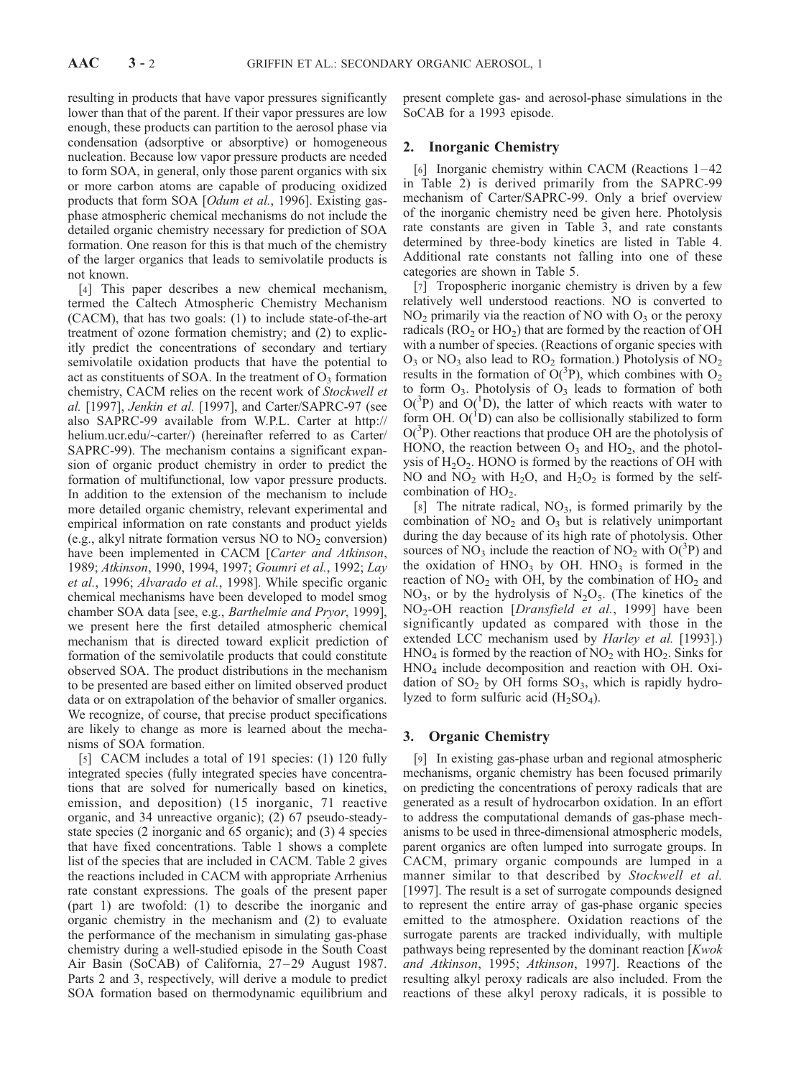resulting in products that have vapor pressures significantly lower than that of the parent. If their vapor pressures are low enough, these products can partition to the aerosol phase via condensation (adsorptive or absorptive) or homogeneous nucleation. Because low vapor pressure products are needed to form SOA, in general, only those parent organics with six or more carbon atoms are capable of producing oxidized products that form SOA [Odum et al., 1996]. Existing gasphase atmospheric chemical mechanisms do not include the detailed organic chemistry necessary for prediction of SOA formation. One reason for this is that much of the chemistry of the larger organics that leads to semivolatile products is not known.

[4] This paper describes a new chemical mechanism, termed the Caltech Atmospheric Chemistry Mechanism (CACM), that has two goals: (1) to include state-of-the-art treatment of ozone formation chemistry; and (2) to explicitly predict the concentrations of secondary and tertiary semivolatile oxidation products that have the potential to act as constituents of SOA. In the treatment of  $O_3$  formation chemistry, CACM relies on the recent work of Stockwell et al. [1997], Jenkin et al. [1997], and Carter/SAPRC-97 (see also SAPRC-99 available from W.P.L. Carter at http:// helium.ucr.edu/~carter/) (hereinafter referred to as Carter/ SAPRC-99). The mechanism contains a significant expansion of organic product chemistry in order to predict the formation of multifunctional, low vapor pressure products. In addition to the extension of the mechanism to include more detailed organic chemistry, relevant experimental and empirical information on rate constants and product yields (e.g., alkyl nitrate formation versus  $NO$  to  $NO<sub>2</sub>$  conversion) have been implemented in CACM [Carter and Atkinson, 1989; Atkinson, 1990, 1994, 1997; Goumri et al., 1992; Lay et al., 1996; Alvarado et al., 1998]. While specific organic chemical mechanisms have been developed to model smog chamber SOA data [see, e.g., Barthelmie and Pryor, 1999], we present here the first detailed atmospheric chemical mechanism that is directed toward explicit prediction of formation of the semivolatile products that could constitute observed SOA. The product distributions in the mechanism to be presented are based either on limited observed product data or on extrapolation of the behavior of smaller organics. We recognize, of course, that precise product specifications are likely to change as more is learned about the mechanisms of SOA formation.

[5] CACM includes a total of 191 species: (1) 120 fully integrated species (fully integrated species have concentrations that are solved for numerically based on kinetics, emission, and deposition) (15 inorganic, 71 reactive organic, and 34 unreactive organic); (2) 67 pseudo-steadystate species (2 inorganic and 65 organic); and (3) 4 species that have fixed concentrations. Table 1 shows a complete list of the species that are included in CACM. Table 2 gives the reactions included in CACM with appropriate Arrhenius rate constant expressions. The goals of the present paper (part 1) are twofold: (1) to describe the inorganic and organic chemistry in the mechanism and (2) to evaluate the performance of the mechanism in simulating gas-phase chemistry during a well-studied episode in the South Coast Air Basin (SoCAB) of California, 27–29 August 1987. Parts 2 and 3, respectively, will derive a module to predict SOA formation based on thermodynamic equilibrium and present complete gas- and aerosol-phase simulations in the SoCAB for a 1993 episode.

## 2. Inorganic Chemistry

[6] Inorganic chemistry within CACM (Reactions 1-42 in Table 2) is derived primarily from the SAPRC-99 mechanism of Carter/SAPRC-99. Only a brief overview of the inorganic chemistry need be given here. Photolysis rate constants are given in Table 3, and rate constants determined by three-body kinetics are listed in Table 4. Additional rate constants not falling into one of these categories are shown in Table 5.

[7] Tropospheric inorganic chemistry is driven by a few relatively well understood reactions. NO is converted to  $NO<sub>2</sub>$  primarily via the reaction of NO with  $O<sub>3</sub>$  or the peroxy radicals ( $RO<sub>2</sub>$  or  $HO<sub>2</sub>$ ) that are formed by the reaction of OH with a number of species. (Reactions of organic species with  $O_3$  or NO<sub>3</sub> also lead to RO<sub>2</sub> formation.) Photolysis of NO<sub>2</sub> results in the formation of  $\tilde{O}(^{3}P)$ , which combines with  $O_{2}$ to form  $O_3$ . Photolysis of  $O_3$  leads to formation of both  $O(^3P)$  and  $O(^1D)$ , the latter of which reacts with water to form OH.  $O(^{1}D)$  can also be collisionally stabilized to form O(<sup>3</sup>P). Other reactions that produce OH are the photolysis of HONO, the reaction between  $O_3$  and HO<sub>2</sub>, and the photolysis of  $H_2O_2$ . HONO is formed by the reactions of OH with NO and  $NO<sub>2</sub>$  with  $H<sub>2</sub>O<sub>2</sub>$ , and  $H<sub>2</sub>O<sub>2</sub>$  is formed by the selfcombination of  $HO<sub>2</sub>$ .

[8] The nitrate radical,  $NO<sub>3</sub>$ , is formed primarily by the combination of  $NO<sub>2</sub>$  and  $O<sub>3</sub>$  but is relatively unimportant during the day because of its high rate of photolysis. Other sources of NO<sub>3</sub> include the reaction of NO<sub>2</sub> with O(<sup>3</sup>P) and the oxidation of  $HNO<sub>3</sub>$  by OH.  $HNO<sub>3</sub>$  is formed in the reaction of  $NO<sub>2</sub>$  with OH, by the combination of  $HO<sub>2</sub>$  and  $NO<sub>3</sub>$ , or by the hydrolysis of  $N<sub>2</sub>O<sub>5</sub>$ . (The kinetics of the NO<sub>2</sub>-OH reaction [*Dransfield et al.*, 1999] have been significantly updated as compared with those in the extended LCC mechanism used by *Harley et al.* [1993].)  $HNO<sub>4</sub>$  is formed by the reaction of  $NO<sub>2</sub>$  with  $HO<sub>2</sub>$ . Sinks for HNO4 include decomposition and reaction with OH. Oxidation of  $SO_2$  by OH forms  $SO_3$ , which is rapidly hydrolyzed to form sulfuric acid  $(H_2SO_4)$ .

## 3. Organic Chemistry

[9] In existing gas-phase urban and regional atmospheric mechanisms, organic chemistry has been focused primarily on predicting the concentrations of peroxy radicals that are generated as a result of hydrocarbon oxidation. In an effort to address the computational demands of gas-phase mechanisms to be used in three-dimensional atmospheric models, parent organics are often lumped into surrogate groups. In CACM, primary organic compounds are lumped in a manner similar to that described by Stockwell et al. [1997]. The result is a set of surrogate compounds designed to represent the entire array of gas-phase organic species emitted to the atmosphere. Oxidation reactions of the surrogate parents are tracked individually, with multiple pathways being represented by the dominant reaction [Kwok and Atkinson, 1995; Atkinson, 1997]. Reactions of the resulting alkyl peroxy radicals are also included. From the reactions of these alkyl peroxy radicals, it is possible to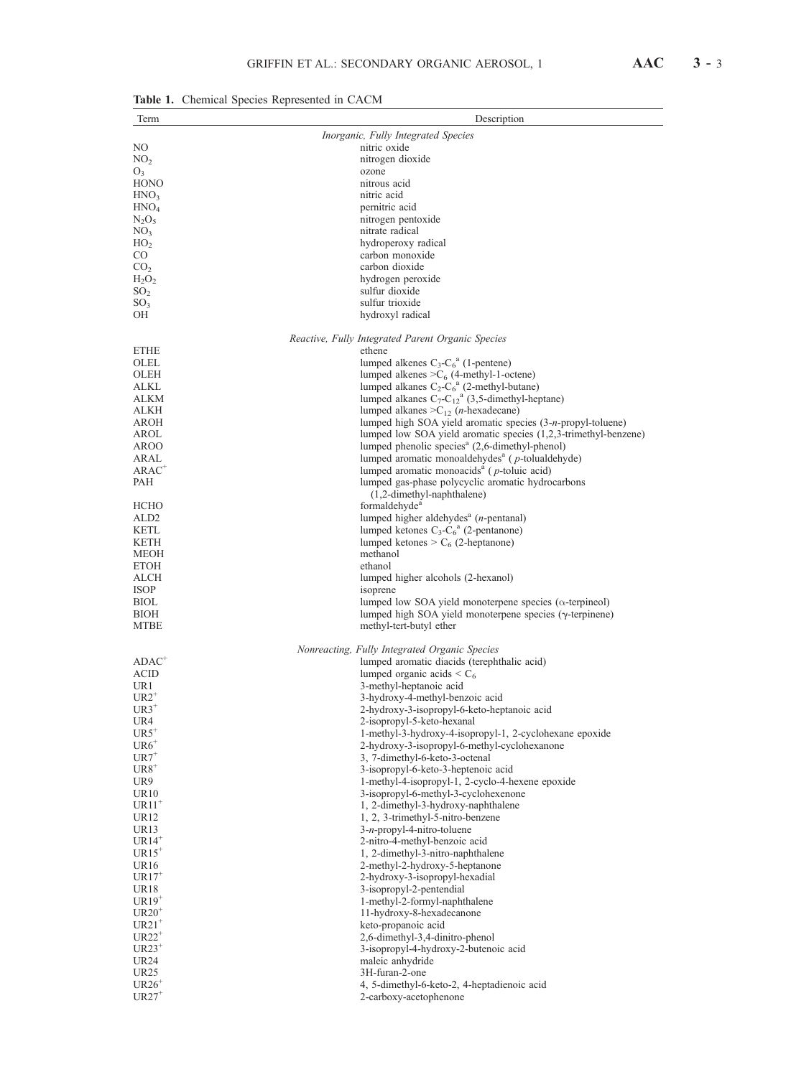| enemient opeeres reepresented in erremi<br>Term | Description                                                                                                    |
|-------------------------------------------------|----------------------------------------------------------------------------------------------------------------|
|                                                 | Inorganic, Fully Integrated Species                                                                            |
| NΟ                                              | nitric oxide                                                                                                   |
| NO <sub>2</sub>                                 | nitrogen dioxide                                                                                               |
| $O_3$                                           | ozone                                                                                                          |
| HONO                                            | nitrous acid                                                                                                   |
| HNO <sub>3</sub>                                | nitric acid                                                                                                    |
| $\rm HNO_4$                                     | pernitric acid                                                                                                 |
| $\rm N_2O_5$                                    | nitrogen pentoxide                                                                                             |
| NO <sub>3</sub><br>HO <sub>2</sub>              | nitrate radical<br>hydroperoxy radical                                                                         |
| CO                                              | carbon monoxide                                                                                                |
| CO <sub>2</sub>                                 | carbon dioxide                                                                                                 |
| $H_2O_2$                                        | hydrogen peroxide                                                                                              |
| SO <sub>2</sub>                                 | sulfur dioxide                                                                                                 |
| SO <sub>3</sub>                                 | sulfur trioxide                                                                                                |
| OН                                              | hydroxyl radical                                                                                               |
|                                                 | Reactive, Fully Integrated Parent Organic Species                                                              |
| ETHE                                            | ethene                                                                                                         |
| OLEL                                            | lumped alkenes $C_3-C_6^a$ (1-pentene)                                                                         |
| OLEH                                            | lumped alkenes $>C_6$ (4-methyl-1-octene)                                                                      |
| ALKL                                            | lumped alkanes $C_2-C_6^a$ (2-methyl-butane)                                                                   |
| ALKM                                            | lumped alkanes $C_7-C_{12}^a$ (3,5-dimethyl-heptane)                                                           |
| ALKH<br>AROH                                    | lumped alkanes $>C_1$ , ( <i>n</i> -hexadecane)<br>lumped high SOA yield aromatic species (3-n-propyl-toluene) |
| AROL                                            | lumped low SOA yield aromatic species (1,2,3-trimethyl-benzene)                                                |
| AROO                                            | lumped phenolic species <sup>a</sup> (2,6-dimethyl-phenol)                                                     |
| ARAL                                            | lumped aromatic monoaldehydes <sup>a</sup> (p-tolualdehyde)                                                    |
| $\mathsf{ARAC}^+$                               | lumped aromatic monoacids <sup>a</sup> ( $p$ -toluic acid)                                                     |
| PAH                                             | lumped gas-phase polycyclic aromatic hydrocarbons                                                              |
|                                                 | (1,2-dimethyl-naphthalene)                                                                                     |
| НСНО                                            | formaldehyde <sup>a</sup><br>lumped higher aldehydes <sup>a</sup> (n-pentanal)                                 |
| ALD2<br>KETL                                    | lumped ketones $C_3-C_6^a$ (2-pentanone)                                                                       |
| KETH                                            | lumped ketones > $C_6$ (2-heptanone)                                                                           |
| MEOH                                            | methanol                                                                                                       |
| ЕТОН                                            | ethanol                                                                                                        |
| ALCH                                            | lumped higher alcohols (2-hexanol)                                                                             |
| ISOP                                            | isoprene                                                                                                       |
| BIOL                                            | lumped low SOA yield monoterpene species ( $\alpha$ -terpineol)                                                |
| BIOH<br><b>MTBE</b>                             | lumped high SOA yield monoterpene species $(\gamma$ -terpinene)<br>methyl-tert-butyl ether                     |
|                                                 |                                                                                                                |
|                                                 | Nonreacting, Fully Integrated Organic Species                                                                  |
| $\mathrm{ADAC}^+$                               | lumped aromatic diacids (terephthalic acid)                                                                    |
| ACID                                            | lumped organic acids $\lt C_6$                                                                                 |
| UR1<br>$\mathrm{UR2}^+$                         | 3-methyl-heptanoic acid                                                                                        |
| $UR3^+$                                         | 3-hydroxy-4-methyl-benzoic acid<br>2-hydroxy-3-isopropyl-6-keto-heptanoic acid                                 |
| UR4                                             | 2-isopropyl-5-keto-hexanal                                                                                     |
| $UR5^+$                                         | 1-methyl-3-hydroxy-4-isopropyl-1, 2-cyclohexane epoxide                                                        |
| $UR6^+$                                         | 2-hydroxy-3-isopropyl-6-methyl-cyclohexanone                                                                   |
| $\mathrm{UR}7^*$                                | 3, 7-dimethyl-6-keto-3-octenal                                                                                 |
| $UR8^+$                                         | 3-isopropyl-6-keto-3-heptenoic acid                                                                            |
| UR9                                             | 1-methyl-4-isopropyl-1, 2-cyclo-4-hexene epoxide<br>3-isopropyl-6-methyl-3-cyclohexenone                       |
| UR10<br>$\mathrm{URI1}^+$                       | 1, 2-dimethyl-3-hydroxy-naphthalene                                                                            |
| UR12                                            | 1, 2, 3-trimethyl-5-nitro-benzene                                                                              |
| UR13                                            | $3-n$ -propyl-4-nitro-toluene                                                                                  |
| $UR14^+$                                        | 2-nitro-4-methyl-benzoic acid                                                                                  |
| $UR15^+$                                        | 1, 2-dimethyl-3-nitro-naphthalene                                                                              |
| UR16                                            | 2-methyl-2-hydroxy-5-heptanone                                                                                 |
| $UR17^+$                                        | 2-hydroxy-3-isopropyl-hexadial                                                                                 |
| UR18                                            | 3-isopropyl-2-pentendial                                                                                       |
| $UR19^+$<br>$UR20^+$                            | 1-methyl-2-formyl-naphthalene<br>11-hydroxy-8-hexadecanone                                                     |
| $UR21^+$                                        | keto-propanoic acid                                                                                            |
| $UR22^+$                                        | 2,6-dimethyl-3,4-dinitro-phenol                                                                                |
| $UR23^+$                                        | 3-isopropyl-4-hydroxy-2-butenoic acid                                                                          |
| UR24                                            | maleic anhydride                                                                                               |
| UR25                                            | 3H-furan-2-one                                                                                                 |
| $UR26+$                                         | 4, 5-dimethyl-6-keto-2, 4-heptadienoic acid                                                                    |
| $UR27$ <sup>+</sup>                             | 2-carboxy-acetophenone                                                                                         |

Table 1. Chemical Species Represented in CACM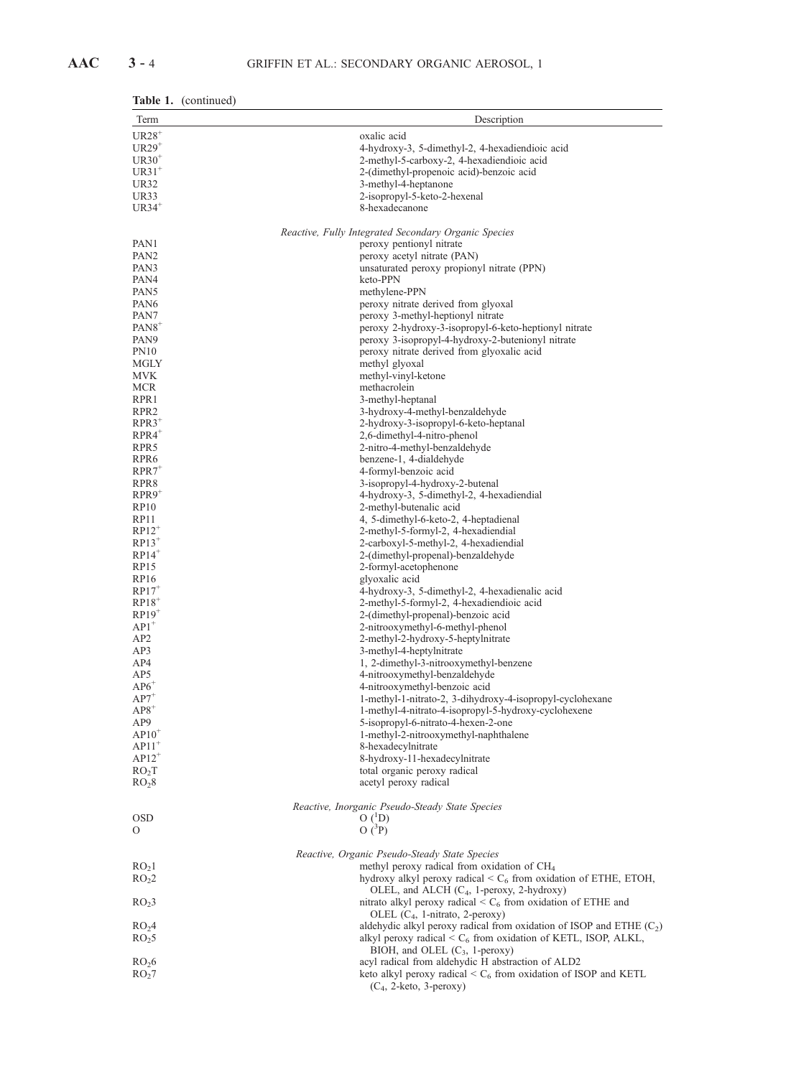| <b>Table 1.</b> (continued) |  |
|-----------------------------|--|
|-----------------------------|--|

| Term                                    | Description                                                                                                                                   |
|-----------------------------------------|-----------------------------------------------------------------------------------------------------------------------------------------------|
| $UR28$ <sup>+</sup>                     | oxalic acid                                                                                                                                   |
| $UR29+$                                 | 4-hydroxy-3, 5-dimethyl-2, 4-hexadiendioic acid                                                                                               |
| $UR30^+$                                | 2-methyl-5-carboxy-2, 4-hexadiendioic acid                                                                                                    |
| $UR31^+$                                | 2-(dimethyl-propenoic acid)-benzoic acid                                                                                                      |
| <b>UR32</b>                             | 3-methyl-4-heptanone                                                                                                                          |
| UR33                                    | 2-isopropyl-5-keto-2-hexenal                                                                                                                  |
| $UR34$ <sup>+</sup>                     | 8-hexadecanone                                                                                                                                |
|                                         | Reactive, Fully Integrated Secondary Organic Species                                                                                          |
| PAN1                                    | peroxy pentionyl nitrate                                                                                                                      |
| PAN <sub>2</sub>                        | peroxy acetyl nitrate (PAN)                                                                                                                   |
| PAN3                                    | unsaturated peroxy propionyl nitrate (PPN)                                                                                                    |
| PAN4                                    | keto-PPN                                                                                                                                      |
| PAN <sub>5</sub>                        | methylene-PPN                                                                                                                                 |
| PAN <sub>6</sub>                        | peroxy nitrate derived from glyoxal                                                                                                           |
| PAN7                                    | peroxy 3-methyl-heptionyl nitrate                                                                                                             |
| $PAN8$ <sup>+</sup><br>PAN9             | peroxy 2-hydroxy-3-isopropyl-6-keto-heptionyl nitrate<br>peroxy 3-isopropyl-4-hydroxy-2-butenionyl nitrate                                    |
| PN <sub>10</sub>                        | peroxy nitrate derived from glyoxalic acid                                                                                                    |
| MGLY                                    | methyl glyoxal                                                                                                                                |
| <b>MVK</b>                              | methyl-vinyl-ketone                                                                                                                           |
| <b>MCR</b>                              | methacrolein                                                                                                                                  |
| RPR1                                    | 3-methyl-heptanal                                                                                                                             |
| RPR <sub>2</sub>                        | 3-hydroxy-4-methyl-benzaldehyde                                                                                                               |
| $RPR3^+$                                | 2-hydroxy-3-isopropyl-6-keto-heptanal                                                                                                         |
| $RPR4$ <sup>+</sup>                     | 2,6-dimethyl-4-nitro-phenol                                                                                                                   |
| RPR <sub>5</sub>                        | 2-nitro-4-methyl-benzaldehyde                                                                                                                 |
| RPR <sub>6</sub><br>$RPR7$ <sup>+</sup> | benzene-1, 4-dialdehyde<br>4-formyl-benzoic acid                                                                                              |
| RPR8                                    | 3-isopropyl-4-hydroxy-2-butenal                                                                                                               |
| $RPR9$ <sup>+</sup>                     | 4-hydroxy-3, 5-dimethyl-2, 4-hexadiendial                                                                                                     |
| RP10                                    | 2-methyl-butenalic acid                                                                                                                       |
| RP <sub>11</sub>                        | 4, 5-dimethyl-6-keto-2, 4-heptadienal                                                                                                         |
| $RP12^+$                                | 2-methyl-5-formyl-2, 4-hexadiendial                                                                                                           |
| $RP13$ <sup>+</sup>                     | 2-carboxyl-5-methyl-2, 4-hexadiendial                                                                                                         |
| $RP14^+$                                | 2-(dimethyl-propenal)-benzaldehyde                                                                                                            |
| <b>RP15</b><br>RP16                     | 2-formyl-acetophenone<br>glyoxalic acid                                                                                                       |
| $RP17$ <sup>+</sup>                     | 4-hydroxy-3, 5-dimethyl-2, 4-hexadienalic acid                                                                                                |
| $RP18$ <sup>+</sup>                     | 2-methyl-5-formyl-2, 4-hexadiendioic acid                                                                                                     |
| $RP19$ <sup>+</sup>                     | 2-(dimethyl-propenal)-benzoic acid                                                                                                            |
| $AP1^+$                                 | 2-nitrooxymethyl-6-methyl-phenol                                                                                                              |
| AP <sub>2</sub>                         | 2-methyl-2-hydroxy-5-heptylnitrate                                                                                                            |
| AP3                                     | 3-methyl-4-heptylnitrate                                                                                                                      |
| AP4                                     | 1, 2-dimethyl-3-nitrooxymethyl-benzene                                                                                                        |
| AP5<br>$AP6^+$                          | 4-nitrooxymethyl-benzaldehyde<br>4-nitrooxymethyl-benzoic acid                                                                                |
| $AP7$ <sup>+</sup>                      | 1-methyl-1-nitrato-2, 3-dihydroxy-4-isopropyl-cyclohexane                                                                                     |
| $AP8^+$                                 | 1-methyl-4-nitrato-4-isopropyl-5-hydroxy-cyclohexene                                                                                          |
| AP9                                     | 5-isopropyl-6-nitrato-4-hexen-2-one                                                                                                           |
| $AP10^+$                                | 1-methyl-2-nitrooxymethyl-naphthalene                                                                                                         |
| $AP11$ <sup>+</sup>                     | 8-hexadecylnitrate                                                                                                                            |
| $AP12^+$                                | 8-hydroxy-11-hexadecylnitrate                                                                                                                 |
| RO <sub>2</sub> T                       | total organic peroxy radical                                                                                                                  |
| RO <sub>2</sub> 8                       | acetyl peroxy radical                                                                                                                         |
|                                         | Reactive, Inorganic Pseudo-Steady State Species                                                                                               |
| <b>OSD</b>                              | $O(^1D)$                                                                                                                                      |
| 0                                       | $O(^{3}P)$                                                                                                                                    |
|                                         | Reactive, Organic Pseudo-Steady State Species                                                                                                 |
| RO <sub>2</sub> 1                       | methyl peroxy radical from oxidation of $CH4$                                                                                                 |
| RO <sub>2</sub> 2                       | hydroxy alkyl peroxy radical $\leq C_6$ from oxidation of ETHE, ETOH,                                                                         |
|                                         | OLEL, and ALCH $(C_4, 1$ -peroxy, 2-hydroxy)                                                                                                  |
| RO <sub>2</sub> 3                       | nitrato alkyl peroxy radical $\leq C_6$ from oxidation of ETHE and                                                                            |
|                                         | OLEL $(C_4, 1$ -nitrato, 2-peroxy)                                                                                                            |
| RO <sub>2</sub> 4                       | aldehydic alkyl peroxy radical from oxidation of ISOP and ETHE $(C_2)$<br>alkyl peroxy radical $\leq C_6$ from oxidation of KETL, ISOP, ALKL, |
| RO <sub>2</sub> 5                       | BIOH, and OLEL $(C_3, 1$ -peroxy)                                                                                                             |
| RO <sub>2</sub> 6                       | acyl radical from aldehydic H abstraction of ALD2                                                                                             |
| RO <sub>2</sub> 7                       | keto alkyl peroxy radical $\leq C_6$ from oxidation of ISOP and KETL                                                                          |
|                                         | $(C_4, 2-keto, 3-peroxy)$                                                                                                                     |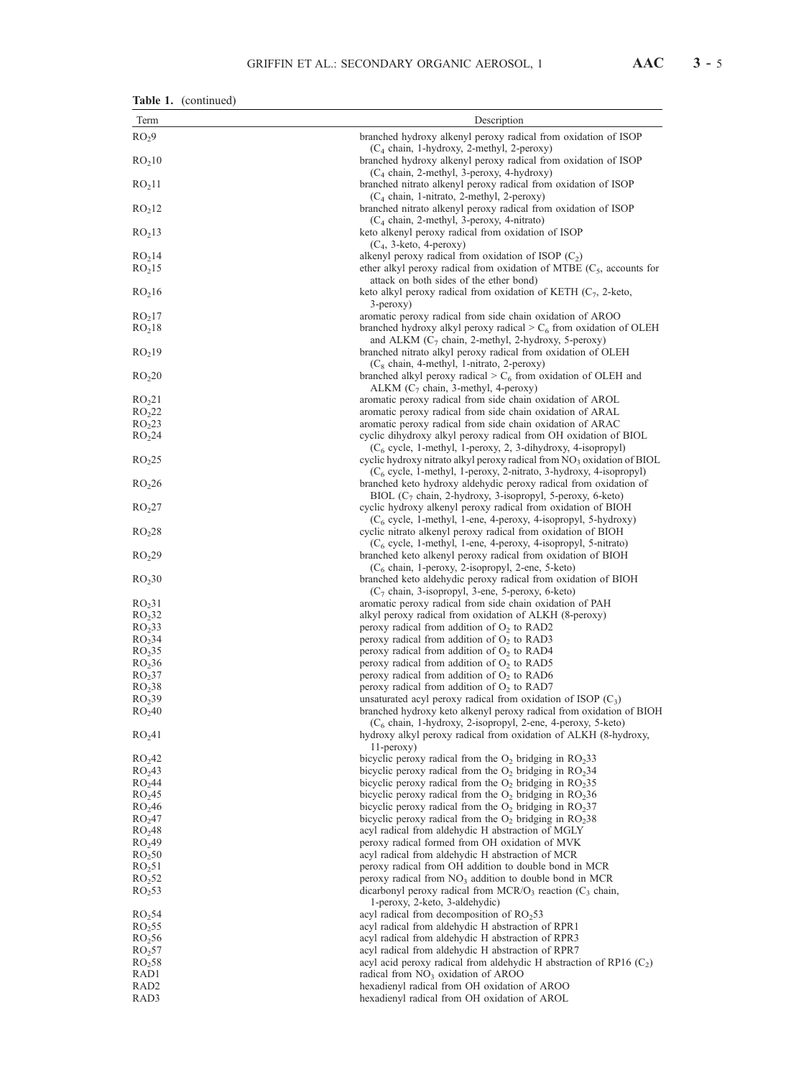| AAC |  | - 5 |
|-----|--|-----|
|-----|--|-----|

| Table 1. | (continued) |
|----------|-------------|
|----------|-------------|

| Term                                     | Description                                                                                                                                                                 |  |  |
|------------------------------------------|-----------------------------------------------------------------------------------------------------------------------------------------------------------------------------|--|--|
| RO <sub>2</sub> 9                        | branched hydroxy alkenyl peroxy radical from oxidation of ISOP                                                                                                              |  |  |
|                                          | $(C_4 \text{ chain}, 1\text{-hydroxy}, 2\text{-methyl}, 2\text{-peroxy})$                                                                                                   |  |  |
| RO <sub>2</sub> 10                       | branched hydroxy alkenyl peroxy radical from oxidation of ISOP                                                                                                              |  |  |
|                                          | $(C_4 \text{ chain}, 2\text{-methyl}, 3\text{-peroxy}, 4\text{-hydroxy})$                                                                                                   |  |  |
| RO <sub>2</sub> 11                       | branched nitrato alkenyl peroxy radical from oxidation of ISOP                                                                                                              |  |  |
|                                          | (C <sub>4</sub> chain, 1-nitrato, 2-methyl, 2-peroxy)                                                                                                                       |  |  |
| RO <sub>2</sub> 12                       | branched nitrato alkenyl peroxy radical from oxidation of ISOP<br>(C <sub>4</sub> chain, 2-methyl, 3-peroxy, 4-nitrato)                                                     |  |  |
| RO <sub>2</sub> 13                       | keto alkenyl peroxy radical from oxidation of ISOP                                                                                                                          |  |  |
|                                          | $(C_4, 3$ -keto, 4-peroxy)                                                                                                                                                  |  |  |
| RO <sub>2</sub> 14                       | alkenyl peroxy radical from oxidation of ISOP $(C_2)$                                                                                                                       |  |  |
| RO <sub>2</sub> 15                       | ether alkyl peroxy radical from oxidation of MTBE $(C_5,$ accounts for                                                                                                      |  |  |
|                                          | attack on both sides of the ether bond)                                                                                                                                     |  |  |
| RO <sub>2</sub> 16                       | keto alkyl peroxy radical from oxidation of KETH $(C_7, 2\text{-keto},$                                                                                                     |  |  |
| RO <sub>2</sub> 17                       | 3-peroxy)<br>aromatic peroxy radical from side chain oxidation of AROO                                                                                                      |  |  |
| RO <sub>2</sub> 18                       | branched hydroxy alkyl peroxy radical $>C_6$ from oxidation of OLEH                                                                                                         |  |  |
|                                          | and ALKM $(C_7$ chain, 2-methyl, 2-hydroxy, 5-peroxy)                                                                                                                       |  |  |
| RO <sub>2</sub> 19                       | branched nitrato alkyl peroxy radical from oxidation of OLEH                                                                                                                |  |  |
|                                          | (C <sub>8</sub> chain, 4-methyl, 1-nitrato, 2-peroxy)                                                                                                                       |  |  |
| RO <sub>2</sub> 20                       | branched alkyl peroxy radical $>C_6$ from oxidation of OLEH and                                                                                                             |  |  |
|                                          | ALKM $(C_7 \text{ chain}, 3\text{-methyl}, 4\text{-peroxy})$                                                                                                                |  |  |
| RO <sub>21</sub><br>RO <sub>2</sub> 22   | aromatic peroxy radical from side chain oxidation of AROL                                                                                                                   |  |  |
| RO <sub>2</sub> 23                       | aromatic peroxy radical from side chain oxidation of ARAL<br>aromatic peroxy radical from side chain oxidation of ARAC                                                      |  |  |
| RO <sub>2</sub> 24                       | cyclic dihydroxy alkyl peroxy radical from OH oxidation of BIOL                                                                                                             |  |  |
|                                          | $(C_6 \text{ cycle}, 1\text{-methyl}, 1\text{-peroxy}, 2, 3\text{-dihydroxy}, 4\text{-isopropyl})$                                                                          |  |  |
| RO <sub>2</sub> 25                       | cyclic hydroxy nitrato alkyl peroxy radical from $NO3$ oxidation of BIOL                                                                                                    |  |  |
|                                          | $(C_6 \text{ cycle}, 1\text{-methyl}, 1\text{-peroxy}, 2\text{-nitrato}, 3\text{-hydroxy}, 4\text{-isopropyl})$                                                             |  |  |
| RO <sub>2</sub> 26                       | branched keto hydroxy aldehydic peroxy radical from oxidation of                                                                                                            |  |  |
|                                          | BIOL $(C_7$ chain, 2-hydroxy, 3-isopropyl, 5-peroxy, 6-keto)                                                                                                                |  |  |
| RO <sub>2</sub> 27                       | cyclic hydroxy alkenyl peroxy radical from oxidation of BIOH<br>$(C_6 \text{ cycle}, 1\text{-methyl}, 1\text{-ene}, 4\text{-peroxy}, 4\text{-isopropyl}, 5\text{-hydroxy})$ |  |  |
| RO <sub>2</sub> 28                       | cyclic nitrato alkenyl peroxy radical from oxidation of BIOH                                                                                                                |  |  |
|                                          | $(C_6 \text{ cycle}, 1\text{-methyl}, 1\text{-ene}, 4\text{-peroxy}, 4\text{-isopropyl}, 5\text{-nitrato})$                                                                 |  |  |
| RO <sub>2</sub> 29                       | branched keto alkenyl peroxy radical from oxidation of BIOH                                                                                                                 |  |  |
|                                          | $(C_6 \text{ chain}, 1\text{-peroxy}, 2\text{-isopropyl}, 2\text{-ene}, 5\text{-keto})$                                                                                     |  |  |
| RO <sub>2</sub> 30                       | branched keto aldehydic peroxy radical from oxidation of BIOH                                                                                                               |  |  |
|                                          | $(C_7 \text{ chain}, 3\text{-isopropyl}, 3\text{-ene}, 5\text{-peroxy}, 6\text{-keto})$                                                                                     |  |  |
| RO <sub>2</sub> 31<br>RO <sub>2</sub> 32 | aromatic peroxy radical from side chain oxidation of PAH<br>alkyl peroxy radical from oxidation of ALKH (8-peroxy)                                                          |  |  |
| RO <sub>2</sub> 33                       | peroxy radical from addition of $O_2$ to RAD2                                                                                                                               |  |  |
| RO <sub>2</sub> 34                       | peroxy radical from addition of $O_2$ to RAD3                                                                                                                               |  |  |
| RO <sub>2</sub> 35                       | peroxy radical from addition of $O_2$ to RAD4                                                                                                                               |  |  |
| RO <sub>2</sub> 36                       | peroxy radical from addition of $O_2$ to RAD5                                                                                                                               |  |  |
| RO <sub>2</sub> 37                       | peroxy radical from addition of $O_2$ to RAD6                                                                                                                               |  |  |
| RO <sub>2</sub> 38                       | peroxy radical from addition of $O_2$ to RAD7                                                                                                                               |  |  |
| RO <sub>2</sub> 39<br>RO <sub>2</sub> 40 | unsaturated acyl peroxy radical from oxidation of ISOP $(C_3)$<br>branched hydroxy keto alkenyl peroxy radical from oxidation of BIOH                                       |  |  |
|                                          | (C <sub>6</sub> chain, 1-hydroxy, 2-isopropyl, 2-ene, 4-peroxy, 5-keto)                                                                                                     |  |  |
| RO <sub>2</sub> 41                       | hydroxy alkyl peroxy radical from oxidation of ALKH (8-hydroxy,                                                                                                             |  |  |
|                                          | 11-peroxy)                                                                                                                                                                  |  |  |
| RO <sub>2</sub> 42                       | bicyclic peroxy radical from the $O_2$ bridging in $RO233$                                                                                                                  |  |  |
| RO <sub>2</sub> 43                       | bicyclic peroxy radical from the $O_2$ bridging in $RO234$                                                                                                                  |  |  |
| RO <sub>2</sub> 44                       | bicyclic peroxy radical from the $O_2$ bridging in $RO_235$<br>bicyclic peroxy radical from the $O_2$ bridging in $RO_236$                                                  |  |  |
| RO <sub>2</sub> 45<br>RO <sub>2</sub> 46 | bicyclic peroxy radical from the $O_2$ bridging in $RO237$                                                                                                                  |  |  |
| RO <sub>2</sub> 47                       | bicyclic peroxy radical from the $O_2$ bridging in $RO_238$                                                                                                                 |  |  |
| RO <sub>2</sub> 48                       | acyl radical from aldehydic H abstraction of MGLY                                                                                                                           |  |  |
| RO <sub>2</sub> 49                       | peroxy radical formed from OH oxidation of MVK                                                                                                                              |  |  |
| RO <sub>2</sub> 50                       | acyl radical from aldehydic H abstraction of MCR                                                                                                                            |  |  |
| RO <sub>2</sub> 51                       | peroxy radical from OH addition to double bond in MCR                                                                                                                       |  |  |
| RO <sub>2</sub> 52                       | peroxy radical from $NO3$ addition to double bond in MCR                                                                                                                    |  |  |
| RO <sub>2</sub> 53                       | dicarbonyl peroxy radical from MCR/O <sub>3</sub> reaction $(C_3$ chain,                                                                                                    |  |  |
| RO <sub>2</sub> 54                       | 1-peroxy, 2-keto, 3-aldehydic)<br>acyl radical from decomposition of RO <sub>2</sub> 53                                                                                     |  |  |
| RO <sub>2</sub> 55                       | acyl radical from aldehydic H abstraction of RPR1                                                                                                                           |  |  |
| RO <sub>2</sub> 56                       | acyl radical from aldehydic H abstraction of RPR3                                                                                                                           |  |  |
| RO <sub>2</sub> 57                       | acyl radical from aldehydic H abstraction of RPR7                                                                                                                           |  |  |
| RO <sub>2</sub> 58                       | acyl acid peroxy radical from aldehydic H abstraction of RP16 $(C_2)$                                                                                                       |  |  |
| RAD1                                     | radical from $NO3$ oxidation of AROO                                                                                                                                        |  |  |
| RAD <sub>2</sub>                         | hexadienyl radical from OH oxidation of AROO                                                                                                                                |  |  |
| RAD3                                     | hexadienyl radical from OH oxidation of AROL                                                                                                                                |  |  |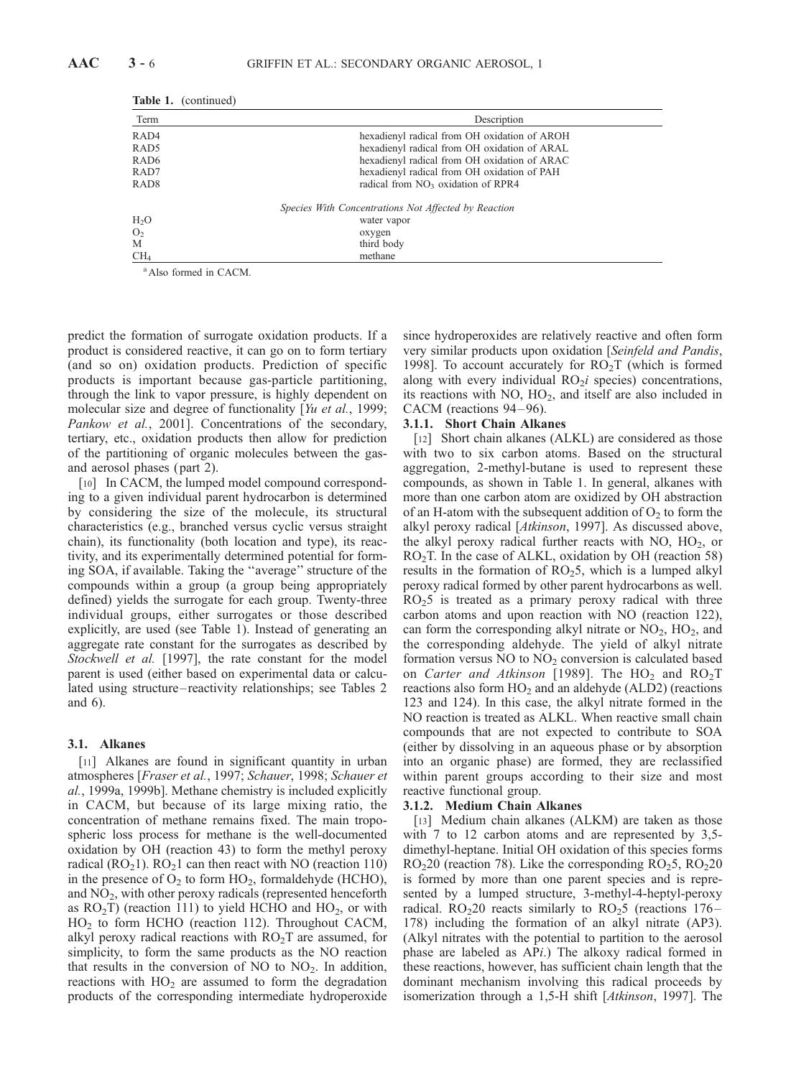| Term             | Description                                          |
|------------------|------------------------------------------------------|
| RAD <sub>4</sub> | hexadienyl radical from OH oxidation of AROH         |
| RAD <sub>5</sub> | hexadienyl radical from OH oxidation of ARAL         |
| RAD <sub>6</sub> | hexadienyl radical from OH oxidation of ARAC         |
| RAD7             | hexadienyl radical from OH oxidation of PAH          |
| RAD <sub>8</sub> | radical from NO <sub>3</sub> oxidation of RPR4       |
|                  | Species With Concentrations Not Affected by Reaction |
| $H_2O$           | water vapor                                          |
| O <sub>2</sub>   | oxygen                                               |
| M                | third body                                           |
| CH <sub>4</sub>  | methane                                              |

Table 1. (continued)

<sup>a</sup> Also formed in CACM.

predict the formation of surrogate oxidation products. If a product is considered reactive, it can go on to form tertiary (and so on) oxidation products. Prediction of specific products is important because gas-particle partitioning, through the link to vapor pressure, is highly dependent on molecular size and degree of functionality [Yu et al., 1999; Pankow et al., 2001]. Concentrations of the secondary, tertiary, etc., oxidation products then allow for prediction of the partitioning of organic molecules between the gasand aerosol phases (part 2).

[10] In CACM, the lumped model compound corresponding to a given individual parent hydrocarbon is determined by considering the size of the molecule, its structural characteristics (e.g., branched versus cyclic versus straight chain), its functionality (both location and type), its reactivity, and its experimentally determined potential for forming SOA, if available. Taking the ''average'' structure of the compounds within a group (a group being appropriately defined) yields the surrogate for each group. Twenty-three individual groups, either surrogates or those described explicitly, are used (see Table 1). Instead of generating an aggregate rate constant for the surrogates as described by Stockwell et al. [1997], the rate constant for the model parent is used (either based on experimental data or calculated using structure – reactivity relationships; see Tables 2 and 6).

## 3.1. Alkanes

[11] Alkanes are found in significant quantity in urban atmospheres [Fraser et al., 1997; Schauer, 1998; Schauer et al., 1999a, 1999b]. Methane chemistry is included explicitly in CACM, but because of its large mixing ratio, the concentration of methane remains fixed. The main tropospheric loss process for methane is the well-documented oxidation by OH (reaction 43) to form the methyl peroxy radical ( $RO<sub>2</sub>1$ ).  $RO<sub>2</sub>1$  can then react with NO (reaction 110) in the presence of  $O_2$  to form  $HO_2$ , formaldehyde (HCHO), and  $NO<sub>2</sub>$ , with other peroxy radicals (represented henceforth as  $RO<sub>2</sub>T$ ) (reaction 111) to yield HCHO and HO<sub>2</sub>, or with HO2 to form HCHO (reaction 112). Throughout CACM, alkyl peroxy radical reactions with  $RO<sub>2</sub>T$  are assumed, for simplicity, to form the same products as the NO reaction that results in the conversion of NO to  $NO<sub>2</sub>$ . In addition, reactions with  $HO<sub>2</sub>$  are assumed to form the degradation products of the corresponding intermediate hydroperoxide

since hydroperoxides are relatively reactive and often form very similar products upon oxidation [Seinfeld and Pandis, 1998]. To account accurately for  $RO<sub>2</sub>T$  (which is formed along with every individual  $RO<sub>2</sub>i$  species) concentrations, its reactions with  $NO$ ,  $HO<sub>2</sub>$ , and itself are also included in CACM (reactions 94–96).

## 3.1.1. Short Chain Alkanes

[12] Short chain alkanes (ALKL) are considered as those with two to six carbon atoms. Based on the structural aggregation, 2-methyl-butane is used to represent these compounds, as shown in Table 1. In general, alkanes with more than one carbon atom are oxidized by OH abstraction of an H-atom with the subsequent addition of  $O_2$  to form the alkyl peroxy radical [Atkinson, 1997]. As discussed above, the alkyl peroxy radical further reacts with NO,  $HO<sub>2</sub>$ , or  $RO<sub>2</sub>T$ . In the case of ALKL, oxidation by OH (reaction 58) results in the formation of  $RO<sub>2</sub>5$ , which is a lumped alkyl peroxy radical formed by other parent hydrocarbons as well.  $RO<sub>2</sub>5$  is treated as a primary peroxy radical with three carbon atoms and upon reaction with NO (reaction 122), can form the corresponding alkyl nitrate or  $NO<sub>2</sub>$ ,  $HO<sub>2</sub>$ , and the corresponding aldehyde. The yield of alkyl nitrate formation versus  $NO$  to  $NO<sub>2</sub>$  conversion is calculated based on Carter and Atkinson [1989]. The  $HO_2$  and  $RO_2T$ reactions also form  $HO<sub>2</sub>$  and an aldehyde (ALD2) (reactions 123 and 124). In this case, the alkyl nitrate formed in the NO reaction is treated as ALKL. When reactive small chain compounds that are not expected to contribute to SOA (either by dissolving in an aqueous phase or by absorption into an organic phase) are formed, they are reclassified within parent groups according to their size and most reactive functional group.

#### 3.1.2. Medium Chain Alkanes

[13] Medium chain alkanes (ALKM) are taken as those with 7 to 12 carbon atoms and are represented by 3,5 dimethyl-heptane. Initial OH oxidation of this species forms  $RO<sub>2</sub>20$  (reaction 78). Like the corresponding  $RO<sub>2</sub>5$ ,  $RO<sub>2</sub>20$ is formed by more than one parent species and is represented by a lumped structure, 3-methyl-4-heptyl-peroxy radical.  $RO<sub>2</sub>20$  reacts similarly to  $RO<sub>2</sub>5$  (reactions 176– 178) including the formation of an alkyl nitrate (AP3). (Alkyl nitrates with the potential to partition to the aerosol phase are labeled as APi.) The alkoxy radical formed in these reactions, however, has sufficient chain length that the dominant mechanism involving this radical proceeds by isomerization through a 1,5-H shift [Atkinson, 1997]. The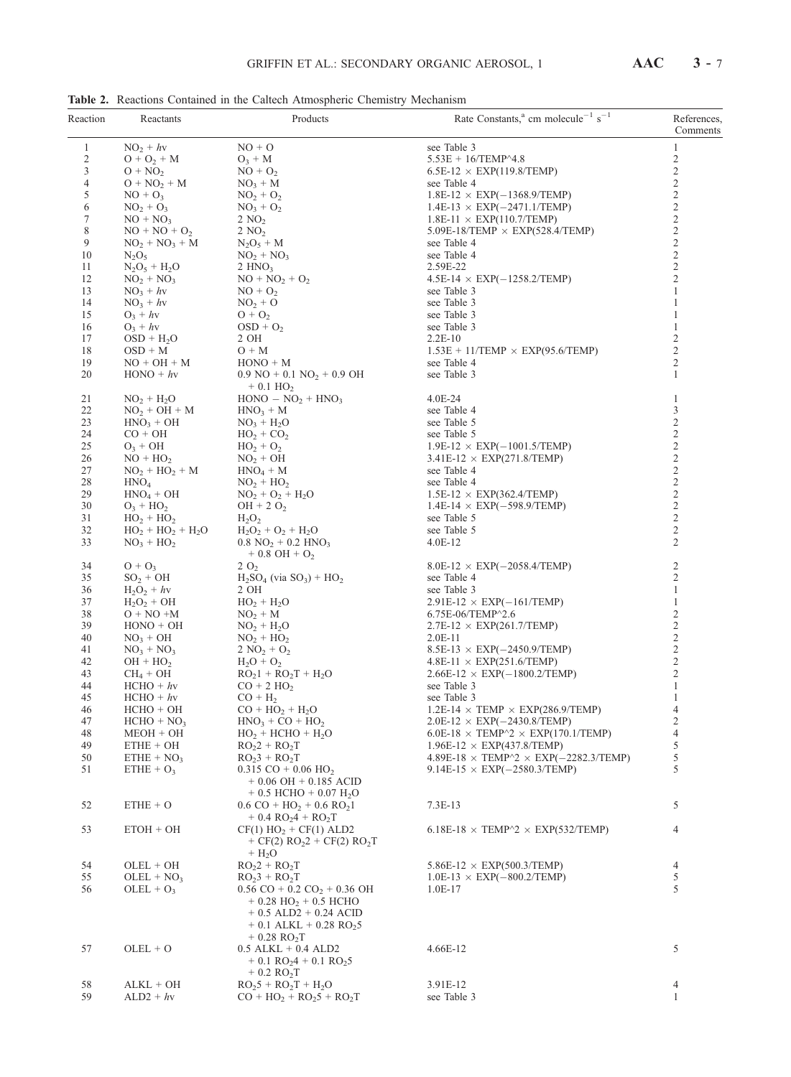Table 2. Reactions Contained in the Caltech Atmospheric Chemistry Mechanism

| Reaction       | Reactants                        | Products                                                                                                                                                                                             | Rate Constants, <sup>a</sup> cm molecule <sup>-1</sup> s <sup>-1</sup> | References,<br>Comments                    |
|----------------|----------------------------------|------------------------------------------------------------------------------------------------------------------------------------------------------------------------------------------------------|------------------------------------------------------------------------|--------------------------------------------|
| $\mathbf{1}$   | $NO2 + hy$                       | $NO + O$                                                                                                                                                                                             | see Table 3                                                            | 1                                          |
| $\overline{c}$ | $O + O_2 + M$                    | $O_3 + M$                                                                                                                                                                                            | $5.53E + 16$ /TEMP^4.8                                                 | $\overline{c}$                             |
| 3              | $O + NO2$                        | $NO + O2$                                                                                                                                                                                            | $6.5E-12 \times EXP(119.8/TEMP)$                                       | $\overline{\mathbf{c}}$                    |
| 4              | $O + NO2 + M$                    | $NO3 + M$                                                                                                                                                                                            | see Table 4                                                            | $\overline{\mathbf{c}}$                    |
| 5              | $NO + O_3$                       | $NO_2 + O_2$                                                                                                                                                                                         | $1.8E-12 \times EXP(-1368.9/TEMP)$                                     | $2222$<br>$222$<br>$22$                    |
| 6              | $NO2 + O3$                       | $NO3 + O2$                                                                                                                                                                                           | $1.4E-13 \times EXP(-2471.1/TEMP)$                                     |                                            |
| 7              | $NO + NO3$                       | $2\text{ NO}_2$                                                                                                                                                                                      | $1.8E-11 \times EXP(110.7/TEMP)$                                       |                                            |
| 8              | $NO + NO + O_2$                  | $2\text{ NO}_2$                                                                                                                                                                                      | $5.09E-18$ /TEMP $\times$ EXP(528.4/TEMP)                              |                                            |
| 9              | $NO_2 + NO_3 + M$                | $N_2O_5 + M$                                                                                                                                                                                         | see Table 4                                                            |                                            |
| 10             | $N_2O_5$                         | $NO2 + NO3$                                                                                                                                                                                          | see Table 4                                                            |                                            |
| 11<br>12       | $N_2O_5 + H_2O$<br>$NO_2 + NO_3$ | 2 HNO <sub>3</sub><br>$NO + NO2 + O2$                                                                                                                                                                | 2.59E-22<br>$4.5E-14 \times EXP(-1258.2/TEMP)$                         | $\overline{c}$                             |
| 13             | $NO_3 + hv$                      | $NO + O2$                                                                                                                                                                                            | see Table 3                                                            | $\mathbf{1}$                               |
| 14             | $NO_3 + hv$                      | $NO2 + O$                                                                                                                                                                                            | see Table 3                                                            | $\mathbf{1}$                               |
| 15             | $O_3 + hv$                       | $O + O_2$                                                                                                                                                                                            | see Table 3                                                            | 1                                          |
| 16             | $O_3 + hv$                       | $OSD + O2$                                                                                                                                                                                           | see Table 3                                                            | $\mathbf{1}$                               |
| 17             | $OSD + H2O$                      | 2 OH                                                                                                                                                                                                 | $2.2E-10$                                                              | $\sqrt{2}$                                 |
| 18             | $OSD + M$                        | $O + M$                                                                                                                                                                                              | $1.53E + 11/TEMP \times EXP(95.6/TEMP)$                                | $\boldsymbol{2}$                           |
| 19             | $NO + OH + M$                    | $HONO + M$                                                                                                                                                                                           | see Table 4                                                            | $\mathfrak{2}$                             |
| 20             | $HONO + hy$                      | $0.9 \text{ NO} + 0.1 \text{ NO}_2 + 0.9 \text{ OH}$<br>$+ 0.1$ HO <sub>2</sub>                                                                                                                      | see Table 3                                                            | $\mathbf{1}$                               |
| 21             | $NO_2 + H_2O$                    | $HONO - NO2 + HNO3$                                                                                                                                                                                  | 4.0E-24                                                                | $\mathbf{1}$                               |
| 22             | $NO2 + OH + M$                   | $HNO3 + M$                                                                                                                                                                                           | see Table 4                                                            | 3                                          |
| 23             | $HNO3 + OH$                      | $NO_3 + H_2O$                                                                                                                                                                                        | see Table 5                                                            | $\sqrt{2}$                                 |
| 24             | $CO + OH$                        | $HO2 + CO2$                                                                                                                                                                                          | see Table 5                                                            | $\sqrt{2}$                                 |
| 25             | $O_3$ + OH                       | $HO_2 + O_2$                                                                                                                                                                                         | $1.9E-12 \times EXP(-1001.5/TEMP)$                                     | $\sqrt{2}$                                 |
| 26             | $NO + HO2$                       | $NO2 + OH$                                                                                                                                                                                           | $3.41E-12 \times EXP(271.8/TEMP)$                                      | $\sqrt{2}$                                 |
| 27             | $NO2 + HO2 + M$                  | $HNO4 + M$                                                                                                                                                                                           | see Table 4                                                            | $\overline{c}$                             |
| 28             | HNO <sub>4</sub>                 | $NO2 + HO2$                                                                                                                                                                                          | see Table 4                                                            | $\sqrt{2}$                                 |
| 29             | $HNO4 + OH$                      | $NO2 + O2 + H2O$                                                                                                                                                                                     | $1.5E-12 \times EXP(362.4/TEMP)$                                       | $\overline{c}$<br>$\sqrt{2}$               |
| 30<br>31       | $O_3 + HO_2$<br>$HO2 + HO2$      | $OH + 2 O2$<br>$H_2O_2$                                                                                                                                                                              | $1.4E-14 \times EXP(-598.9/TEMP)$<br>see Table 5                       | $\sqrt{2}$                                 |
| 32             | $HO_2 + HO_2 + H_2O$             | $H_2O_2 + O_2 + H_2O$                                                                                                                                                                                | see Table 5                                                            | $\sqrt{2}$                                 |
| 33             | $NO_3 + HO_2$                    | $0.8 \text{ NO}_2 + 0.2 \text{ HNO}_3$<br>$+0.8$ OH $+O2$                                                                                                                                            | $4.0E-12$                                                              | $\overline{c}$                             |
| 34             | $O + O_3$                        | 2O <sub>2</sub>                                                                                                                                                                                      | $8.0E-12 \times EXP(-2058.4/TEMP)$                                     | $\overline{\mathbf{c}}$                    |
| 35             | $SO_2 + OH$                      | $H_2SO_4$ (via $SO_3$ ) + $HO_2$                                                                                                                                                                     | see Table 4                                                            | $\mathfrak{2}$                             |
| 36             | $H_2O_2 + hv$                    | 2 OH                                                                                                                                                                                                 | see Table 3                                                            | $\mathbf{1}$                               |
| 37             | $H_2O_2 + OH$                    | $HO_2 + H_2O$                                                                                                                                                                                        | $2.91E-12 \times EXP(-161/TEMP)$                                       | $\mathbf{1}$                               |
| 38             | $O + NO + M$                     | $NO2 + M$                                                                                                                                                                                            | $6.75E-06/TEMP^{2}.6$                                                  | $\overline{\mathbf{c}}$                    |
| 39             | $HONO + OH$                      | $NO2 + H2O$                                                                                                                                                                                          | $2.7E-12 \times EXP(261.7/TEMP)$                                       | $\overline{c}$                             |
| 40             | $NO3 + OH$                       | $NO2 + HO2$                                                                                                                                                                                          | $2.0E-11$                                                              | $\begin{array}{c} 2 \\ 2 \\ 2 \end{array}$ |
| 41<br>42       | $NO3 + NO3$<br>$OH + HO2$        | $2\text{ NO}_2 + \text{O}_2$<br>$H_2O + O_2$                                                                                                                                                         | $8.5E-13 \times EXP(-2450.9/TEMP)$<br>$4.8E-11 \times EXP(251.6/TEMP)$ |                                            |
| 43             | $CH_4 + OH$                      | $RO21 + RO2T + H2O$                                                                                                                                                                                  | $2.66E-12 \times EXP(-1800.2/TEMP)$                                    |                                            |
| 44             | $HCHO + hy$                      | $CO + 2$ HO <sub>2</sub>                                                                                                                                                                             | see Table 3                                                            | $\mathbf{1}$                               |
| 45             | $HCHO + hy$                      | $CO + H2$                                                                                                                                                                                            | see Table 3                                                            | $\mathbf{1}$                               |
| 46             | $HCHO + OH$                      | $CO + HO2 + H2O$                                                                                                                                                                                     | $1.2E-14 \times TEMP \times EXP(286.9/TEMP)$                           | 4                                          |
| 47             | $HCHO + NO3$                     | $HNO3 + CO + HO2$                                                                                                                                                                                    | $2.0E-12 \times EXP(-2430.8/TEMP)$                                     | $\overline{\mathbf{c}}$                    |
| 48             | MEOH + OH                        | $HO2 + HCHO + H2O$                                                                                                                                                                                   | $6.0E-18 \times TEMP^2 \times EXP(170.1/TEMP)$                         | $\overline{4}$                             |
| 49             | $ETHE + OH$                      | $RO2 + RO2T$                                                                                                                                                                                         | $1.96E-12 \times EXP(437.8/TEMP)$                                      | $\mathfrak s$                              |
| 50             | $ETHE + NO3$                     | $RO23 + RO2T$                                                                                                                                                                                        | $4.89E-18 \times TEMP^2 \times EXP(-2282.3/TEMP)$                      | 5                                          |
| 51             | $ETHE + O_3$                     | $0.315$ CO + 0.06 HO <sub>2</sub><br>$+0.06$ OH $+0.185$ ACID<br>$+ 0.5$ HCHO $+ 0.07$ H <sub>2</sub> O                                                                                              | $9.14E-15 \times EXP(-2580.3/TEMP)$                                    | 5                                          |
| 52             | $ETHE + O$                       | $0.6 \text{ CO} + \text{HO}_2 + 0.6 \text{ RO}_2$<br>$+ 0.4 \ RO_24 + RO_2T$                                                                                                                         | 7.3E-13                                                                | 5                                          |
| 53             | $ETOH + OH$                      | $CF(1) HO2 + CF(1) ALD2$<br>+ CF(2) $RO2$ 2 + CF(2) $RO2T$<br>$+ H2O$                                                                                                                                | $6.18E-18 \times TEMP^2 \times EXP(532/TEMP)$                          | 4                                          |
| 54             | $OLEL + OH$                      | $RO2 + RO2T$                                                                                                                                                                                         | $5.86E-12 \times EXP(500.3/TEMP)$                                      | $\overline{4}$                             |
| 55             | $OLEL + NO3$                     | $RO23 + RO2T$                                                                                                                                                                                        | $1.0E-13 \times EXP(-800.2/TEMP)$                                      | 5                                          |
| 56             | $OLEL + O3$                      | $0.56 \text{ CO} + 0.2 \text{ CO}_2 + 0.36 \text{ OH}$<br>$+ 0.28$ HO <sub>2</sub> + 0.5 HCHO<br>$+ 0.5$ ALD2 $+ 0.24$ ACID<br>$+ 0.1$ ALKL $+ 0.28$ RO <sub>2</sub> 5<br>$+ 0.28$ RO <sub>2</sub> T | 1.0E-17                                                                | 5                                          |
| 57             | $OLEL + O$                       | $0.5$ ALKL $+$ 0.4 ALD2<br>$+$ 0.1 RO <sub>2</sub> 4 + 0.1 RO <sub>2</sub> 5<br>$+ 0.2$ RO <sub>2</sub> T                                                                                            | 4.66E-12                                                               | 5                                          |
| 58             | ALKL + OH                        | $RO25 + RO2T + H2O$                                                                                                                                                                                  | 3.91E-12                                                               | 4                                          |
| 59             | $ALD2 + hy$                      | $CO + HO2 + RO25 + RO2T$                                                                                                                                                                             | see Table 3                                                            | $\mathbf{1}$                               |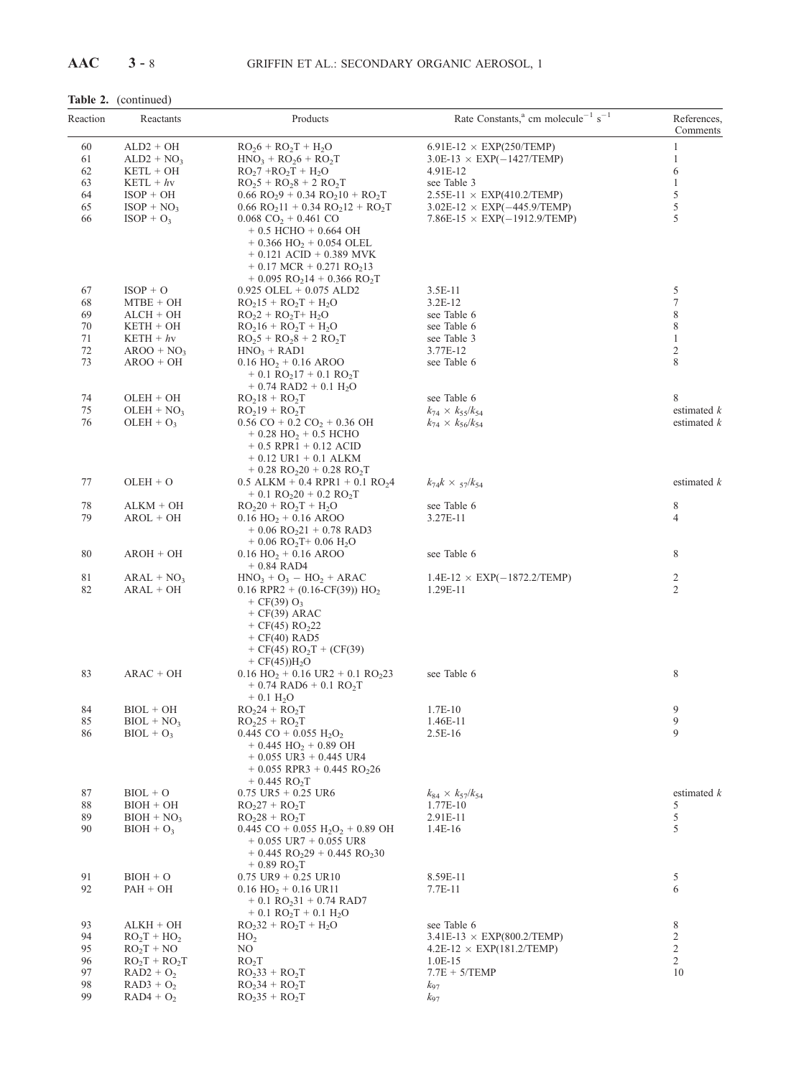## Table 2. (continued)

| Reaction | Reactants                   | Products                                                                                       | Rate Constants, <sup>a</sup> cm molecule <sup>-1</sup> s <sup>-1</sup> | References,<br>Comments        |
|----------|-----------------------------|------------------------------------------------------------------------------------------------|------------------------------------------------------------------------|--------------------------------|
| 60       | $ALD2 + OH$                 | $RO26 + RO2T + H2O$                                                                            | $6.91E-12 \times EXP(250/TEMP)$                                        | $\mathbf{1}$                   |
| 61       | $ALD2 + NO3$                | $HNO_3 + RO_26 + RO_2T$                                                                        | $3.0E-13 \times EXP(-1427/TEMP)$                                       | $\mathbf{1}$                   |
| 62       | KETL + OH                   | $RO27 + RO2T + H2O$                                                                            | 4.91E-12                                                               | 6                              |
| 63       | $KETL + hy$                 | $RO25 + RO28 + 2 RO2T$                                                                         | see Table 3                                                            | $\mathbf{1}$                   |
| 64       | $ISOP + OH$                 | $0.66 \text{ RO}_29 + 0.34 \text{ RO}_210 + \text{RO}_2T$                                      | $2.55E-11 \times EXP(410.2/TEMP)$                                      | 5                              |
| 65       | $ISOP + NO3$                | $0.66$ RO <sub>2</sub> 11 + 0.34 RO <sub>2</sub> 12 + RO <sub>2</sub> T                        | $3.02E-12 \times EXP(-445.9/TEMP)$                                     | 5                              |
| 66       | $ISOP + O3$                 | $0.068 \text{ CO}_2 + 0.461 \text{ CO}$<br>$+ 0.5$ HCHO $+ 0.664$ OH                           | $7.86E-15 \times EXP(-1912.9/TEMP)$                                    | 5                              |
|          |                             | $+$ 0.366 HO <sub>2</sub> + 0.054 OLEL                                                         |                                                                        |                                |
|          |                             | $+ 0.121$ ACID $+ 0.389$ MVK                                                                   |                                                                        |                                |
|          |                             | $+ 0.17$ MCR $+ 0.271$ RO <sub>2</sub> 13                                                      |                                                                        |                                |
|          |                             | $+$ 0.095 RO <sub>2</sub> 14 + 0.366 RO <sub>2</sub> T                                         |                                                                        |                                |
| 67       | $ISOP + O$                  | $0.925$ OLEL + $0.075$ ALD2                                                                    | 3.5E-11                                                                | 5                              |
| 68       | $MTBE + OH$                 | $RO215 + RO2T + H2O$                                                                           | $3.2E-12$                                                              | 7                              |
| 69       | $ALCH + OH$                 | $RO2 + RO2T + H2O$                                                                             | see Table 6                                                            | 8                              |
| 70       | $KETH + OH$                 | $RO216 + RO2T + H2O$                                                                           | see Table 6                                                            | 8                              |
| 71<br>72 | $KETH + hv$                 | $RO25 + RO28 + 2 RO2T$                                                                         | see Table 3                                                            | $\mathbf{1}$<br>$\overline{c}$ |
| 73       | $AROO + NO3$<br>$AROO + OH$ | $HNO3 + RAD1$<br>$0.16$ HO <sub>2</sub> + 0.16 AROO                                            | 3.77E-12<br>see Table 6                                                | 8                              |
|          |                             | $+$ 0.1 RO <sub>2</sub> 17 + 0.1 RO <sub>2</sub> T                                             |                                                                        |                                |
|          |                             | $+ 0.74$ RAD2 $+ 0.1$ H <sub>2</sub> O                                                         |                                                                        |                                |
| 74<br>75 | $OLEH + OH$<br>$OLEH + NO3$ | $RO218 + RO2T$<br>$RO219 + RO2T$                                                               | see Table 6                                                            | 8<br>estimated $k$             |
| 76       | $OLEH + O3$                 | $0.56$ CO + $0.2$ CO <sub>2</sub> + $0.36$ OH                                                  | $k_{74} \times k_{55}/k_{54}$<br>$k_{74} \times k_{56} / k_{54}$       | estimated $k$                  |
|          |                             | $+ 0.28$ HO <sub>2</sub> + 0.5 HCHO                                                            |                                                                        |                                |
|          |                             | $+ 0.5$ RPR1 $+ 0.12$ ACID                                                                     |                                                                        |                                |
|          |                             | $+ 0.12 \text{ UR1} + 0.1 \text{ ALKM}$                                                        |                                                                        |                                |
|          |                             | $+ 0.28$ RO <sub>2</sub> 20 + 0.28 RO <sub>2</sub> T                                           |                                                                        |                                |
| 77       | $OLEH + O$                  | $0.5$ ALKM + 0.4 RPR1 + 0.1 RO <sub>2</sub> 4                                                  | $k_{74}k \times \frac{57}{k_{54}}$                                     | estimated $k$                  |
|          |                             | $+$ 0.1 RO <sub>2</sub> 20 + 0.2 RO <sub>2</sub> T                                             |                                                                        |                                |
| 78       | $ALKM + OH$                 | $RO220 + RO2T + H2O$                                                                           | see Table 6                                                            | 8                              |
| 79       | $AROL + OH$                 | $0.16$ HO <sub>2</sub> + 0.16 AROO                                                             | 3.27E-11                                                               | 4                              |
|          |                             | $+ 0.06$ RO <sub>2</sub> 21 + 0.78 RAD3<br>$+0.06$ RO <sub>2</sub> T $+0.06$ H <sub>2</sub> O  |                                                                        |                                |
| 80       | $AROH + OH$                 | $0.16$ HO <sub>2</sub> + 0.16 AROO                                                             | see Table 6                                                            | 8                              |
|          |                             | $+ 0.84$ RAD4                                                                                  |                                                                        |                                |
| 81       | $ARAL + NO3$                | $HNO3 + O3 - HO2 + ARAC$                                                                       | $1.4E-12 \times EXP(-1872.2/TEMP)$                                     | 2                              |
| 82       | $ARAL + OH$                 | $0.16$ RPR2 + $(0.16$ -CF(39)) HO <sub>2</sub>                                                 | 1.29E-11                                                               | 2                              |
|          |                             | + CF(39) $O_3$                                                                                 |                                                                        |                                |
|          |                             | $+ CF(39) ARAC$                                                                                |                                                                        |                                |
|          |                             | + $CF(45)$ RO <sub>2</sub> 22                                                                  |                                                                        |                                |
|          |                             | $+ CF(40)$ RAD5                                                                                |                                                                        |                                |
|          |                             | + CF(45) $RO_2T + (CF(39))$<br>$+ CF(45)$ H <sub>2</sub> O                                     |                                                                        |                                |
| 83       | $ARAC + OH$                 | $0.16$ HO <sub>2</sub> + 0.16 UR2 + 0.1 RO <sub>2</sub> 23                                     | see Table 6                                                            | 8                              |
|          |                             | $+ 0.74$ RAD6 $+ 0.1$ RO <sub>2</sub> T                                                        |                                                                        |                                |
|          |                             | $+ 0.1 H2O$                                                                                    |                                                                        |                                |
| 84       | $BIOL + OH$                 | $RO224 + RO2T$                                                                                 | 1.7E-10                                                                | 9                              |
| 85       | $BIOL + NO3$                | $RO225 + RO2T$                                                                                 | 1.46E-11                                                               | 9                              |
| 86       | $BIOL + O3$                 | 0.445 CO + 0.055 $H_2O_2$                                                                      | $2.5E-16$                                                              | 9                              |
|          |                             | $+ 0.445$ HO <sub>2</sub> + 0.89 OH                                                            |                                                                        |                                |
|          |                             | $+$ 0.055 UR3 $+$ 0.445 UR4                                                                    |                                                                        |                                |
|          |                             | $+$ 0.055 RPR3 + 0.445 RO <sub>2</sub> 26                                                      |                                                                        |                                |
| 87       | $BIOL + O$                  | $+ 0.445$ RO <sub>2</sub> T<br>$0.75 \text{ UR}5 + 0.25 \text{ UR}6$                           | $k_{84} \times k_{57}/k_{54}$                                          | estimated $k$                  |
| 88       | $BIOH + OH$                 | $RO227 + RO2T$                                                                                 | 1.77E-10                                                               | 5                              |
| 89       | $BIOH + NO3$                | $RO228 + RO2T$                                                                                 | 2.91E-11                                                               | 5                              |
| 90       | $BIOH + O3$                 | $0.445$ CO + 0.055 H <sub>2</sub> O <sub>2</sub> + 0.89 OH                                     | 1.4E-16                                                                | 5                              |
|          |                             | $+$ 0.055 UR7 $+$ 0.055 UR8                                                                    |                                                                        |                                |
|          |                             | $+ 0.445$ RO <sub>2</sub> 29 + 0.445 RO <sub>2</sub> 30                                        |                                                                        |                                |
|          |                             | $+0.89$ RO <sub>2</sub> T                                                                      |                                                                        |                                |
| 91       | $BIOH + O$                  | $0.75 \text{ UR}9 + 0.25 \text{ UR}10$                                                         | 8.59E-11                                                               | 5                              |
| 92       | $PAH + OH$                  | $0.16$ HO <sub>2</sub> + 0.16 UR11                                                             | 7.7E-11                                                                | 6                              |
|          |                             | $+ 0.1 \text{ RO}_2 31 + 0.74 \text{ RAD}$<br>$+$ 0.1 RO <sub>2</sub> T + 0.1 H <sub>2</sub> O |                                                                        |                                |
| 93       | $ALKH + OH$                 | $RO232 + RO2T + H2O$                                                                           | see Table 6                                                            | 8                              |
| 94       | $RO2T + HO2$                | HO <sub>2</sub>                                                                                | $3.41E-13 \times EXP(800.2/TEMP)$                                      | 2                              |
| 95       | $RO_2T + NO$                | NO.                                                                                            | $4.2E-12 \times EXP(181.2/TEMP)$                                       | $\overline{c}$                 |
| 96       | $RO_2T + RO_2T$             | RO <sub>2</sub> T                                                                              | $1.0E-15$                                                              | $\overline{2}$                 |
| 97       | $RAD2 + O2$                 | $RO233 + RO2T$                                                                                 | $7.7E + 5/TEMP$                                                        | 10                             |
| 98       | $RAD3 + O2$                 | $RO234 + RO2T$                                                                                 | $k_{97}$                                                               |                                |
| 99       | $RAD4 + O2$                 | $RO235 + RO2T$                                                                                 | $k_{97}$                                                               |                                |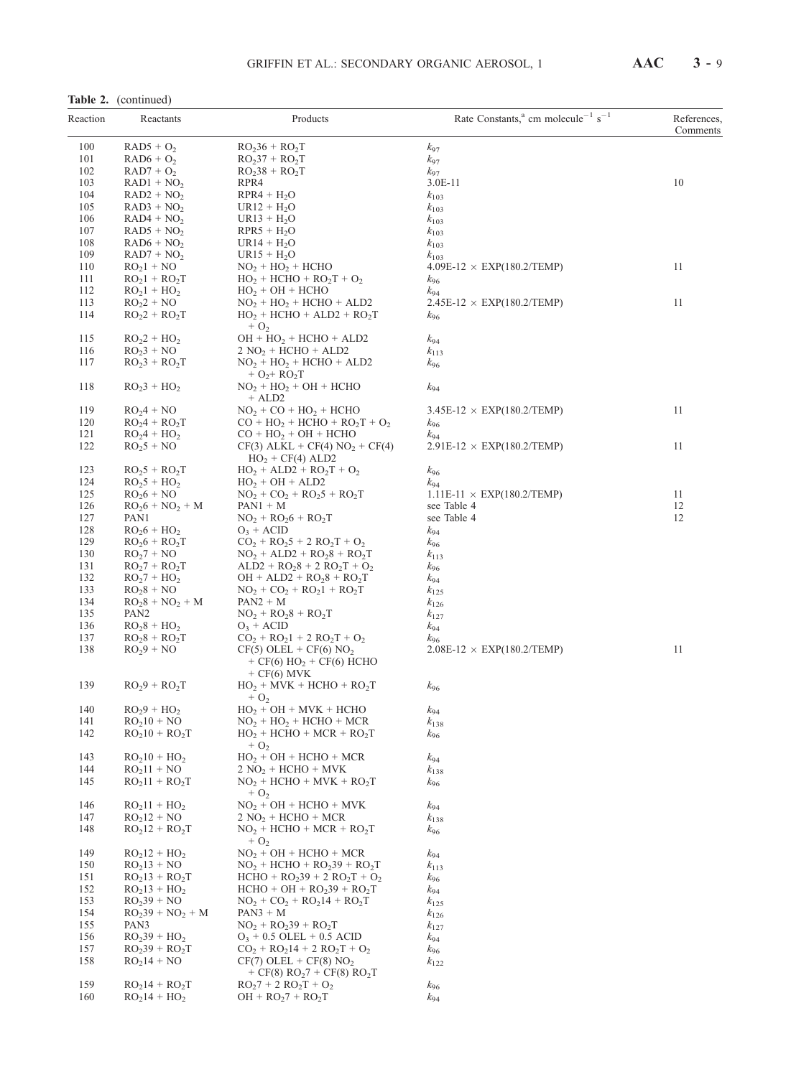| (continued)<br>Table 2. |
|-------------------------|
|-------------------------|

| Reaction | Reactants                                                           | Products                                                               | Rate Constants, <sup>a</sup> cm molecule <sup>-1</sup> s <sup>-1</sup> | References,<br>Comments |
|----------|---------------------------------------------------------------------|------------------------------------------------------------------------|------------------------------------------------------------------------|-------------------------|
| 100      | $RAD5 + O2$                                                         | $RO236 + RO2T$                                                         | $k_{97}$                                                               |                         |
| 101      | $RAD6 + O2$                                                         | $RO237 + RO2T$                                                         | $k_{97}$                                                               |                         |
| 102      | $RAD7 + O2$                                                         | $RO238 + RO2T$                                                         | $k_{97}$                                                               |                         |
| 103      | $RAD1 + NO2$                                                        | RPR4                                                                   | 3.0E-11                                                                | 10                      |
| 104      | $RAD2 + NO2$                                                        | $RPR4 + H2O$                                                           | $k_{103}$                                                              |                         |
| 105      | $RAD3 + NO2$                                                        | $UR12 + H2O$                                                           | $k_{103}$                                                              |                         |
| 106      | $RAD4 + NO2$                                                        | $UR13 + H2O$                                                           | $k_{103}$                                                              |                         |
| 107      | $RAD5 + NO2$                                                        | $RPR5 + H2O$                                                           | $k_{103}$                                                              |                         |
| 108      | $RAD6 + NO2$                                                        | $UR14 + H2O$                                                           | $k_{103}$                                                              |                         |
| 109      | $RAD7 + NO2$                                                        | $UR15 + H2O$                                                           | $k_{103}$                                                              |                         |
| 110      | $RO21 + NO$                                                         | $NO2 + HO2 + HCHO$                                                     | $4.09E-12 \times EXP(180.2/TEMP)$                                      | 11                      |
| 111      | $RO21 + RO2T$                                                       | $HO_2$ + HCHO + RO <sub>2</sub> T + O <sub>2</sub>                     | $k_{96}$                                                               |                         |
| 112      | $RO21 + HO2$                                                        | $HO2 + OH + HCHO$                                                      | $k_{94}$                                                               |                         |
| 113      | $RO2 + NO$                                                          | $NO2 + HO2 + HCHO + ALD2$                                              | $2.45E-12 \times EXP(180.2/TEMP)$                                      | 11                      |
| 114      | $RO2 + RO2T$                                                        | $HO2 + HCHO + ALD2 + RO2T$                                             | $k_{96}$                                                               |                         |
|          |                                                                     | $+ O2$                                                                 |                                                                        |                         |
| 115      | $RO2 + HO2$                                                         | $OH + HO2 + HCHO + ALD2$                                               | $k_{94}$                                                               |                         |
| 116      | $RO23 + NO$                                                         | $2 NO2 + HCHO + ALD2$                                                  | $k_{113}$                                                              |                         |
| 117      | $RO23 + RO2T$                                                       | $NO2 + HO2 + HCHO + ALD2$<br>$+ O_{2} + RO_{2}T$                       | $k_{96}$                                                               |                         |
| 118      | $RO23 + HO2$                                                        | $NO2 + HO2 + OH + HCHO$<br>$+$ ALD2                                    | $k_{94}$                                                               |                         |
| 119      | $RO24 + NO$                                                         | $NO2 + CO + HO2 + HCHO$                                                | $3.45E-12 \times EXP(180.2/TEMP)$                                      | 11                      |
| 120      | $RO2 + RO2T$                                                        | $CO + HO2 + HCHO + RO2T + O2$                                          | $k_{96}$                                                               |                         |
| 121      | $RO24 + HO2$                                                        | $CO + HO2 + OH + HCHO$                                                 | $k_{94}$                                                               |                         |
| 122      | $RO25 + NO$                                                         | $CF(3)$ ALKL + $CF(4)$ NO <sub>2</sub> + $CF(4)$<br>$HO2 + CF(4) ALD2$ | $2.91E-12 \times EXP(180.2/TEMP)$                                      | 11                      |
| 123      | $RO25 + RO2T$                                                       | $HO_2 + ALD2 + RO_2T + O_2$                                            | $k_{96}$                                                               |                         |
| 124      | $RO25 + HO2$                                                        | $HO_2 + OH + ALD2$                                                     | $k_{94}$                                                               |                         |
| 125      | $RO26 + NO$                                                         | $NO_2 + CO_2 + RO_25 + RO_2T$                                          | $1.11E-11 \times EXP(180.2/TEMP)$                                      | 11                      |
| 126      | $\overline{D} \cap \overline{L} + \overline{N} \cap + \overline{M}$ | $\mathbf{D} \Lambda \mathbf{N} \mathbf{1} + \mathbf{M}$                | soo Tablo 4                                                            | 12                      |

| $\bf AAC$ | $3 - 9$ |  |
|-----------|---------|--|
|           |         |  |

| 101        | $RAD6 + O2$                    | $RO237 + RO2T$                                                                                        | $k_{97}$                                       |    |
|------------|--------------------------------|-------------------------------------------------------------------------------------------------------|------------------------------------------------|----|
| 102        | $RAD7 + O2$                    | $RO238 + RO2T$                                                                                        | $k_{97}$                                       |    |
| 103        | $RAD1 + NO2$                   | RPR4                                                                                                  | $3.0E-11$                                      | 10 |
| 104        | $RAD2 + NO2$                   | $RPR4 + H2O$                                                                                          | $k_{103}$                                      |    |
| 105        | $RAD3 + NO2$                   | $UR12 + H_2O$                                                                                         | $k_{103}$                                      |    |
| 106        | $RAD4 + NO2$                   | $UR13 + H_2O$                                                                                         | $k_{103}$                                      |    |
| 107        | $RAD5 + NO2$                   | $RPR5 + H2O$                                                                                          | $k_{103}$                                      |    |
| 108<br>109 | $RAD6 + NO2$                   | $UR14 + H2O$                                                                                          | $k_{103}$                                      |    |
| 110        | $RAD7 + NO2$<br>$RO21 + NO$    | $UR15 + H_2O$<br>$NO2 + HO2 + HCHO$                                                                   | $k_{103}$<br>$4.09E-12 \times EXP(180.2/TEMP)$ | 11 |
| 111        | $RO21 + RO2T$                  | $HO_2 + HCHO + RO_2T + O_2$                                                                           | $k_{96}$                                       |    |
| 112        | $RO21 + HO2$                   | $HO_2 + OH + HCHO$                                                                                    | $k_{94}$                                       |    |
| 113        | $RO22 + NO$                    | $NO2 + HO2 + HCHO + ALD2$                                                                             | $2.45E-12 \times EXP(180.2/TEMP)$              | 11 |
| 114        | $RO2 + RO2T$                   | $HO2 + HCHO + ALD2 + RO2T$<br>$+$ O <sub>2</sub>                                                      | $k_{96}$                                       |    |
| 115        | $RO2 + HO2$                    | $OH + HO2 + HCHO + ALD2$                                                                              | $k_{94}$                                       |    |
| 116        | $RO23 + NO$                    | $2 NO2 + HCHO + ALD2$                                                                                 | $k_{113}$                                      |    |
| 117        | $RO23 + RO2T$                  | $NO2 + HO2 + HCHO + ALD2$<br>$+ O_2 + RO_2T$                                                          | <i>k</i> <sub>96</sub>                         |    |
| 118        | $RO23 + HO2$                   | $NO2 + HO2 + OH + HCHO$<br>$+$ ALD <sub>2</sub>                                                       | $k_{94}$                                       |    |
| 119        | $RO24 + NO$                    | $NO2 + CO + HO2 + HCHO$                                                                               | $3.45E-12 \times EXP(180.2/TEMP)$              | 11 |
| 120        | $RO24 + RO2T$                  | $CO + HO2 + HCHO + RO2T + O2$                                                                         | $k_{96}$                                       |    |
| 121<br>122 | $RO24 + HO2$<br>$RO25 + NO$    | $CO + HO2 + OH + HCHO$                                                                                | $k_{94}$                                       | 11 |
| 123        | $RO25 + RO2T$                  | $CF(3)$ ALKL + $CF(4)$ NO <sub>2</sub> + $CF(4)$<br>$HO2 + CF(4) ALD2$<br>$HO_2 + ALD2 + RO_2T + O_2$ | $2.91E-12 \times EXP(180.2/TEMP)$              |    |
| 124        | $RO25 + HO2$                   | $HO2 + OH + ALD2$                                                                                     | <i>k</i> <sub>96</sub><br>$k_{94}$             |    |
| 125        | $RO26 + NO$                    | $NO_2 + CO_2 + RO_25 + RO_2T$                                                                         | $1.11E-11 \times EXP(180.2/TEMP)$              | 11 |
| 126        | $RO26 + NO2 + M$               | $PAN1 + M$                                                                                            | see Table 4                                    | 12 |
| 127        | PAN1                           | $NO_2 + RO_26 + RO_2T$                                                                                | see Table 4                                    | 12 |
| 128        | $RO26 + HO2$                   | $O_3 + ACID$                                                                                          | $k_{94}$                                       |    |
| 129        | $RO26 + RO2T$                  | $CO_2 + RO_25 + 2 RO_2T + O_2$                                                                        | $k_{96}$                                       |    |
| 130        | $RO27 + NO$                    | $NO_2 + ALD2 + RO_28 + RO_2T$                                                                         | $k_{113}$                                      |    |
| 131        | $RO_{2}7 + RO_{2}T$            | $ALD2 + RO28 + 2 RO2T + O2$                                                                           | $k_{96}$                                       |    |
| 132        | $RO27 + HO2$                   | $OH + ALD2 + RO28 + RO2T$                                                                             | <i>k</i> <sub>94</sub>                         |    |
| 133        | $RO28 + NO$                    | $NO_2 + CO_2 + RO_21 + RO_2T$                                                                         | $k_{125}$                                      |    |
| 134        | $RO28 + NO2 + M$               | $PAN2 + M$                                                                                            | $k_{126}$                                      |    |
| 135        | PAN <sub>2</sub>               | $NO_2 + RO_28 + RO_2T$                                                                                | $k_{127}$                                      |    |
| 136        | $RO_28 + HO_2$                 | $O_3 + ACID$                                                                                          | $k_{94}$                                       |    |
| 137<br>138 | $RO28 + RO2T$<br>$RO29 + NO$   | $CO_2 + RO_21 + 2 RO_2T + O_2$<br>$CF(5) OLEL + CF(6) NO2$<br>+ CF(6) $HO_2$ + CF(6) HCHO             | $k_{96}$<br>$2.08E-12 \times EXP(180.2/TEMP)$  | 11 |
| 139        | $RO29 + RO2T$                  | $+ CF(6)$ MVK<br>$HO_2 + MVK + HCHO + RO_2T$                                                          | $k_{96}$                                       |    |
|            |                                | $+ O2$                                                                                                |                                                |    |
| 140<br>141 | $RO29 + HO2$<br>$RO210 + NO$   | $HO2 + OH + MVK + HCHO$                                                                               | $k_{94}$                                       |    |
| 142        | $RO210 + RO2T$                 | $NO2 + HO2 + HCHO + MCR$<br>$HO_2 + HCHO + MCR + RO_2T$                                               | $k_{138}$<br><i>k</i> <sub>96</sub>            |    |
| 143        | $RO210 + HO2$                  | $+$ O <sub>2</sub><br>$HO2 + OH + HCHO + MCR$                                                         |                                                |    |
| 144        | $RO211 + NO$                   | $2 NO2 + HCHO + MVK$                                                                                  | k94<br>$k_{138}$                               |    |
| 145        | $RO211 + RO2T$                 | $NO2 + HCHO + MVK + RO2T$<br>$+$ O <sub>2</sub>                                                       | $k_{96}$                                       |    |
| 146        | $RO211 + HO2$                  | $NO2 + OH + HCHO + MVK$                                                                               | $k_{94}$                                       |    |
| 147        | $RO212 + NO$                   | $2 NO2 + HCHO + MCR$                                                                                  | $k_{138}$                                      |    |
| 148        | $RO212 + RO2T$                 | $NO2 + HCHO + MCR + RO2T$<br>$+$ O <sub>2</sub>                                                       | $k_{96}$                                       |    |
| 149        | $RO212 + HO2$                  | $NO2 + OH + HCHO + MCR$                                                                               | $k_{94}$                                       |    |
| 150        | $RO213 + NO$                   | $NO2 + HCHO + RO239 + RO2T$                                                                           | $k_{113}$                                      |    |
| 151        | $RO213 + RO2T$                 | $HCHO + RO239 + 2 RO2T + O2$                                                                          | $k_{96}$                                       |    |
| 152        | $RO213 + HO2$                  | $HCHO + OH + RO239 + RO2T$                                                                            | k94                                            |    |
| 153        | $RO239 + NO$                   | $NO_2 + CO_2 + RO_214 + RO_2T$                                                                        | $k_{125}$                                      |    |
| 154        | $RO239 + NO2 + M$              | $PAN3 + M$                                                                                            | $k_{126}$                                      |    |
| 155        | PAN3                           | $NO_2 + RO_239 + RO_2T$                                                                               | $k_{127}$                                      |    |
| 156<br>157 | $RO239 + HO2$                  | $O_3 + 0.5$ OLEL + 0.5 ACID                                                                           | $k_{94}$                                       |    |
| 158        | $RO239 + RO2T$<br>$RO214 + NO$ | $CO_2 + RO_214 + 2 RO_2T + O_2$<br>$CF(7) OLEL + CF(8) NO2$<br>+ CF(8) $RO27$ + CF(8) $RO2T$          | $k_{96}$<br>$k_{122}$                          |    |
| 159        | $RO214 + RO2T$                 | $RO_27 + 2 RO_2T + O_2$                                                                               | <i>k</i> <sub>96</sub>                         |    |
| 160        | $RO214 + HO2$                  | $OH + RO27 + RO2T$                                                                                    | $k_{94}$                                       |    |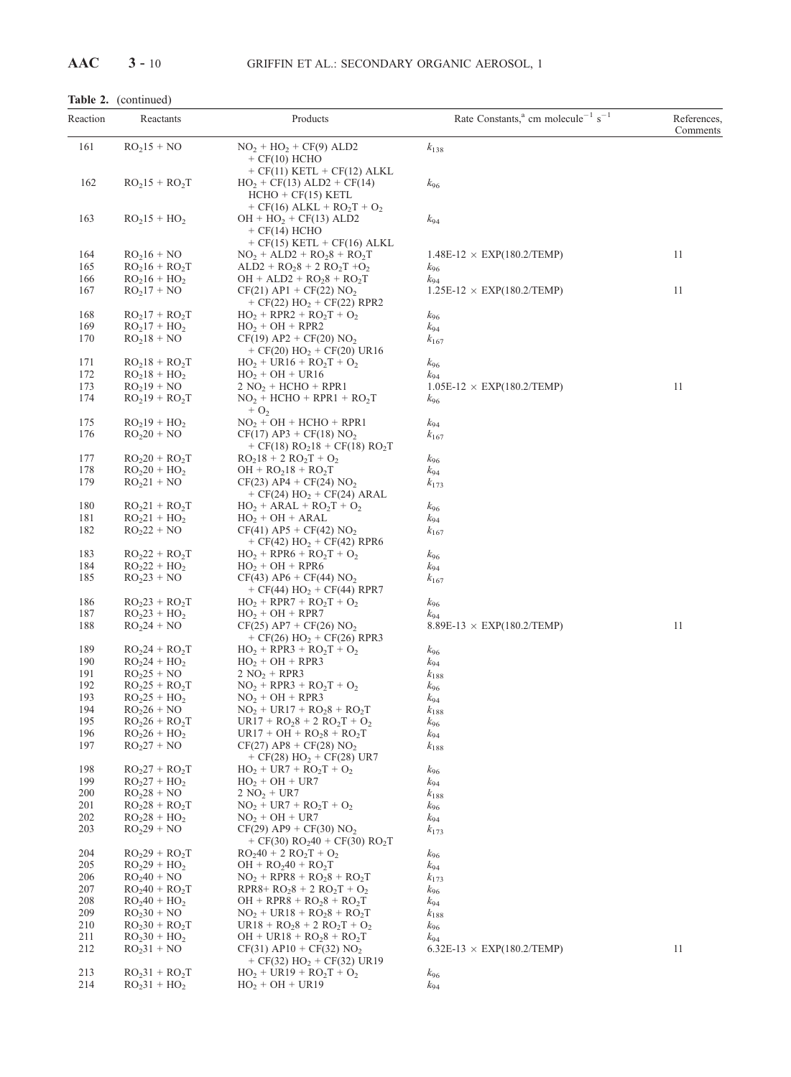Table 2. (continued)

|            | rable $2.$ (communed)           |                                                                                                                         |                                                                        |                         |
|------------|---------------------------------|-------------------------------------------------------------------------------------------------------------------------|------------------------------------------------------------------------|-------------------------|
| Reaction   | Reactants                       | Products                                                                                                                | Rate Constants, <sup>a</sup> cm molecule <sup>-1</sup> s <sup>-1</sup> | References,<br>Comments |
| 161        | $RO215 + NO$                    | $NO2 + HO2 + CF(9) ALD2$<br>$+$ CF(10) HCHO                                                                             | $k_{138}$                                                              |                         |
| 162        | $RO215 + RO2T$                  | $+ CF(11) KETL + CF(12) ALKL$<br>$HO_2 + CF(13) ALD2 + CF(14)$<br>$HCHO + CF(15) KETL$<br>+ CF(16) ALKL + $RO_2T + O_2$ | k <sub>96</sub>                                                        |                         |
| 163        | $RO215 + HO2$                   | $OH + HO2 + CF(13) ALD2$<br>$+ CF(14)$ HCHO<br>$+ CF(15)$ KETL $+ CF(16)$ ALKL                                          | k94                                                                    |                         |
| 164        | $RO216 + NO$                    | $NO_2 + ALD2 + RO_28 + RO_2T$                                                                                           | $1.48E-12 \times EXP(180.2/TEMP)$                                      | 11                      |
| 165        | $RO216 + RO2T$                  | $ALD2 + RO28 + 2 RO2T +O2$                                                                                              | $k_{96}$                                                               |                         |
| 166        | $RO216 + HO2$                   | $OH + ALD2 + RO28 + RO2T$                                                                                               | $k_{94}$                                                               | 11                      |
| 167        | $RO217 + NO$                    | $CF(21)$ AP1 + $CF(22)$ NO <sub>2</sub><br>+ $CF(22)$ HO <sub>2</sub> + $CF(22)$ RPR2                                   | $1.25E-12 \times EXP(180.2/TEMP)$                                      |                         |
| 168        | $RO217 + RO2T$                  | $HO_2 + RPR2 + RO_2T + O_2$                                                                                             | k <sub>96</sub>                                                        |                         |
| 169        | $RO217 + HO2$                   | $HO2 + OH + RPR2$                                                                                                       | k94                                                                    |                         |
| 170        | $RO218 + NO$                    | $CF(19)$ AP2 + $CF(20)$ NO <sub>2</sub><br>+ $CF(20)$ HO <sub>2</sub> + $CF(20)$ UR16                                   | $k_{167}$                                                              |                         |
| 171        | $RO218 + RO2T$                  | $HO_2 + UR16 + RO_2T + O_2$                                                                                             | k <sub>96</sub>                                                        |                         |
| 172        | $RO218 + HO2$                   | $HO_2 + OH + UR16$                                                                                                      | $k_{94}$                                                               |                         |
| 173<br>174 | $RO219 + NO$<br>$RO219 + RO2T$  | $2 NO2 + HCHO + RPR1$<br>$NO2 + HCHO + RPR1 + RO2T$                                                                     | $1.05E-12 \times EXP(180.2/TEMP)$<br>$k_{96}$                          | 11                      |
|            |                                 | $+ O2$                                                                                                                  |                                                                        |                         |
| 175        | $RO219 + HO2$                   | $NO2 + OH + HCHO + RPR1$                                                                                                | $k_{94}$                                                               |                         |
| 176        | $RO220 + NO$                    | $CF(17)$ AP3 + $CF(18)$ NO <sub>2</sub><br>+ CF(18) $RO218$ + CF(18) $RO2T$                                             | $k_{167}$                                                              |                         |
| 177        | $RO220 + RO2T$                  | $RO218 + 2 RO2T + O2$                                                                                                   | k <sub>96</sub>                                                        |                         |
| 178        | $RO220 + HO2$                   | $OH + RO218 + RO2T$                                                                                                     | k94                                                                    |                         |
| 179        | $RO221 + NO$                    | $CF(23)$ AP4 + $CF(24)$ NO <sub>2</sub><br>+ $CF(24)$ HO <sub>2</sub> + $CF(24)$ ARAL                                   | $k_{173}$                                                              |                         |
| 180        | $RO221 + RO2T$                  | $HO_2 + ARAL + RO_2T + O_2$                                                                                             | $k_{96}$                                                               |                         |
| 181        | $RO221 + HO2$                   | $HO_2 + OH + ARAL$                                                                                                      | $k_{94}$                                                               |                         |
| 182        | $RO222 + NO$                    | $CF(41)$ AP5 + $CF(42)$ NO <sub>2</sub><br>+ $CF(42)$ HO <sub>2</sub> + $CF(42)$ RPR6                                   | $k_{167}$                                                              |                         |
| 183        | $RO222 + RO2T$                  | $HO_2 + RPR6 + RO_2T + O_2$                                                                                             | $k_{96}$                                                               |                         |
| 184        | $RO222 + HO2$                   | $HO2 + OH + RPR6$                                                                                                       | $k_{94}$                                                               |                         |
| 185        | $RO223 + NO$                    | $CF(43)$ AP6 + $CF(44)$ NO <sub>2</sub><br>+ $CF(44)$ HO <sub>2</sub> + $CF(44)$ RPR7                                   | $k_{167}$                                                              |                         |
| 186        | $RO223 + RO2T$                  | $HO_2 + RPR7 + RO_2T + O_2$                                                                                             | k96                                                                    |                         |
| 187        | $RO223 + HO2$                   | $HO2 + OH + RPR7$                                                                                                       | k94                                                                    |                         |
| 188        | $RO224 + NO$                    | $CF(25)$ AP7 + $CF(26)$ NO <sub>2</sub><br>+ CF(26) HO <sub>2</sub> + CF(26) RPR3                                       | $8.89E-13 \times EXP(180.2/TEMP)$                                      | 11                      |
| 189        | $RO224 + RO2T$                  | $HO_2 + RPR3 + RO_2T + O_2$                                                                                             | $k_{96}$                                                               |                         |
| 190        | $RO224 + HO2$                   | $HO2 + OH + RPR3$                                                                                                       | $k_{94}$                                                               |                         |
| 191<br>192 | $RO225 + NO$<br>$RO225 + RO2T$  | $2 NO2 + RPR3$<br>$NO_2 + RPR3 + RO_2T + O_2$                                                                           | $k_{188}$<br>$k_{96}$                                                  |                         |
| 193        | $RO225 + HO2$                   | $NO2 + OH + RPR3$                                                                                                       | $k_{94}$                                                               |                         |
| 194        | $RO226 + NO$                    | $NO2 + UR17 + RO28 + RO2T$                                                                                              | $k_{188}$                                                              |                         |
| 195        | $RO226 + RO2T$                  | $UR17 + RO_28 + 2 RO_2T + O_2$                                                                                          | k96                                                                    |                         |
| 196        | $RO226 + HO2$                   | $UR17 + OH + RO28 + RO2T$                                                                                               | k94                                                                    |                         |
| 197        | $RO227 + NO$                    | $CF(27)$ AP8 + $CF(28)$ NO <sub>2</sub><br>+ $CF(28)$ HO <sub>2</sub> + $CF(28)$ UR7                                    | $k_{188}$                                                              |                         |
| 198        | $RO227 + RO2T$                  | $HO_2 + UR7 + RO_2T + O_2$                                                                                              | k <sub>96</sub>                                                        |                         |
| 199        | $RO227 + HO2$                   | $HO_2 + OH + UR7$                                                                                                       | $k_{94}$                                                               |                         |
| 200        | $RO228 + NO$                    | $2 NO2 + UR7$                                                                                                           | $k_{188}$                                                              |                         |
| 201<br>202 | $RO228 + RO2T$<br>$RO228 + HO2$ | $NO_2 + UR7 + RO_2T + O_2$<br>$NO2 + OH + UR7$                                                                          | $k_{96}$                                                               |                         |
| 203        | $RO229 + NO$                    | $CF(29)$ AP9 + $CF(30)$ NO <sub>2</sub>                                                                                 | $k_{94}$<br>$k_{173}$                                                  |                         |
| 204        | $RO229 + RO2T$                  | + CF(30) RO <sub>2</sub> 40 + CF(30) RO <sub>2</sub> T<br>$RO240 + 2 RO2T + O2$                                         | k <sub>96</sub>                                                        |                         |
| 205        | $RO229 + HO2$                   | $OH + RO240 + RO2T$                                                                                                     | k94                                                                    |                         |
| 206        | $RO240 + NO$                    | $NO2 + RPR8 + RO28 + RO2T$                                                                                              | $k_{173}$                                                              |                         |
| 207        | $RO240 + RO2T$                  | $RPR8+RO28 + 2 RO2T + O2$                                                                                               | k <sub>96</sub>                                                        |                         |
| 208<br>209 | $RO240 + HO2$<br>$RO230 + NO$   | $OH + RPR8 + RO_28 + RO_2T$<br>$NO_2 + UR18 + RO_28 + RO_2T$                                                            | $k_{94}$                                                               |                         |
| 210        | $RO230 + RO2T$                  | $UR18 + RO_28 + 2 RO_2T + O_2$                                                                                          | $k_{188}$<br>$k_{96}$                                                  |                         |
| 211        | $RO230 + HO2$                   | $OH + UR18 + RO_28 + RO_2T$                                                                                             | $k_{94}$                                                               |                         |
| 212        | $RO231 + NO$                    | $CF(31)$ AP10 + CF(32) NO <sub>2</sub><br>+ CF(32) HO <sub>2</sub> + CF(32) UR19                                        | $6.32E-13 \times EXP(180.2/TEMP)$                                      | 11                      |
| 213        | $RO231 + RO2T$                  | $HO_2 + UR19 + RO_2T + O_2$                                                                                             | <i>k</i> <sub>96</sub>                                                 |                         |
| 214        | $RO231 + HO2$                   | $HO_2 + OH + UR19$                                                                                                      | <i>k</i> <sub>94</sub>                                                 |                         |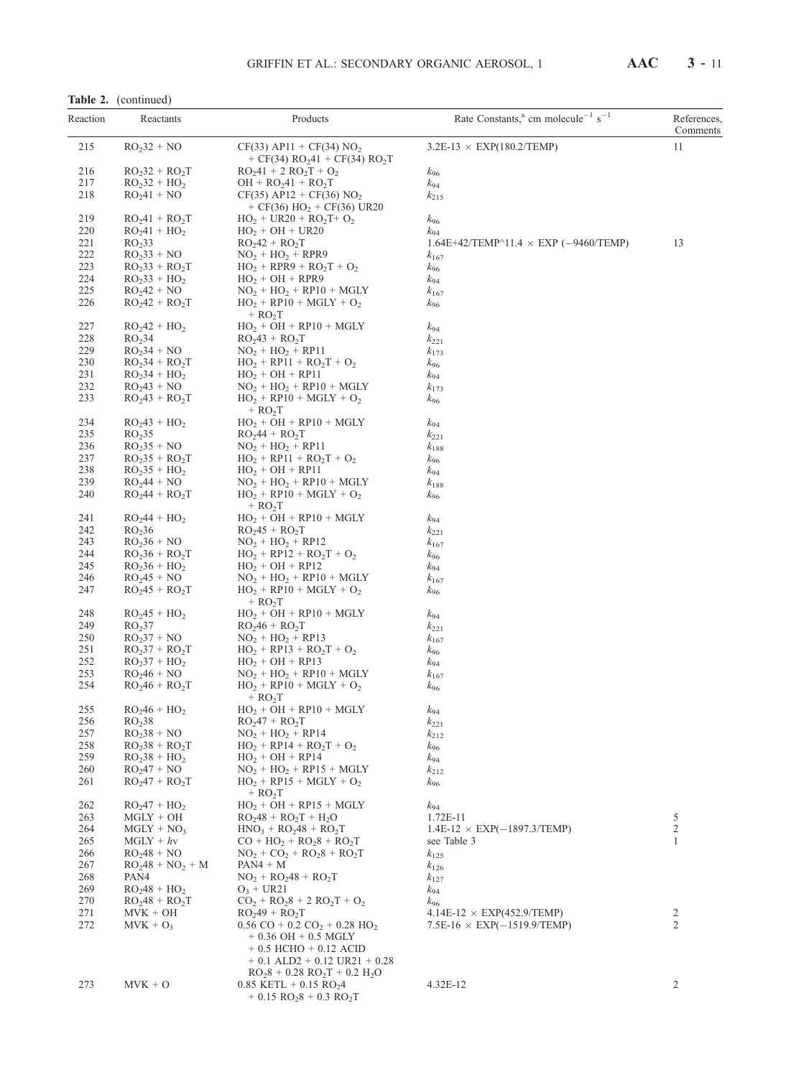| Reaction   | Reactants                            | Products                                                                                                                                                | Rate Constants, <sup>a</sup> cm molecule <sup>-1</sup> s <sup>-1</sup> | References,<br>Comments |
|------------|--------------------------------------|---------------------------------------------------------------------------------------------------------------------------------------------------------|------------------------------------------------------------------------|-------------------------|
| 215        | $RO232 + NO$                         | $CF(33)$ AP11 + CF(34) NO <sub>2</sub><br>+ CF(34) RO <sub>2</sub> 41 + CF(34) RO <sub>2</sub> T                                                        | $3.2E-13 \times EXP(180.2/TEMP)$                                       | 11                      |
| 216        | $RO232 + RO2T$                       | $RO241 + 2 RO2T + O2$                                                                                                                                   | k96                                                                    |                         |
| 217        | $RO232 + HO2$                        | $OH + RO241 + RO2T$                                                                                                                                     | k94                                                                    |                         |
| 218        | $RO241 + NO$                         | $CF(35)$ AP12 + CF(36) NO <sub>2</sub><br>+ CF(36) $HO_2$ + CF(36) UR20                                                                                 | $k_{215}$                                                              |                         |
| 219<br>220 | $RO241 + RO2T$                       | $HO_2 + UR20 + RO_2T + O_2$                                                                                                                             | k96                                                                    |                         |
| 221        | $RO241 + HO2$<br>RO <sub>2</sub> 33  | $HO2 + OH + UR20$<br>$RO2 + RO2T$                                                                                                                       | $k_{94}$<br>$1.64E+42$ /TEMP^11.4 $\times$ EXP (-9460/TEMP)            | 13                      |
| 222        | $RO233 + NO$                         | $NO2 + HO2 + RPR9$                                                                                                                                      | $k_{167}$                                                              |                         |
| 223        | $RO233 + RO2T$                       | $HO_2 + RPR9 + RO_2T + O_2$                                                                                                                             | $k_{96}$                                                               |                         |
| 224        | $RO233 + HO2$                        | $HO_2 + OH + RPR9$                                                                                                                                      | $k_{94}$                                                               |                         |
| 225        | $RO242 + NO$                         | $NO2 + HO2 + RP10 + MGLY$                                                                                                                               | $k_{167}$                                                              |                         |
| 226        | $RO242 + RO2T$                       | $HO_2 + RP10 + MGLY + O_2$<br>$+$ RO <sub>2</sub> T                                                                                                     | $k_{96}$                                                               |                         |
| 227        | $RO242 + HO2$                        | $HO2 + OH + RP10 + MGLY$                                                                                                                                | k94                                                                    |                         |
| 228        | RO <sub>2</sub> 34                   | $RO243 + RO2T$                                                                                                                                          | $k_{221}$                                                              |                         |
| 229        | $RO234 + NO$                         | $NO2 + HO2 + RPI1$                                                                                                                                      | $k_{173}$                                                              |                         |
| 230<br>231 | $RO234 + RO2T$<br>$RO234 + HO2$      | $HO_2 + RPI1 + RO_2T + O_2$<br>$HO2 + OH + RP11$                                                                                                        | $k_{96}$<br>$k_{94}$                                                   |                         |
| 232        | $RO243 + NO$                         | $NO2 + HO2 + RP10 + MGLY$                                                                                                                               | $k_{173}$                                                              |                         |
| 233        | $RO243 + RO2T$                       | $HO_2 + RP10 + MGLY + O_2$                                                                                                                              | $k_{96}$                                                               |                         |
| 234        | $RO243 + HO2$                        | $+$ RO <sub>2</sub> T<br>$HO_2 + OH + RP10 + MGLY$                                                                                                      | $k_{94}$                                                               |                         |
| 235        | RO <sub>2</sub> 35                   | $RO244 + RO2T$                                                                                                                                          | $k_{221}$                                                              |                         |
| 236        | $RO235 + NO$                         | $NO2 + HO2 + RPI1$                                                                                                                                      | $k_{188}$                                                              |                         |
| 237        | $RO235 + RO2T$                       | $HO_2 + RPI1 + RO_2T + O_2$                                                                                                                             | k <sub>96</sub>                                                        |                         |
| 238        | $RO235 + HO2$                        | $HO2 + OH + RP11$                                                                                                                                       | k94                                                                    |                         |
| 239        | $RO244 + NO$                         | $NO2 + HO2 + RP10 + MGLY$                                                                                                                               | $k_{188}$                                                              |                         |
| 240        | $RO244 + RO2T$                       | $HO_2 + RP10 + MGLY + O_2$<br>$+$ RO <sub>2</sub> T                                                                                                     | k <sub>96</sub>                                                        |                         |
| 241        | $RO244 + HO2$                        | $HO_2 + OH + RP10 + MGLY$                                                                                                                               | $k_{94}$                                                               |                         |
| 242        | RO <sub>2</sub> 36                   | $RO245 + RO2T$                                                                                                                                          | $k_{221}$                                                              |                         |
| 243<br>244 | $RO236 + NO$<br>$RO236 + RO2T$       | $NO_2 + HO_2 + RPI2$<br>$HO_2 + RP12 + RO_2T + O_2$                                                                                                     | $k_{167}$                                                              |                         |
| 245        | $RO236 + HO2$                        | $HO2 + OH + RPI2$                                                                                                                                       | k <sub>96</sub><br>$k_{94}$                                            |                         |
| 246        | $RO245 + NO$                         | $NO2 + HO2 + RP10 + MGLY$                                                                                                                               | $k_{167}$                                                              |                         |
| 247        | $RO245 + RO2T$                       | $HO_2 + RP10 + MGLY + O_2$<br>$+$ RO <sub>2</sub> T                                                                                                     | k <sub>96</sub>                                                        |                         |
| 248        | $RO245 + HO2$                        | $HO2 + OH + RP10 + MGLY$                                                                                                                                | k94                                                                    |                         |
| 249        | RO <sub>2</sub> 37                   | $RO246 + RO2T$                                                                                                                                          | $k_{221}$                                                              |                         |
| 250        | $RO237 + NO$                         | $NO2 + HO2 + RP13$                                                                                                                                      | $k_{167}$                                                              |                         |
| 251        | $RO237 + RO2T$                       | $HO_2 + RP13 + RO_2T + O_2$                                                                                                                             | k <sub>96</sub>                                                        |                         |
| 252<br>253 | $RO237 + HO2$<br>$RO246 + NO$        | $HO_2 + OH + RPI3$<br>$NO2 + HO2 + RP10 + MGLY$                                                                                                         | $k_{94}$                                                               |                         |
| 254        | $RO_{2}46 + RO_{2}T$                 | $HO_2 + RP10 + MGLY + O_2$<br>$+$ RO <sub>2</sub> T                                                                                                     | $k_{167}$<br>$k_{96}$                                                  |                         |
| 255        | $RO246 + HO2$                        | $\mathrm{HO_2} + \mathrm{OH} + \mathrm{RP10} + \mathrm{MGLY}$                                                                                           | $k_{94}$                                                               |                         |
| 256        | RO <sub>2</sub> 38                   | $RO247 + RO2T$                                                                                                                                          | $k_{221}$                                                              |                         |
| 257        | $RO238 + NO$                         | $NO2 + HO2 + RP14$                                                                                                                                      | $k_{212}$                                                              |                         |
| 258        | $RO238 + RO2T$                       | $HO_2 + RP14 + RO_2T + O_2$                                                                                                                             | k <sub>96</sub>                                                        |                         |
| 259        | $RO238 + HO2$                        | $HO2 + OH + RP14$                                                                                                                                       | k <sub>94</sub>                                                        |                         |
| 260<br>261 | $RO247 + NO$<br>$RO_{2}47 + RO_{2}T$ | $NO_2 + HO_2 + RPI5 + MGLY$<br>$HO_2 + RP15 + MGLY + O_2$                                                                                               | $k_{212}$<br>$k_{96}$                                                  |                         |
| 262        | $RO247 + HO2$                        | $+$ RO <sub>2</sub> T<br>$HO_2 + OH + RPI5 + MGLY$                                                                                                      |                                                                        |                         |
| 263        | $MGLY + OH$                          | $RO248 + RO2T + H2O$                                                                                                                                    | $k_{94}$<br>1.72E-11                                                   | 5                       |
| 264        | $MGLY + NO3$                         | $HNO3 + RO248 + RO2T$                                                                                                                                   | $1.4E-12 \times EXP(-1897.3/TEMP)$                                     | $\sqrt{2}$              |
| 265        | $MGLY + hy$                          | $CO + HO2 + RO28 + RO2T$                                                                                                                                | see Table 3                                                            | $\mathbf{1}$            |
| 266        | $RO248 + NO$                         | $NO_2 + CO_2 + RO_28 + RO_2T$                                                                                                                           | $k_{125}$                                                              |                         |
| 267        | $RO248 + NO2 + M$                    | $PAN4 + M$                                                                                                                                              | $k_{126}$                                                              |                         |
| 268        | PAN4                                 | $NO_2 + RO_248 + RO_2T$                                                                                                                                 | $k_{127}$                                                              |                         |
| 269        | $RO248 + HO2$                        | $O_3$ + UR21                                                                                                                                            | $k_{94}$                                                               |                         |
| 270        | $RO248 + RO2T$                       | $CO_2 + RO_28 + 2 RO_2T + O_2$                                                                                                                          | $k_{96}$                                                               |                         |
| 271        | $MVK + OH$                           | $RO249 + RO2T$                                                                                                                                          | $4.14E-12 \times EXP(452.9/TEMP)$                                      | 2<br>$\mathfrak{2}$     |
| 272        | $MVK + O_3$                          | $0.56 \text{ CO} + 0.2 \text{ CO}_2 + 0.28 \text{ HO}_2$<br>$+0.36$ OH $+0.5$ MGLY<br>$+ 0.5$ HCHO $+ 0.12$ ACID<br>$+ 0.1$ ALD2 $+ 0.12$ UR21 $+ 0.28$ | $7.5E-16 \times EXP(-1519.9/TEMP)$                                     |                         |
| 273        | $MVK + O$                            | $RO28 + 0.28 RO2T + 0.2 H2O$<br>$0.85$ KETL + 0.15 RO <sub>2</sub> 4<br>$+ 0.15 \text{ RO}_28 + 0.3 \text{ RO}_2T$                                      | 4.32E-12                                                               | $\overline{2}$          |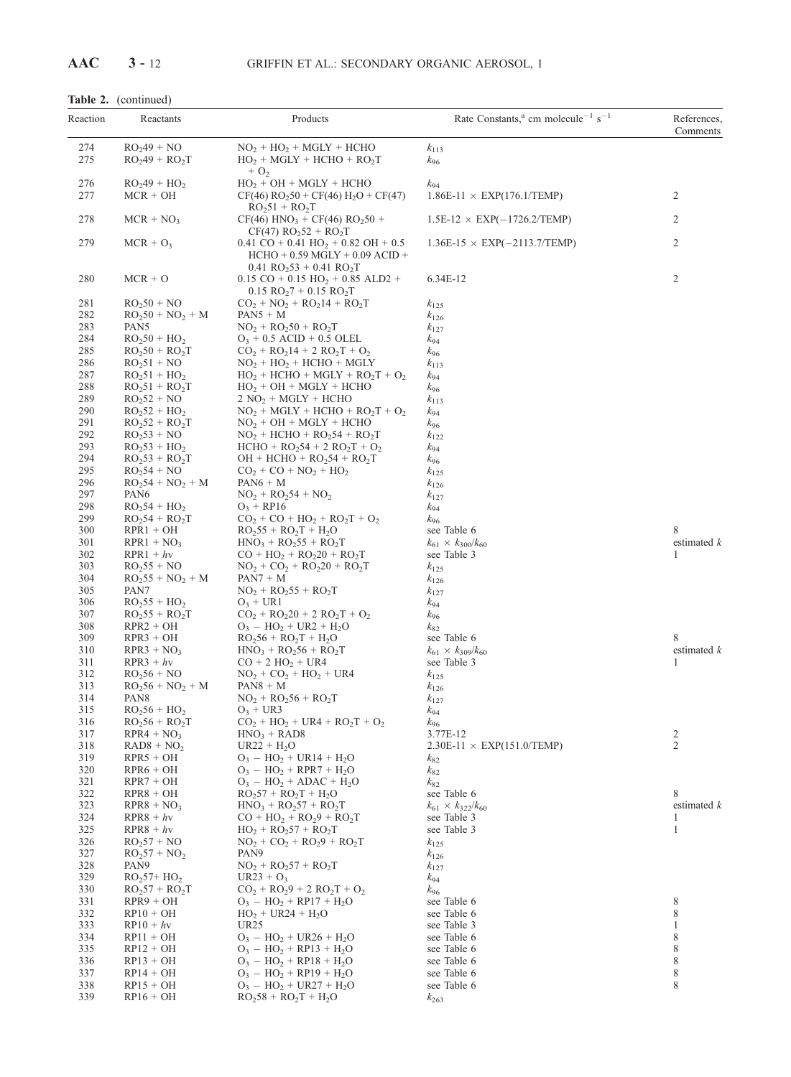## Table 2. (continued)

| Reaction   | Reactants                         | Products                                                                                                                            | Rate Constants, <sup>a</sup> cm molecule <sup>-1</sup> s <sup>-1</sup> | References,<br>Comments |
|------------|-----------------------------------|-------------------------------------------------------------------------------------------------------------------------------------|------------------------------------------------------------------------|-------------------------|
| 274        | $RO249 + NO$                      | $NO2 + HO2 + MGLY + HCHO$                                                                                                           | $k_{113}$                                                              |                         |
| 275        | $RO249 + RO2T$                    | $HO_2 + MGLY + HCHO + RO_2T$<br>$+ O2$                                                                                              | $k_{96}$                                                               |                         |
| 276        | $RO249 + HO2$                     | $HO2 + OH + MGLY + HCHO$                                                                                                            | $k_{94}$                                                               |                         |
| 277        | $MCR + OH$                        | $CF(46) RO250 + CF(46) H2O + CF(47)$<br>$RO251 + RO2T$                                                                              | $1.86E-11 \times EXP(176.1/TEMP)$                                      | 2                       |
| 278        | $MCR + NO3$                       | $CF(46)$ HNO <sub>3</sub> + CF(46) RO <sub>2</sub> 50 +<br>$CF(47) RO252 + RO2T$                                                    | $1.5E-12 \times EXP(-1726.2/TEMP)$                                     | 2                       |
| 279        | $MCR + O_3$                       | $0.41 \text{ CO} + 0.41 \text{ HO}_2 + 0.82 \text{ OH} + 0.5$<br>$HCHO + 0.59 MGLY + 0.09 ACID +$<br>$0.41 \ RO_253 + 0.41 \ RO_2T$ | $1.36E-15 \times EXP(-2113.7/TEMP)$                                    | $\overline{c}$          |
| 280        | $MCR + O$                         | $0.15 \text{ CO} + 0.15 \text{ HO}_2 + 0.85 \text{ ALD2} +$<br>$0.15$ RO <sub>2</sub> 7 + 0.15 RO <sub>2</sub> T                    | 6.34E-12                                                               | $\overline{c}$          |
| 281        | $RO250 + NO$                      | $CO_2 + NO_2 + RO_214 + RO_2T$                                                                                                      | $k_{125}$                                                              |                         |
| 282        | $RO250 + NO2 + M$                 | $PAN5 + M$                                                                                                                          | $k_{126}$                                                              |                         |
| 283        | PAN5                              | $NO_2 + RO_250 + RO_2T$                                                                                                             | $k_{127}$                                                              |                         |
| 284        | $RO250 + HO2$                     | $O_3 + 0.5$ ACID + 0.5 OLEL                                                                                                         | $k_{94}$                                                               |                         |
| 285        | $RO250 + RO2T$                    | $CO_2 + RO_214 + 2 RO_2T + O_2$                                                                                                     | $k_{96}$                                                               |                         |
| 286<br>287 | $RO251 + NO$<br>$RO251 + HO2$     | $NO2 + HO2 + HCHO + MGLY$                                                                                                           | $k_{113}$                                                              |                         |
| 288        | $RO251 + RO2T$                    | $HO_2$ + HCHO + MGLY + RO <sub>2</sub> T + O <sub>2</sub><br>$HO_2 + OH + MGLY + HCHO$                                              | $k_{94}$<br>$k_{96}$                                                   |                         |
| 289        | $RO252 + NO$                      | $2 NO2 + MGLY + HCHO$                                                                                                               | $k_{113}$                                                              |                         |
| 290        | $RO252 + HO2$                     | $NO2 + MGLY + HCHO + RO2T + O2$                                                                                                     | $k_{94}$                                                               |                         |
| 291        | $RO252 + RO2T$                    | $NO2 + OH + MGLY + HCHO$                                                                                                            | $k_{96}$                                                               |                         |
| 292        | $RO253 + NO$                      | $NO2 + HCHO + RO254 + RO2T$                                                                                                         | $k_{122}$                                                              |                         |
| 293        | $RO253 + HO2$                     | $HCHO + RO254 + 2 RO2T + O2$                                                                                                        | $k_{94}$                                                               |                         |
| 294        | $RO253 + RO2T$                    | $OH + HCHO + RO254 + RO2T$                                                                                                          | $k_{96}$                                                               |                         |
| 295<br>296 | $RO254 + NO$<br>$RO254 + NO2 + M$ | $CO_2 + CO + NO_2 + HO_2$<br>$PAN6 + M$                                                                                             | $k_{125}$<br>$k_{126}$                                                 |                         |
| 297        | PAN <sub>6</sub>                  | $NO_2 + RO_254 + NO_2$                                                                                                              | $k_{127}$                                                              |                         |
| 298        | $RO254 + HO2$                     | $O_3$ + RP16                                                                                                                        | $k_{94}$                                                               |                         |
| 299        | $RO254 + RO2T$                    | $CO_2 + CO + HO_2 + RO_2T + O_2$                                                                                                    | $k_{96}$                                                               |                         |
| 300        | $RPR1 + OH$                       | $RO255 + RO2T + H2O$                                                                                                                | see Table 6                                                            | 8                       |
| 301        | $RPR1 + NO_3$                     | $HNO3 + RO255 + RO2T$                                                                                                               | $k_{61} \times k_{300}/k_{60}$                                         | estimated $k$           |
| 302        | $RPR1 + hv$                       | $CO + HO2 + RO220 + RO2T$                                                                                                           | see Table 3                                                            | 1                       |
| 303<br>304 | $RO255 + NO$<br>$RO255 + NO2 + M$ | $NO_2 + CO_2 + RO_220 + RO_2T$<br>$PAN7 + M$                                                                                        | $k_{125}$                                                              |                         |
| 305        | PAN7                              | $NO_2 + RO_255 + RO_2T$                                                                                                             | $k_{126}$<br>$k_{127}$                                                 |                         |
| 306        | $RO255 + HO2$                     | $O_3$ + UR1                                                                                                                         | $k_{94}$                                                               |                         |
| 307        | $RO255 + RO2T$                    | $CO_2 + RO_220 + 2 RO_2T + O_2$                                                                                                     | $k_{96}$                                                               |                         |
| 308        | $RPR2 + OH$                       | $O_3 - HO_2 + UR2 + H_2O$                                                                                                           | $k_{82}$                                                               |                         |
| 309        | $RPR3 + OH$                       | $RO256 + RO2T + H2O$                                                                                                                | see Table 6                                                            | 8                       |
| 310        | $RPR3 + NO3$                      | $HNO_3 + RO_256 + RO_2T$                                                                                                            | $k_{61} \times k_{309}/k_{60}$                                         | estimated $k$           |
| 311<br>312 | $RPR3 + hv$<br>$RO256 + NO$       | $CO + 2 HO2 + UR4$<br>$NO2 + CO2 + HO2 + UR4$                                                                                       | see Table 3                                                            | 1                       |
| 313        | $RO256 + NO2 + M$                 | $PAN8 + M$                                                                                                                          | $k_{125}$<br>$k_{126}$                                                 |                         |
| 314        | PAN <sub>8</sub>                  | $NO_2 + RO_256 + RO_2T$                                                                                                             | $k_{127}$                                                              |                         |
| 315        | $RO256 + HO2$                     | $O_3$ + UR3                                                                                                                         | $k_{94}$                                                               |                         |
| 316        | $RO256 + RO2T$                    | $CO_2 + HO_2 + UR4 + RO_2T + O_2$                                                                                                   | $k_{96}$                                                               |                         |
| 317        | $RPR4 + NO3$                      | $HNO3 + RAD8$                                                                                                                       | 3.77E-12                                                               | 2                       |
| 318        | $RAD8 + NO2$                      | $UR22 + H_2O$                                                                                                                       | $2.30E-11 \times EXP(151.0/TEMP)$                                      | 2                       |
| 319<br>320 | $RPR5 + OH$<br>$RPR6 + OH$        | $O_3 - HO_2 + UR14 + H_2O$<br>$O_3 - HO_2 + RPR7 + H_2O$                                                                            | $k_{82}$                                                               |                         |
| 321        | $RPR7 + OH$                       | $O_3 - HO_2 + ADAC + H_2O$                                                                                                          | $k_{82}$<br>$k_{82}$                                                   |                         |
| 322        | $RPR8 + OH$                       | $RO257 + RO2T + H2O$                                                                                                                | see Table 6                                                            | 8                       |
| 323        | $RPR8 + NO3$                      | $HNO3 + RO257 + RO2T$                                                                                                               | $k_{61} \times k_{322}/k_{60}$                                         | estimated $k$           |
| 324        | $RPR8 + hv$                       | $CO + HO2 + RO29 + RO2T$                                                                                                            | see Table 3                                                            | 1                       |
| 325        | $RPR8 + hv$                       | $HO_2 + RO_257 + RO_2T$                                                                                                             | see Table 3                                                            | $\mathbf{1}$            |
| 326        | $RO257 + NO$                      | $NO_2 + CO_2 + RO_29 + RO_2T$                                                                                                       | $k_{125}$                                                              |                         |
| 327<br>328 | $RO257 + NO2$                     | PAN <sub>9</sub>                                                                                                                    | $k_{126}$                                                              |                         |
| 329        | PAN <sub>9</sub><br>$RO257+HO2$   | $NO_2 + RO_257 + RO_2T$<br>$UR23 + O_3$                                                                                             | $k_{127}$<br>$k_{94}$                                                  |                         |
| 330        | $RO257 + RO2T$                    | $CO_2 + RO_29 + 2 RO_2T + O_2$                                                                                                      | $k_{96}$                                                               |                         |
| 331        | $RPR9 + OH$                       | $O_3 - HO_2 + RPI7 + H_2O$                                                                                                          | see Table 6                                                            | 8                       |
| 332        | $RP10 + OH$                       | $HO_2 + UR24 + H_2O$                                                                                                                | see Table 6                                                            | 8                       |
| 333        | $RP10 + hy$                       | UR <sub>25</sub>                                                                                                                    | see Table 3                                                            | $\mathbf{1}$            |
| 334        | $RP11 + OH$                       | $O_3 - HO_2 + UR26 + H_2O$                                                                                                          | see Table 6                                                            | 8                       |
| 335        | $RP12 + OH$                       | $O_3 - HO_2 + RP13 + H_2O$                                                                                                          | see Table 6                                                            | 8                       |
| 336<br>337 | $RP13 + OH$                       | $O_3 - HO_2 + RPI8 + H_2O$                                                                                                          | see Table 6<br>see Table 6                                             | 8<br>8                  |
| 338        | $RP14 + OH$<br>$RP15 + OH$        | $O_3 - HO_2 + RP19 + H_2O$<br>$O_3 - HO_2 + UR27 + H_2O$                                                                            | see Table 6                                                            | 8                       |
| 339        | $RP16 + OH$                       | $RO258 + RO2T + H2O$                                                                                                                | $k_{263}$                                                              |                         |
|            |                                   |                                                                                                                                     |                                                                        |                         |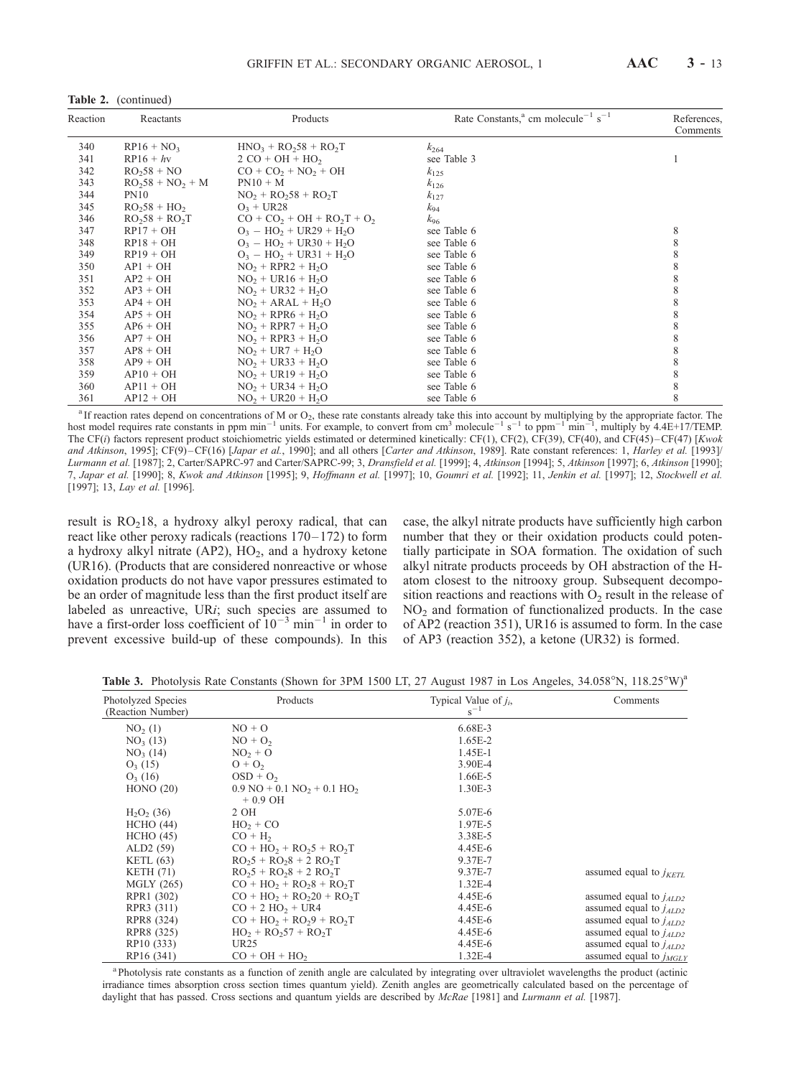| Reaction | Products<br>Reactants |                             | Rate Constants, <sup>a</sup> cm molecule <sup>-1</sup> s <sup>-1</sup> | References,<br>Comments |  |
|----------|-----------------------|-----------------------------|------------------------------------------------------------------------|-------------------------|--|
| 340      | $RP16 + NO_3$         | $HNO3 + RO258 + RO2T$       | $k_{264}$                                                              |                         |  |
| 341      | $RP16 + hv$           | $2 CO + OH + HO2$           | see Table 3                                                            |                         |  |
| 342      | $RO258 + NO$          | $CO + CO2 + NO2 + OH$       | $k_{125}$                                                              |                         |  |
| 343      | $RO258 + NO2 + M$     | $PN10 + M$                  | $k_{126}$                                                              |                         |  |
| 344      | <b>PN10</b>           | $NO2 + RO258 + RO2T$        | $k_{127}$                                                              |                         |  |
| 345      | $RO258 + HO2$         | $O_3$ + UR28                | $k_{94}$                                                               |                         |  |
| 346      | $RO258 + RO2T$        | $CO + CO2 + OH + RO2T + O2$ | $k_{96}$                                                               |                         |  |
| 347      | $RP17 + OH$           | $O_3 - HO_2 + UR29 + H_2O$  | see Table 6                                                            | 8                       |  |
| 348      | $RP18 + OH$           | $O_3 - HO_2 + UR30 + H_2O$  | see Table 6                                                            | 8                       |  |
| 349      | $RP19 + OH$           | $O_3 - HO_2 + UR31 + H_2O$  | see Table 6                                                            | 8                       |  |
| 350      | $AP1 + OH$            | $NO2 + RPR2 + H2O$          | see Table 6                                                            | 8                       |  |
| 351      | $AP2 + OH$            | $NO2 + UR16 + H2O$          | see Table 6                                                            | 8                       |  |
| 352      | $AP3 + OH$            | $NO2 + UR32 + H2O$          | see Table 6                                                            | 8                       |  |
| 353      | $AP4 + OH$            | $NO2 + ARAL + H2O$          | see Table 6                                                            | 8                       |  |
| 354      | $AP5 + OH$            | $NO2 + RPR6 + H2O$          | see Table 6                                                            | 8                       |  |
| 355      | $AP6 + OH$            | $NO2 + RPR7 + H2O$          | see Table 6                                                            | 8                       |  |
| 356      | $AP7 + OH$            | $NO2 + RPR3 + H2O$          | see Table 6                                                            | 8                       |  |
| 357      | $AP8 + OH$            | $NO2 + UR7 + H2O$           | see Table 6                                                            | 8                       |  |
| 358      | $AP9 + OH$            | $NO2 + UR33 + H2O$          | see Table 6                                                            | 8                       |  |
| 359      | $AP10 + OH$           | $NO2 + UR19 + H2O$          | see Table 6                                                            | 8                       |  |
| 360      | $AP11 + OH$           | $NO2 + UR34 + H2O$          | see Table 6                                                            | 8                       |  |
| 361      | $AP12 + OH$           | $NO2 + UR20 + H2O$          | see Table 6                                                            | 8                       |  |

Table 2. (continued)

<sup>a</sup> If reaction rates depend on concentrations of M or O<sub>2</sub>, these rate constants already take this into account by multiplying by the appropriate factor. The host model requires rate constants in ppm min<sup>-1</sup> units. For example, to convert from cm<sup>3</sup> molecule<sup>-1</sup> s<sup>-1</sup> to ppm<sup>-1</sup> min<sup>-1</sup>, multiply by 4.4E+17/TEMP. The CF(i) factors represent product stoichiometric yields estimated or determined kinetically: CF(1), CF(2), CF(39), CF(40), and CF(45)-CF(47) [Kwok and Atkinson, 1995]; CF(9)-CF(16) [Japar et al., 1990]; and all others [Carter and Atkinson, 1989]. Rate constant references: 1, Harley et al. [1993]/ Lurmann et al. [1987]; 2, Carter/SAPRC-97 and Carter/SAPRC-99; 3, Dransfield et al. [1999]; 4, Atkinson [1994]; 5, Atkinson [1997]; 6, Atkinson [1990]; 7, Japar et al. [1990]; 8, Kwok and Atkinson [1995]; 9, Hoffmann et al. [1997]; 10, Goumri et al. [1992]; 11, Jenkin et al. [1997]; 12, Stockwell et al. [1997]; 13, Lay et al. [1996].

result is  $RO<sub>2</sub>18$ , a hydroxy alkyl peroxy radical, that can react like other peroxy radicals (reactions  $170-172$ ) to form a hydroxy alkyl nitrate  $(AP2)$ ,  $HO<sub>2</sub>$ , and a hydroxy ketone (UR16). (Products that are considered nonreactive or whose oxidation products do not have vapor pressures estimated to be an order of magnitude less than the first product itself are labeled as unreactive, URi; such species are assumed to have a first-order loss coefficient of  $10^{-3}$  min<sup>-1</sup> in order to prevent excessive build-up of these compounds). In this case, the alkyl nitrate products have sufficiently high carbon number that they or their oxidation products could potentially participate in SOA formation. The oxidation of such alkyl nitrate products proceeds by OH abstraction of the Hatom closest to the nitrooxy group. Subsequent decomposition reactions and reactions with  $O<sub>2</sub>$  result in the release of  $NO<sub>2</sub>$  and formation of functionalized products. In the case of AP2 (reaction 351), UR16 is assumed to form. In the case of AP3 (reaction 352), a ketone (UR32) is formed.

Table 3. Photolysis Rate Constants (Shown for 3PM 1500 LT, 27 August 1987 in Los Angeles, 34.058°N, 118.25°W)<sup>a</sup>

| Photolyzed Species<br>(Reaction Number) | Products                                                             | Typical Value of $i_i$ ,<br>$s^{-1}$ | Comments                    |
|-----------------------------------------|----------------------------------------------------------------------|--------------------------------------|-----------------------------|
| NO <sub>2</sub> (1)                     | $NO + O$                                                             | 6.68E-3                              |                             |
| NO <sub>3</sub> (13)                    | $NO + O2$                                                            | 1.65E-2                              |                             |
| NO <sub>3</sub> (14)                    | $NO2 + O$                                                            | $1.45E-1$                            |                             |
| $O_3(15)$                               | $O + O2$                                                             | 3.90E-4                              |                             |
| $O_3(16)$                               | $OSD + O2$                                                           | 1.66E-5                              |                             |
| HONO(20)                                | $0.9 \text{ NO} + 0.1 \text{ NO}$ <sub>2</sub> + 0.1 HO <sub>2</sub> | 1.30E-3                              |                             |
|                                         | $+0.9$ OH                                                            |                                      |                             |
| $H_2O_2(36)$                            | 2 OH                                                                 | 5.07E-6                              |                             |
| HCHO (44)                               | $HO_2 + CO$                                                          | 1.97E-5                              |                             |
| HCHO(45)                                | $CO + H2$                                                            | 3.38E-5                              |                             |
| ALD <sub>2</sub> $(59)$                 | $CO + HO2 + RO25 + RO2T$                                             | 4.45E-6                              |                             |
| KETL $(63)$                             | $RO25 + RO28 + 2 RO2 T$                                              | 9.37E-7                              |                             |
| KETH $(71)$                             | $RO25 + RO28 + 2 RO2T$                                               | 9.37E-7                              | assumed equal to $j_{KETL}$ |
| MGLY (265)                              | $CO + HO2 + RO28 + RO2T$                                             | 1.32E-4                              |                             |
| RPR1 (302)                              | $CO + HO2 + RO220 + RO2T$                                            | 4.45E-6                              | assumed equal to $j_{ALD2}$ |
| RPR3 (311)                              | $CO + 2 HO2 + UR4$                                                   | 4.45E-6                              | assumed equal to $j_{ALD2}$ |
| RPR8 (324)                              | $CO + HO2 + RO29 + RO2T$                                             | 4.45E-6                              | assumed equal to $j_{ALD2}$ |
| RPR8 (325)                              | $HO_2 + RO_257 + RO_2T$                                              | 4.45E-6                              | assumed equal to $j_{ALD2}$ |
| RP10 (333)                              | UR <sub>25</sub>                                                     | 4.45E-6                              | assumed equal to $i_{ALD2}$ |
| RP16 (341)                              | $CO + OH + HO2$                                                      | 1.32E-4                              | assumed equal to $j_{MGLY}$ |

<sup>a</sup> Photolysis rate constants as a function of zenith angle are calculated by integrating over ultraviolet wavelengths the product (actinic irradiance times absorption cross section times quantum yield). Zenith angles are geometrically calculated based on the percentage of daylight that has passed. Cross sections and quantum yields are described by McRae [1981] and Lurmann et al. [1987].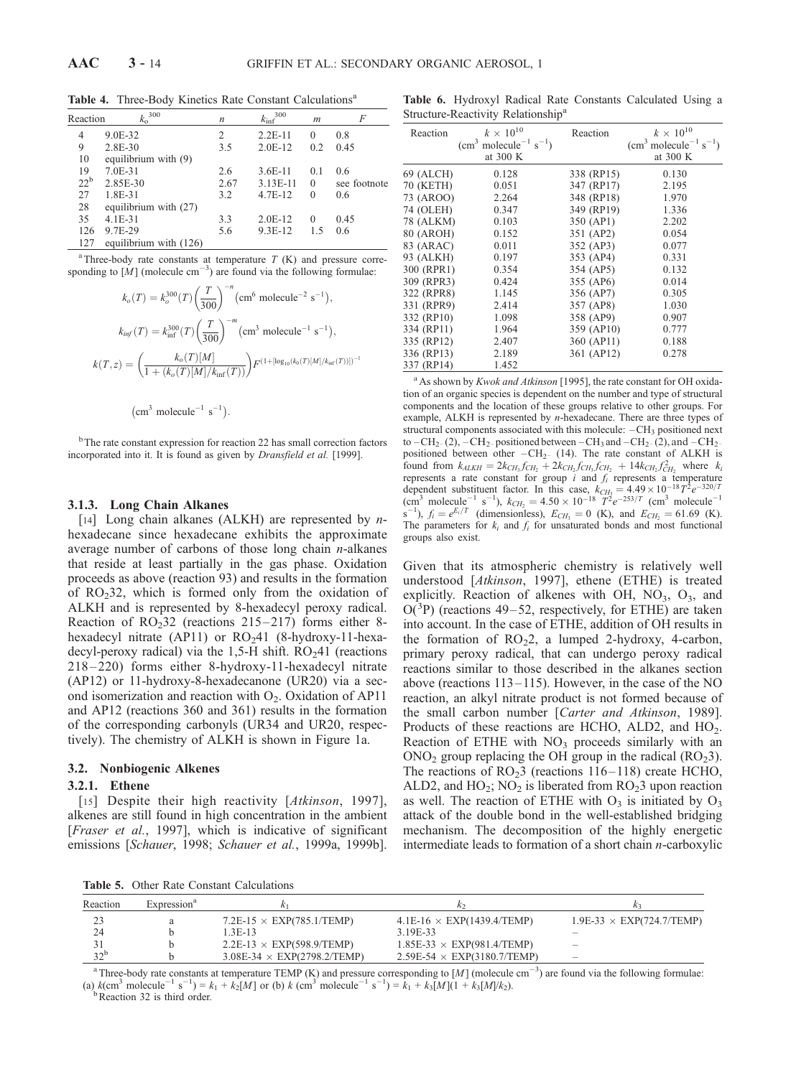| Reaction | $k_{\rm o}^{300}$        | n    | 300<br>$k_{\text{inf}}$ | m        | F            |
|----------|--------------------------|------|-------------------------|----------|--------------|
| 4        | 9.0E-32                  | 2    | $2.2E-11$               | $\theta$ | 0.8          |
| 9        | 2.8E-30                  | 3.5  | $2.0E-12$               | 0.2      | 0.45         |
| 10       | equilibrium with $(9)$   |      |                         |          |              |
| 19       | 7.0E-31                  | 2.6  | $3.6E-11$               | 0.1      | 0.6          |
| $22^b$   | 2.85E-30                 | 2.67 | 3.13E-11                | $\theta$ | see footnote |
| 27       | 1.8E-31                  | 3.2  | 4.7E-12                 | $\Omega$ | 0.6          |
| 28       | equilibrium with (27)    |      |                         |          |              |
| 35       | $4.1E - 31$              | 3.3  | $2.0E-12$               | $\Omega$ | 0.45         |
| 126      | 9.7E-29                  | 5.6  | $9.3E-12$               | 15       | 0.6          |
| 127      | equilibrium with $(126)$ |      |                         |          |              |

Table 4. Three-Body Kinetics Rate Constant Calculations<sup>a</sup>

<sup>a</sup> Three-body rate constants at temperature  $T(K)$  and pressure corresponding to  $\left[\dot{M}\right]$  (molecule cm<sup>-3</sup>) are found via the following formulae:

$$
k_o(T) = k_o^{300}(T) \left(\frac{T}{300}\right)^{-n} \left(\text{cm}^6 \text{ molecule}^{-2} \text{ s}^{-1}\right),
$$
  
\n
$$
k_{\text{inf}}(T) = k_{\text{inf}}^{300}(T) \left(\frac{T}{300}\right)^{-m} \left(\text{cm}^3 \text{ molecule}^{-1} \text{ s}^{-1}\right),
$$
  
\n
$$
k(T, z) = \left(\frac{k_o(T)[M]}{1 + (k_o(T)[M]/k_{\text{inf}}(T))}\right) F^{(1 + [\log_{10}(k_o(T)[M]/k_{\text{inf}}(T))])^{-1}}
$$

$$
(cm3 molecule-1 s-1).
$$

<sup>b</sup>The rate constant expression for reaction 22 has small correction factors incorporated into it. It is found as given by Dransfield et al. [1999].

#### 3.1.3. Long Chain Alkanes

[14] Long chain alkanes (ALKH) are represented by  $n$ hexadecane since hexadecane exhibits the approximate average number of carbons of those long chain  $n$ -alkanes that reside at least partially in the gas phase. Oxidation proceeds as above (reaction 93) and results in the formation of  $RO<sub>2</sub>32$ , which is formed only from the oxidation of ALKH and is represented by 8-hexadecyl peroxy radical. Reaction of  $RO<sub>2</sub>32$  (reactions 215–217) forms either 8hexadecyl nitrate (AP11) or  $RO<sub>2</sub>41$  (8-hydroxy-11-hexadecyl-peroxy radical) via the 1,5-H shift.  $RO<sub>2</sub>41$  (reactions 218 – 220) forms either 8-hydroxy-11-hexadecyl nitrate (AP12) or 11-hydroxy-8-hexadecanone (UR20) via a second isomerization and reaction with  $O_2$ . Oxidation of AP11 and AP12 (reactions 360 and 361) results in the formation of the corresponding carbonyls (UR34 and UR20, respectively). The chemistry of ALKH is shown in Figure 1a.

#### 3.2. Nonbiogenic Alkenes

#### 3.2.1. Ethene

[15] Despite their high reactivity [Atkinson, 1997], alkenes are still found in high concentration in the ambient [Fraser et al., 1997], which is indicative of significant emissions [Schauer, 1998; Schauer et al., 1999a, 1999b].

Table 6. Hydroxyl Radical Rate Constants Calculated Using a Structure-Reactivity Relationship<sup>a</sup>

| Reaction   | $k \times 10^{10}$<br>$(cm3 molecule-1 s-1)$<br>at 300 K | Reaction   | $k \times 10^{10}$<br>$(cm3 molecule-1 s-1)$<br>at 300 K |
|------------|----------------------------------------------------------|------------|----------------------------------------------------------|
| 69 (ALCH)  | 0.128                                                    | 338 (RP15) | 0.130                                                    |
| 70 (KETH)  | 0.051                                                    | 347 (RP17) | 2.195                                                    |
| 73 (AROO)  | 2.264                                                    | 348 (RP18) | 1.970                                                    |
| 74 (OLEH)  | 0.347                                                    | 349 (RP19) | 1.336                                                    |
| 78 (ALKM)  | 0.103                                                    | 350 (AP1)  | 2.202                                                    |
| 80 (AROH)  | 0.152                                                    | 351 (AP2)  | 0.054                                                    |
| 83 (ARAC)  | 0.011                                                    | 352 (AP3)  | 0.077                                                    |
| 93 (ALKH)  | 0.197                                                    | 353 (AP4)  | 0.331                                                    |
| 300 (RPR1) | 0.354                                                    | 354 (AP5)  | 0.132                                                    |
| 309 (RPR3) | 0.424                                                    | 355 (AP6)  | 0.014                                                    |
| 322 (RPR8) | 1.145                                                    | 356 (AP7)  | 0.305                                                    |
| 331 (RPR9) | 2.414                                                    | 357 (AP8)  | 1.030                                                    |
| 332 (RP10) | 1.098                                                    | 358 (AP9)  | 0.907                                                    |
| 334 (RP11) | 1.964                                                    | 359 (AP10) | 0.777                                                    |
| 335 (RP12) | 2.407                                                    | 360 (AP11) | 0.188                                                    |
| 336 (RP13) | 2.189                                                    | 361 (AP12) | 0.278                                                    |
| 337 (RP14) | 1.452                                                    |            |                                                          |

 $a$ As shown by Kwok and Atkinson [1995], the rate constant for OH oxidation of an organic species is dependent on the number and type of structural components and the location of these groups relative to other groups. For example, ALKH is represented by n-hexadecane. There are three types of structural components associated with this molecule:  $-CH_3$  positioned next to  $-CH_{2-}(2)$ ,  $-CH_{2-}$  positioned between  $-CH_{3}$  and  $-CH_{2-}(2)$ , and  $-CH_{2-}$ positioned between other  $-CH_{2-}$  (14). The rate constant of ALKH is found from  $k_{ALKH} = 2k_{CH_3}f_{CH_2} + 2k_{CH_2}f_{CH_3}f_{CH_2} + 14k_{CH_2}f_{CH_2}^2$  where  $k_i$ represents a rate constant for group  $\vec{i}$  and  $f_i$  represents a temperature dependent substituent factor. In this case,  $k_{CH_3} = 4.49 \times 10^{-18} T^2 e^{-320/T}$ (cm<sup>3</sup> molecule<sup>-1</sup> s<sup>-1</sup>),  $k_{CH_2} = 4.50 \times 10^{-18} \text{ T}^2 e^{-253/T}$  (cm<sup>3</sup> molecule<sup>-1</sup>)  $S^{-1}$ ),  $f_i = e^{E_i/T}$  (dimensionless),  $E_{CH_3} = 0$  (K), and  $E_{CH_2} = 61.69$  (K). The parameters for  $k_i$  and  $f_i$  for unsaturated bonds and most functional groups also exist.

Given that its atmospheric chemistry is relatively well understood [Atkinson, 1997], ethene (ETHE) is treated explicitly. Reaction of alkenes with OH,  $NO<sub>3</sub>$ ,  $O<sub>3</sub>$ , and  $O(^{3}P)$  (reactions 49–52, respectively, for ETHE) are taken into account. In the case of ETHE, addition of OH results in the formation of  $RO<sub>2</sub>2$ , a lumped 2-hydroxy, 4-carbon, primary peroxy radical, that can undergo peroxy radical reactions similar to those described in the alkanes section above (reactions  $113-115$ ). However, in the case of the NO reaction, an alkyl nitrate product is not formed because of the small carbon number [Carter and Atkinson, 1989]. Products of these reactions are HCHO, ALD2, and  $HO<sub>2</sub>$ . Reaction of ETHE with  $NO<sub>3</sub>$  proceeds similarly with an  $\rm ONO_2$  group replacing the OH group in the radical ( $\rm RO_23$ ). The reactions of  $RO<sub>2</sub>3$  (reactions 116–118) create HCHO, ALD2, and  $HO_2$ ; NO<sub>2</sub> is liberated from RO<sub>2</sub>3 upon reaction as well. The reaction of ETHE with  $O_3$  is initiated by  $O_3$ attack of the double bond in the well-established bridging mechanism. The decomposition of the highly energetic intermediate leads to formation of a short chain  $n$ -carboxylic

Table 5. Other Rate Constant Calculations

| Reaction        | Expression <sup>®</sup> |                                    |                                    |                                  |
|-----------------|-------------------------|------------------------------------|------------------------------------|----------------------------------|
|                 | a                       | $7.2E-15 \times EXP(785.1/TEMP)$   | $4.1E-16 \times EXP(1439.4/TEMP)$  | $1.9E-33 \times EXP(724.7/TEMP)$ |
| 24              |                         | 13E-13                             | 3 19E-33                           |                                  |
|                 |                         | $2.2E-13 \times EXP(598.9/TEMP)$   | $1.85E-33 \times EXP(981.4/TEMP)$  | -                                |
| 32 <sup>b</sup> |                         | $3.08E-34 \times EXP(2798.2/TEMP)$ | $2.59E-54 \times EXP(3180.7/TEMP)$ | -                                |

<sup>a</sup> Three-body rate constants at temperature TEMP (K) and pressure corresponding to [M] (molecule cm<sup>-3</sup>) are found via the following formulae: (a)  $k(\text{cm}^3 \text{ molecule}^{-1} \text{ s}^{-1}) = k_1 + k_2[M]$  or (b)  $k(\text{cm}^3 \text{ molecule}^{-1} \text{ s}^{-1}) = k_1 + k_3[M](1 + k_3[M]/k_2)$ .<br>
b Reaction 32 is third order.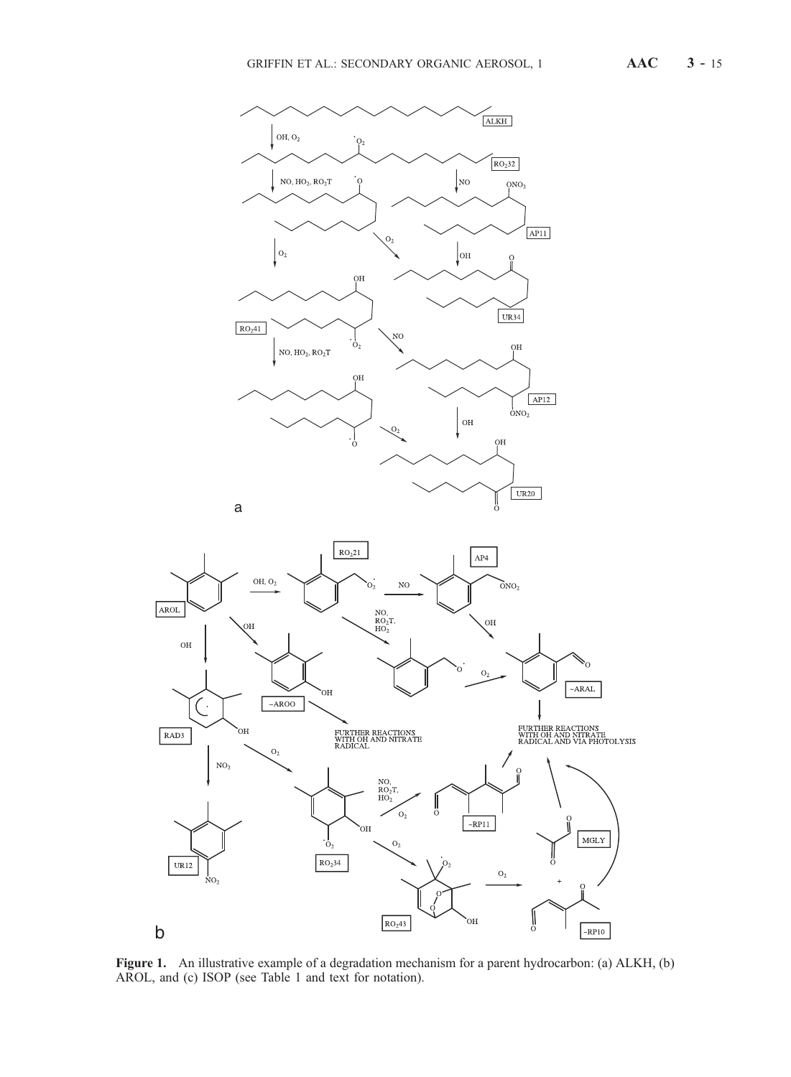

Figure 1. An illustrative example of a degradation mechanism for a parent hydrocarbon: (a) ALKH, (b) AROL, and (c) ISOP (see Table 1 and text for notation).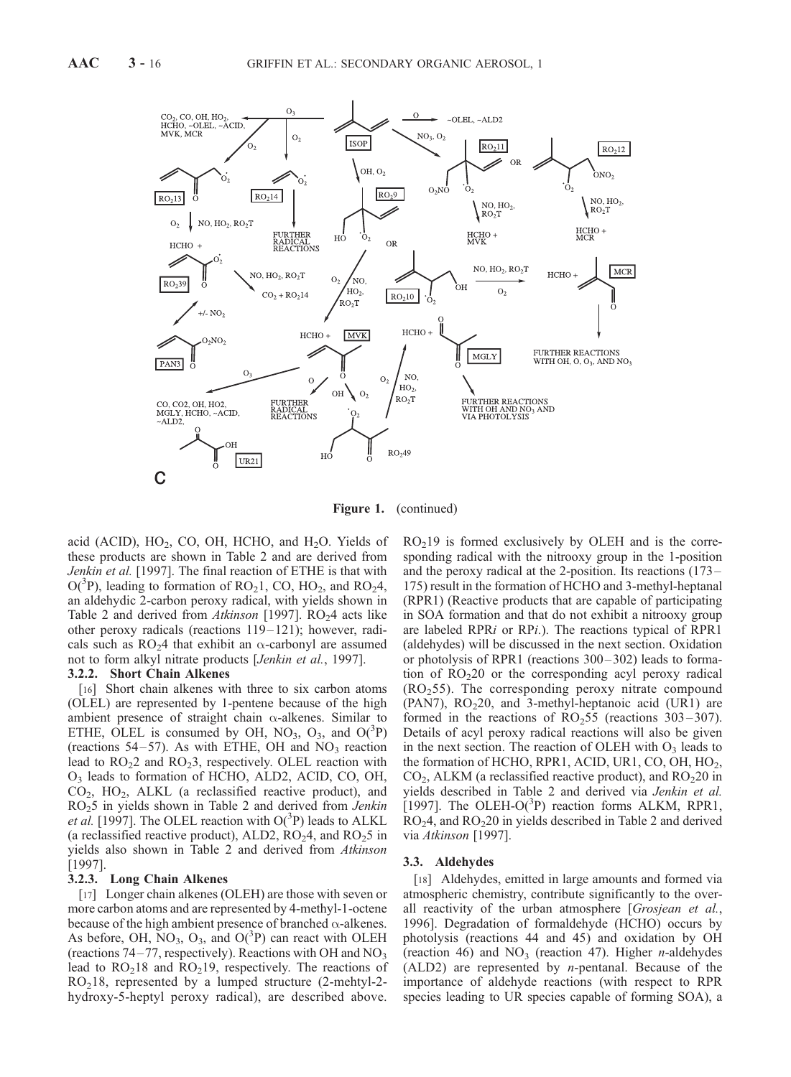

Figure 1. (continued)

acid (ACID),  $HO_2$ , CO, OH, HCHO, and H<sub>2</sub>O. Yields of these products are shown in Table 2 and are derived from Jenkin et al. [1997]. The final reaction of ETHE is that with  $O(^3P)$ , leading to formation of RO<sub>2</sub>1, CO, HO<sub>2</sub>, and RO<sub>2</sub>4, an aldehydic 2-carbon peroxy radical, with yields shown in Table 2 and derived from Atkinson [1997].  $RO<sub>2</sub>4$  acts like other peroxy radicals (reactions 119– 121); however, radicals such as  $RO<sub>2</sub>4$  that exhibit an  $\alpha$ -carbonyl are assumed not to form alkyl nitrate products [Jenkin et al., 1997].

## 3.2.2. Short Chain Alkenes

[16] Short chain alkenes with three to six carbon atoms (OLEL) are represented by 1-pentene because of the high ambient presence of straight chain  $\alpha$ -alkenes. Similar to ETHE, OLEL is consumed by OH,  $NO<sub>3</sub>$ ,  $O<sub>3</sub>$ , and  $O(^{3}P)$ (reactions  $54-57$ ). As with ETHE, OH and NO<sub>3</sub> reaction lead to  $RO<sub>2</sub>2$  and  $RO<sub>2</sub>3$ , respectively. OLEL reaction with O3 leads to formation of HCHO, ALD2, ACID, CO, OH, CO2, HO2, ALKL (a reclassified reactive product), and  $RO<sub>2</sub>5$  in yields shown in Table 2 and derived from *Jenkin* et al. [1997]. The OLEL reaction with  $O(^3P)$  leads to ALKL (a reclassified reactive product), ALD2,  $RO<sub>2</sub>4$ , and  $RO<sub>2</sub>5$  in yields also shown in Table 2 and derived from Atkinson [1997].

#### 3.2.3. Long Chain Alkenes

[17] Longer chain alkenes (OLEH) are those with seven or more carbon atoms and are represented by 4-methyl-1-octene because of the high ambient presence of branched  $\alpha$ -alkenes. As before, OH,  $\text{NO}_3$ ,  $\text{O}_3$ , and  $\text{O}(^3\text{P})$  can react with OLEH (reactions  $74-77$ , respectively). Reactions with OH and NO<sub>3</sub> lead to  $RO<sub>2</sub>18$  and  $RO<sub>2</sub>19$ , respectively. The reactions of  $RO<sub>2</sub>18$ , represented by a lumped structure (2-mehtyl-2hydroxy-5-heptyl peroxy radical), are described above.

 $RO<sub>2</sub>19$  is formed exclusively by OLEH and is the corresponding radical with the nitrooxy group in the 1-position and the peroxy radical at the 2-position. Its reactions (173– 175) result in the formation of HCHO and 3-methyl-heptanal (RPR1) (Reactive products that are capable of participating in SOA formation and that do not exhibit a nitrooxy group are labeled RPRi or RPi.). The reactions typical of RPR1 (aldehydes) will be discussed in the next section. Oxidation or photolysis of RPR1 (reactions 300– 302) leads to formation of  $RO<sub>2</sub>20$  or the corresponding acyl peroxy radical  $(RO<sub>2</sub>55)$ . The corresponding peroxy nitrate compound (PAN7),  $RO<sub>2</sub>20$ , and 3-methyl-heptanoic acid (UR1) are formed in the reactions of  $RO<sub>2</sub>55$  (reactions 303–307). Details of acyl peroxy radical reactions will also be given in the next section. The reaction of OLEH with  $O<sub>3</sub>$  leads to the formation of HCHO, RPR1, ACID, UR1, CO, OH,  $HO<sub>2</sub>$ ,  $CO<sub>2</sub>$ , ALKM (a reclassified reactive product), and  $RO<sub>2</sub>20$  in yields described in Table 2 and derived via Jenkin et al. [1997]. The OLEH-O( $3P$ ) reaction forms ALKM, RPR1,  $RO<sub>2</sub>4$ , and  $RO<sub>2</sub>20$  in yields described in Table 2 and derived via Atkinson [1997].

#### 3.3. Aldehydes

[18] Aldehydes, emitted in large amounts and formed via atmospheric chemistry, contribute significantly to the overall reactivity of the urban atmosphere [Grosjean et al., 1996]. Degradation of formaldehyde (HCHO) occurs by photolysis (reactions 44 and 45) and oxidation by OH (reaction 46) and  $NO<sub>3</sub>$  (reaction 47). Higher *n*-aldehydes  $(ALD2)$  are represented by *n*-pentanal. Because of the importance of aldehyde reactions (with respect to RPR species leading to UR species capable of forming SOA), a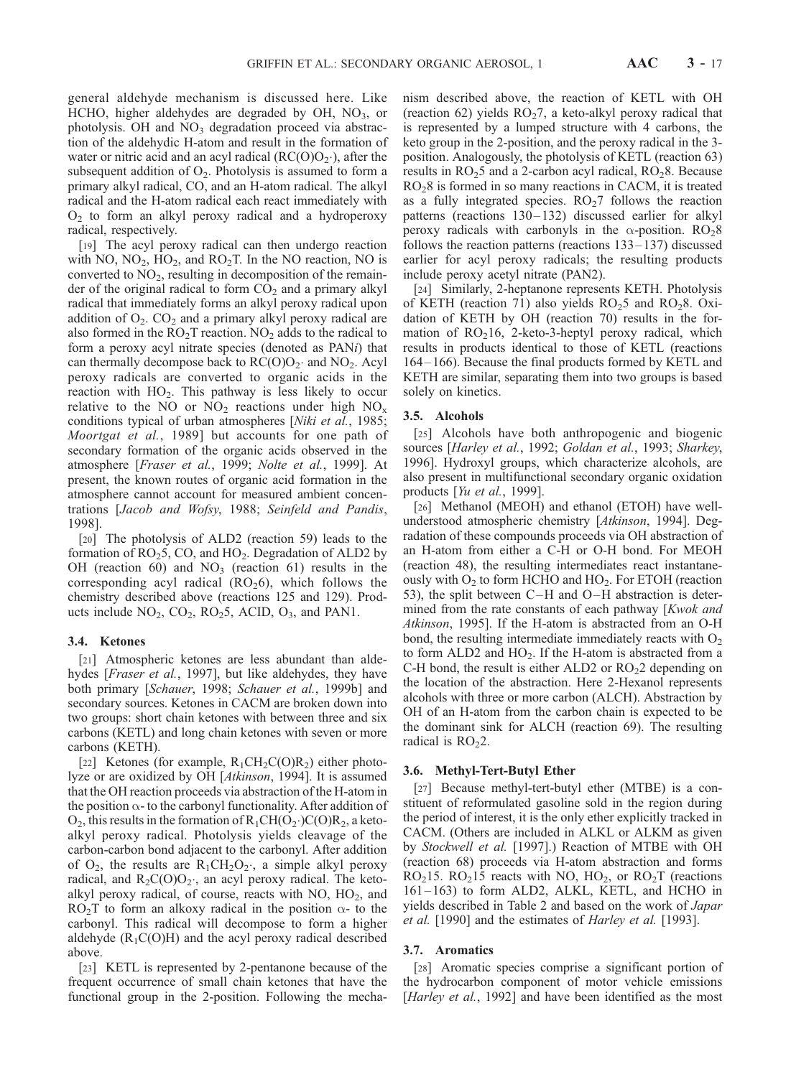general aldehyde mechanism is discussed here. Like HCHO, higher aldehydes are degraded by OH,  $NO<sub>3</sub>$ , or photolysis. OH and  $NO<sub>3</sub>$  degradation proceed via abstraction of the aldehydic H-atom and result in the formation of water or nitric acid and an acyl radical  $(RC(O)O<sub>2</sub>$ <sup>0</sup>), after the subsequent addition of  $O<sub>2</sub>$ . Photolysis is assumed to form a primary alkyl radical, CO, and an H-atom radical. The alkyl radical and the H-atom radical each react immediately with  $O<sub>2</sub>$  to form an alkyl peroxy radical and a hydroperoxy radical, respectively.

[19] The acyl peroxy radical can then undergo reaction with NO,  $NO<sub>2</sub>$ , HO<sub>2</sub>, and RO<sub>2</sub>T. In the NO reaction, NO is converted to  $NO<sub>2</sub>$ , resulting in decomposition of the remainder of the original radical to form  $CO<sub>2</sub>$  and a primary alkyl radical that immediately forms an alkyl peroxy radical upon addition of  $O_2$ .  $CO_2$  and a primary alkyl peroxy radical are also formed in the  $RO<sub>2</sub>T$  reaction. NO<sub>2</sub> adds to the radical to form a peroxy acyl nitrate species (denoted as PANi) that can thermally decompose back to  $RC(O)O<sub>2</sub>$  and  $NO<sub>2</sub>$ . Acyl peroxy radicals are converted to organic acids in the reaction with  $HO<sub>2</sub>$ . This pathway is less likely to occur relative to the NO or  $NO<sub>2</sub>$  reactions under high  $NO<sub>x</sub>$ conditions typical of urban atmospheres [Niki et al., 1985; Moortgat et al., 1989] but accounts for one path of secondary formation of the organic acids observed in the atmosphere [Fraser et al., 1999; Nolte et al., 1999]. At present, the known routes of organic acid formation in the atmosphere cannot account for measured ambient concentrations [Jacob and Wofsy, 1988; Seinfeld and Pandis, 1998].

[20] The photolysis of ALD2 (reaction 59) leads to the formation of  $RO<sub>2</sub>5$ , CO, and  $HO<sub>2</sub>$ . Degradation of ALD2 by OH (reaction 60) and  $NO<sub>3</sub>$  (reaction 61) results in the corresponding acyl radical  $(RO<sub>2</sub>6)$ , which follows the chemistry described above (reactions 125 and 129). Products include  $NO_2$ ,  $CO_2$ ,  $RO_25$ , ACID,  $O_3$ , and PAN1.

## 3.4. Ketones

[21] Atmospheric ketones are less abundant than aldehydes [*Fraser et al.*, 1997], but like aldehydes, they have both primary [Schauer, 1998; Schauer et al., 1999b] and secondary sources. Ketones in CACM are broken down into two groups: short chain ketones with between three and six carbons (KETL) and long chain ketones with seven or more carbons (KETH).

[22] Ketones (for example,  $R_1CH_2C(O)R_2$ ) either photolyze or are oxidized by OH [Atkinson, 1994]. It is assumed that the OH reaction proceeds via abstraction of the H-atom in the position  $\alpha$ - to the carbonyl functionality. After addition of  $O_2$ , this results in the formation of  $R_1CH(O_2\cdot)C(O)R_2$ , a ketoalkyl peroxy radical. Photolysis yields cleavage of the carbon-carbon bond adjacent to the carbonyl. After addition of  $O_2$ , the results are  $R_1CH_2O_2$ , a simple alkyl peroxy radical, and  $R_2C(O)O_2$ , an acyl peroxy radical. The ketoalkyl peroxy radical, of course, reacts with  $NO$ ,  $HO<sub>2</sub>$ , and  $RO<sub>2</sub>T$  to form an alkoxy radical in the position  $\alpha$ - to the carbonyl. This radical will decompose to form a higher aldehyde  $(R_1C(O)H)$  and the acyl peroxy radical described above.

[23] KETL is represented by 2-pentanone because of the frequent occurrence of small chain ketones that have the functional group in the 2-position. Following the mechanism described above, the reaction of KETL with OH (reaction 62) yields  $RO<sub>2</sub>7$ , a keto-alkyl peroxy radical that is represented by a lumped structure with 4 carbons, the keto group in the 2-position, and the peroxy radical in the 3 position. Analogously, the photolysis of KETL (reaction 63) results in  $RO<sub>2</sub>5$  and a 2-carbon acyl radical,  $RO<sub>2</sub>8$ . Because  $RO<sub>2</sub>8$  is formed in so many reactions in CACM, it is treated as a fully integrated species.  $RO<sub>2</sub>7$  follows the reaction patterns (reactions  $130 - 132$ ) discussed earlier for alkyl peroxy radicals with carbonyls in the  $\alpha$ -position. RO<sub>2</sub>8 follows the reaction patterns (reactions 133–137) discussed earlier for acyl peroxy radicals; the resulting products include peroxy acetyl nitrate (PAN2).

[24] Similarly, 2-heptanone represents KETH. Photolysis of KETH (reaction 71) also yields  $RO<sub>2</sub>5$  and  $RO<sub>2</sub>8$ . Oxidation of KETH by OH (reaction 70) results in the formation of  $RO<sub>2</sub>16$ , 2-keto-3-heptyl peroxy radical, which results in products identical to those of KETL (reactions 164– 166). Because the final products formed by KETL and KETH are similar, separating them into two groups is based solely on kinetics.

## 3.5. Alcohols

[25] Alcohols have both anthropogenic and biogenic sources [Harley et al., 1992; Goldan et al., 1993; Sharkey, 1996]. Hydroxyl groups, which characterize alcohols, are also present in multifunctional secondary organic oxidation products [Yu et al., 1999].

[26] Methanol (MEOH) and ethanol (ETOH) have wellunderstood atmospheric chemistry [Atkinson, 1994]. Degradation of these compounds proceeds via OH abstraction of an H-atom from either a C-H or O-H bond. For MEOH (reaction 48), the resulting intermediates react instantaneously with  $O_2$  to form HCHO and HO<sub>2</sub>. For ETOH (reaction 53), the split between  $C-H$  and  $O-H$  abstraction is determined from the rate constants of each pathway [Kwok and Atkinson, 1995]. If the H-atom is abstracted from an O-H bond, the resulting intermediate immediately reacts with  $O<sub>2</sub>$ to form  $ALD2$  and  $HO<sub>2</sub>$ . If the H-atom is abstracted from a C-H bond, the result is either ALD2 or  $RO<sub>2</sub>2$  depending on the location of the abstraction. Here 2-Hexanol represents alcohols with three or more carbon (ALCH). Abstraction by OH of an H-atom from the carbon chain is expected to be the dominant sink for ALCH (reaction 69). The resulting radical is  $RO<sub>2</sub>2$ .

#### 3.6. Methyl-Tert-Butyl Ether

[27] Because methyl-tert-butyl ether (MTBE) is a constituent of reformulated gasoline sold in the region during the period of interest, it is the only ether explicitly tracked in CACM. (Others are included in ALKL or ALKM as given by Stockwell et al. [1997].) Reaction of MTBE with OH (reaction 68) proceeds via H-atom abstraction and forms  $RO<sub>2</sub>15$ .  $RO<sub>2</sub>15$  reacts with NO,  $HO<sub>2</sub>$ , or  $RO<sub>2</sub>T$  (reactions 161– 163) to form ALD2, ALKL, KETL, and HCHO in yields described in Table 2 and based on the work of Japar et al. [1990] and the estimates of Harley et al. [1993].

#### 3.7. Aromatics

[28] Aromatic species comprise a significant portion of the hydrocarbon component of motor vehicle emissions [*Harley et al.*, 1992] and have been identified as the most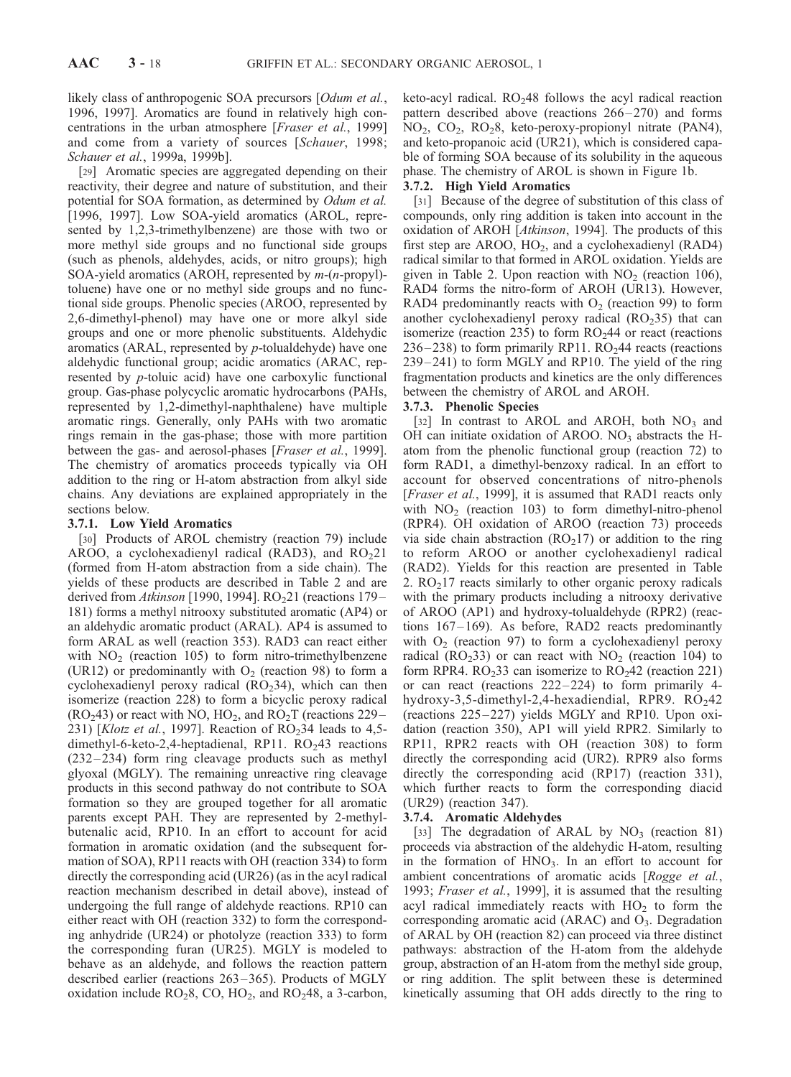likely class of anthropogenic SOA precursors [Odum et al., 1996, 1997]. Aromatics are found in relatively high concentrations in the urban atmosphere [Fraser et al., 1999] and come from a variety of sources [Schauer, 1998; Schauer et al., 1999a, 1999b].

[29] Aromatic species are aggregated depending on their reactivity, their degree and nature of substitution, and their potential for SOA formation, as determined by Odum et al. [1996, 1997]. Low SOA-yield aromatics (AROL, represented by 1,2,3-trimethylbenzene) are those with two or more methyl side groups and no functional side groups (such as phenols, aldehydes, acids, or nitro groups); high SOA-yield aromatics (AROH, represented by m-(n-propyl) toluene) have one or no methyl side groups and no functional side groups. Phenolic species (AROO, represented by 2,6-dimethyl-phenol) may have one or more alkyl side groups and one or more phenolic substituents. Aldehydic aromatics (ARAL, represented by p-tolualdehyde) have one aldehydic functional group; acidic aromatics (ARAC, represented by p-toluic acid) have one carboxylic functional group. Gas-phase polycyclic aromatic hydrocarbons (PAHs, represented by 1,2-dimethyl-naphthalene) have multiple aromatic rings. Generally, only PAHs with two aromatic rings remain in the gas-phase; those with more partition between the gas- and aerosol-phases [Fraser et al., 1999]. The chemistry of aromatics proceeds typically via OH addition to the ring or H-atom abstraction from alkyl side chains. Any deviations are explained appropriately in the sections below.

## 3.7.1. Low Yield Aromatics

[30] Products of AROL chemistry (reaction 79) include AROO, a cyclohexadienyl radical (RAD3), and  $RO<sub>2</sub>21$ (formed from H-atom abstraction from a side chain). The yields of these products are described in Table 2 and are derived from Atkinson [1990, 1994].  $RO<sub>2</sub>21$  (reactions 179 – 181) forms a methyl nitrooxy substituted aromatic (AP4) or an aldehydic aromatic product (ARAL). AP4 is assumed to form ARAL as well (reaction 353). RAD3 can react either with  $NO<sub>2</sub>$  (reaction 105) to form nitro-trimethylbenzene (UR12) or predominantly with  $O_2$  (reaction 98) to form a cyclohexadienyl peroxy radical  $(RO<sub>2</sub>34)$ , which can then isomerize (reaction 228) to form a bicyclic peroxy radical  $(RO<sub>2</sub>43)$  or react with NO, HO<sub>2</sub>, and RO<sub>2</sub>T (reactions 229– 231) [Klotz et al., 1997]. Reaction of  $RO<sub>2</sub>34$  leads to 4,5dimethyl-6-keto-2,4-heptadienal, RP11.  $RO<sub>2</sub>43$  reactions  $(232-234)$  form ring cleavage products such as methyl glyoxal (MGLY). The remaining unreactive ring cleavage products in this second pathway do not contribute to SOA formation so they are grouped together for all aromatic parents except PAH. They are represented by 2-methylbutenalic acid, RP10. In an effort to account for acid formation in aromatic oxidation (and the subsequent formation of SOA), RP11 reacts with OH (reaction 334) to form directly the corresponding acid (UR26) (as in the acyl radical reaction mechanism described in detail above), instead of undergoing the full range of aldehyde reactions. RP10 can either react with OH (reaction 332) to form the corresponding anhydride (UR24) or photolyze (reaction 333) to form the corresponding furan (UR25). MGLY is modeled to behave as an aldehyde, and follows the reaction pattern described earlier (reactions 263 – 365). Products of MGLY oxidation include  $RO<sub>2</sub>8$ ,  $CO$ ,  $HO<sub>2</sub>$ , and  $RO<sub>2</sub>48$ , a 3-carbon,

keto-acyl radical.  $RO<sub>2</sub>48$  follows the acyl radical reaction pattern described above (reactions  $266 - 270$ ) and forms NO<sub>2</sub>, CO<sub>2</sub>, RO<sub>2</sub>8, keto-peroxy-propionyl nitrate (PAN4), and keto-propanoic acid (UR21), which is considered capable of forming SOA because of its solubility in the aqueous phase. The chemistry of AROL is shown in Figure 1b.

## 3.7.2. High Yield Aromatics

[31] Because of the degree of substitution of this class of compounds, only ring addition is taken into account in the oxidation of AROH [Atkinson, 1994]. The products of this first step are AROO,  $HO<sub>2</sub>$ , and a cyclohexadienyl (RAD4) radical similar to that formed in AROL oxidation. Yields are given in Table 2. Upon reaction with  $NO<sub>2</sub>$  (reaction 106), RAD4 forms the nitro-form of AROH (UR13). However, RAD4 predominantly reacts with  $O_2$  (reaction 99) to form another cyclohexadienyl peroxy radical  $(RO<sub>2</sub>35)$  that can isomerize (reaction 235) to form  $RO<sub>2</sub>44$  or react (reactions  $236 - 238$ ) to form primarily RP11. RO<sub>2</sub>44 reacts (reactions 239– 241) to form MGLY and RP10. The yield of the ring fragmentation products and kinetics are the only differences between the chemistry of AROL and AROH.

## 3.7.3. Phenolic Species

[32] In contrast to AROL and AROH, both  $NO<sub>3</sub>$  and OH can initiate oxidation of AROO.  $NO<sub>3</sub>$  abstracts the Hatom from the phenolic functional group (reaction 72) to form RAD1, a dimethyl-benzoxy radical. In an effort to account for observed concentrations of nitro-phenols [Fraser et al., 1999], it is assumed that RAD1 reacts only with  $NO<sub>2</sub>$  (reaction 103) to form dimethyl-nitro-phenol (RPR4). OH oxidation of AROO (reaction 73) proceeds via side chain abstraction  $(RO<sub>2</sub>17)$  or addition to the ring to reform AROO or another cyclohexadienyl radical (RAD2). Yields for this reaction are presented in Table 2.  $RO<sub>2</sub>17$  reacts similarly to other organic peroxy radicals with the primary products including a nitrooxy derivative of AROO (AP1) and hydroxy-tolualdehyde (RPR2) (reactions  $167 - 169$ ). As before, RAD2 reacts predominantly with  $O_2$  (reaction 97) to form a cyclohexadienyl peroxy radical ( $RO<sub>2</sub>33$ ) or can react with  $NO<sub>2</sub>$  (reaction 104) to form RPR4.  $RO<sub>2</sub>33$  can isomerize to  $RO<sub>2</sub>42$  (reaction 221) or can react (reactions  $222-224$ ) to form primarily 4hydroxy-3,5-dimethyl-2,4-hexadiendial, RPR9.  $RO<sub>2</sub>42$ (reactions 225 – 227) yields MGLY and RP10. Upon oxidation (reaction 350), AP1 will yield RPR2. Similarly to RP11, RPR2 reacts with OH (reaction 308) to form directly the corresponding acid (UR2). RPR9 also forms directly the corresponding acid (RP17) (reaction 331), which further reacts to form the corresponding diacid (UR29) (reaction 347).

## 3.7.4. Aromatic Aldehydes

[33] The degradation of ARAL by  $NO_3$  (reaction 81) proceeds via abstraction of the aldehydic H-atom, resulting in the formation of  $HNO<sub>3</sub>$ . In an effort to account for ambient concentrations of aromatic acids [Rogge et al., 1993; Fraser et al., 1999], it is assumed that the resulting acyl radical immediately reacts with  $HO<sub>2</sub>$  to form the corresponding aromatic acid (ARAC) and  $O<sub>3</sub>$ . Degradation of ARAL by OH (reaction 82) can proceed via three distinct pathways: abstraction of the H-atom from the aldehyde group, abstraction of an H-atom from the methyl side group, or ring addition. The split between these is determined kinetically assuming that OH adds directly to the ring to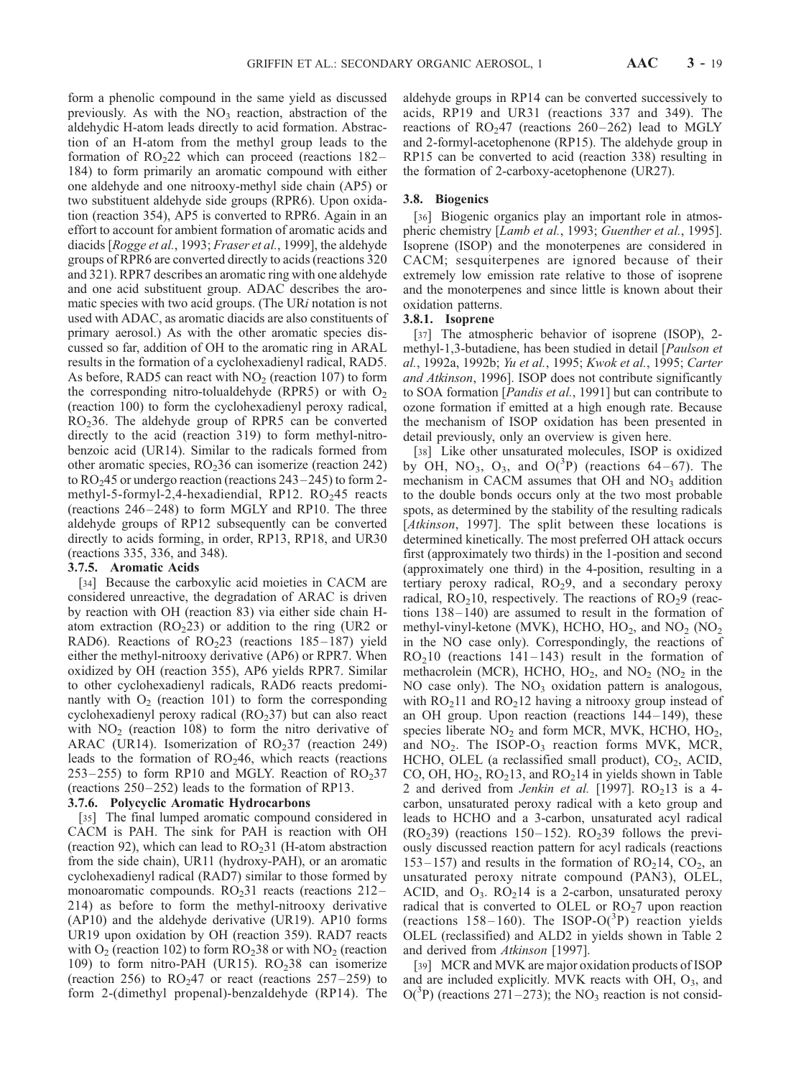form a phenolic compound in the same yield as discussed previously. As with the  $NO<sub>3</sub>$  reaction, abstraction of the aldehydic H-atom leads directly to acid formation. Abstraction of an H-atom from the methyl group leads to the formation of  $RO<sub>2</sub>22$  which can proceed (reactions 182– 184) to form primarily an aromatic compound with either one aldehyde and one nitrooxy-methyl side chain (AP5) or two substituent aldehyde side groups (RPR6). Upon oxidation (reaction 354), AP5 is converted to RPR6. Again in an effort to account for ambient formation of aromatic acids and diacids [Rogge et al., 1993; Fraser et al., 1999], the aldehyde groups of RPR6 are converted directly to acids (reactions 320 and 321). RPR7 describes an aromatic ring with one aldehyde and one acid substituent group. ADAC describes the aromatic species with two acid groups. (The URi notation is not used with ADAC, as aromatic diacids are also constituents of primary aerosol.) As with the other aromatic species discussed so far, addition of OH to the aromatic ring in ARAL results in the formation of a cyclohexadienyl radical, RAD5. As before, RAD5 can react with  $NO<sub>2</sub>$  (reaction 107) to form the corresponding nitro-tolualdehyde (RPR5) or with  $O<sub>2</sub>$ (reaction 100) to form the cyclohexadienyl peroxy radical, RO236. The aldehyde group of RPR5 can be converted directly to the acid (reaction 319) to form methyl-nitrobenzoic acid (UR14). Similar to the radicals formed from other aromatic species,  $RO<sub>2</sub>36$  can isomerize (reaction 242) to  $RO<sub>2</sub>45$  or undergo reaction (reactions  $243-245$ ) to form 2methyl-5-formyl-2,4-hexadiendial, RP12.  $RO<sub>2</sub>45$  reacts (reactions  $246 - 248$ ) to form MGLY and RP10. The three aldehyde groups of RP12 subsequently can be converted directly to acids forming, in order, RP13, RP18, and UR30 (reactions 335, 336, and 348).

#### 3.7.5. Aromatic Acids

[34] Because the carboxylic acid moieties in CACM are considered unreactive, the degradation of ARAC is driven by reaction with OH (reaction 83) via either side chain Hatom extraction  $(RO<sub>2</sub>23)$  or addition to the ring (UR2 or RAD6). Reactions of  $RO<sub>2</sub>23$  (reactions 185–187) yield either the methyl-nitrooxy derivative (AP6) or RPR7. When oxidized by OH (reaction 355), AP6 yields RPR7. Similar to other cyclohexadienyl radicals, RAD6 reacts predominantly with  $O<sub>2</sub>$  (reaction 101) to form the corresponding cyclohexadienyl peroxy radical  $(RO<sub>2</sub>37)$  but can also react with  $NO<sub>2</sub>$  (reaction 108) to form the nitro derivative of ARAC (UR14). Isomerization of  $RO<sub>2</sub>37$  (reaction 249) leads to the formation of  $RO<sub>2</sub>46$ , which reacts (reactions 253 – 255) to form RP10 and MGLY. Reaction of  $RO<sub>2</sub>37$ (reactions  $250-252$ ) leads to the formation of RP13.

## 3.7.6. Polycyclic Aromatic Hydrocarbons

[35] The final lumped aromatic compound considered in CACM is PAH. The sink for PAH is reaction with OH (reaction 92), which can lead to  $RO<sub>2</sub>31$  (H-atom abstraction from the side chain), UR11 (hydroxy-PAH), or an aromatic cyclohexadienyl radical (RAD7) similar to those formed by monoaromatic compounds.  $RO<sub>2</sub>31$  reacts (reactions 212– 214) as before to form the methyl-nitrooxy derivative (AP10) and the aldehyde derivative (UR19). AP10 forms UR19 upon oxidation by OH (reaction 359). RAD7 reacts with  $O<sub>2</sub>$  (reaction 102) to form RO<sub>2</sub>38 or with NO<sub>2</sub> (reaction 109) to form nitro-PAH (UR15).  $RO<sub>2</sub>38$  can isomerize (reaction 256) to  $RO<sub>2</sub>47$  or react (reactions 257–259) to form 2-(dimethyl propenal)-benzaldehyde (RP14). The aldehyde groups in RP14 can be converted successively to acids, RP19 and UR31 (reactions 337 and 349). The reactions of  $RO<sub>2</sub>47$  (reactions 260–262) lead to MGLY and 2-formyl-acetophenone (RP15). The aldehyde group in RP15 can be converted to acid (reaction 338) resulting in the formation of 2-carboxy-acetophenone (UR27).

## 3.8. Biogenics

[36] Biogenic organics play an important role in atmospheric chemistry [Lamb et al., 1993; Guenther et al., 1995]. Isoprene (ISOP) and the monoterpenes are considered in CACM; sesquiterpenes are ignored because of their extremely low emission rate relative to those of isoprene and the monoterpenes and since little is known about their oxidation patterns.

#### 3.8.1. Isoprene

[37] The atmospheric behavior of isoprene (ISOP), 2methyl-1,3-butadiene, has been studied in detail [Paulson et al., 1992a, 1992b; Yu et al., 1995; Kwok et al., 1995; Carter and Atkinson, 1996]. ISOP does not contribute significantly to SOA formation [Pandis et al., 1991] but can contribute to ozone formation if emitted at a high enough rate. Because the mechanism of ISOP oxidation has been presented in detail previously, only an overview is given here.

[38] Like other unsaturated molecules, ISOP is oxidized by OH, NO<sub>3</sub>, O<sub>3</sub>, and O(<sup>3</sup>P) (reactions 64–67). The mechanism in CACM assumes that  $OH$  and  $NO<sub>3</sub>$  addition to the double bonds occurs only at the two most probable spots, as determined by the stability of the resulting radicals [Atkinson, 1997]. The split between these locations is determined kinetically. The most preferred OH attack occurs first (approximately two thirds) in the 1-position and second (approximately one third) in the 4-position, resulting in a tertiary peroxy radical,  $RO<sub>2</sub>9$ , and a secondary peroxy radical,  $RO<sub>2</sub>10$ , respectively. The reactions of  $RO<sub>2</sub>9$  (reactions 138– 140) are assumed to result in the formation of methyl-vinyl-ketone (MVK), HCHO,  $HO_2$ , and  $NO_2$  (NO<sub>2</sub> in the NO case only). Correspondingly, the reactions of  $RO<sub>2</sub>10$  (reactions 141–143) result in the formation of methacrolein (MCR), HCHO,  $HO_2$ , and  $NO_2$  (NO<sub>2</sub> in the NO case only). The  $NO<sub>3</sub>$  oxidation pattern is analogous, with  $RO<sub>2</sub>11$  and  $RO<sub>2</sub>12$  having a nitrooxy group instead of an OH group. Upon reaction (reactions 144– 149), these species liberate  $NO<sub>2</sub>$  and form MCR, MVK, HCHO, HO<sub>2</sub>, and  $NO<sub>2</sub>$ . The ISOP- $O<sub>3</sub>$  reaction forms MVK, MCR, HCHO, OLEL (a reclassified small product),  $CO<sub>2</sub>$ , ACID, CO, OH,  $HO_2$ ,  $RO_213$ , and  $RO_214$  in yields shown in Table 2 and derived from *Jenkin et al.* [1997].  $RO<sub>2</sub>13$  is a 4carbon, unsaturated peroxy radical with a keto group and leads to HCHO and a 3-carbon, unsaturated acyl radical  $(RO<sub>2</sub>39)$  (reactions 150–152). RO<sub>2</sub>39 follows the previously discussed reaction pattern for acyl radicals (reactions  $153-157$ ) and results in the formation of RO<sub>2</sub>14, CO<sub>2</sub>, an unsaturated peroxy nitrate compound (PAN3), OLEL, ACID, and  $O_3$ .  $RO<sub>2</sub>14$  is a 2-carbon, unsaturated peroxy radical that is converted to OLEL or  $RO<sub>2</sub>$  upon reaction (reactions 158-160). The ISOP-O( ${}^{3}P$ ) reaction yields OLEL (reclassified) and ALD2 in yields shown in Table 2 and derived from Atkinson [1997].

[39] MCR and MVK are major oxidation products of ISOP and are included explicitly. MVK reacts with  $OH$ ,  $O<sub>3</sub>$ , and  $O(^3P)$  (reactions 271–273); the NO<sub>3</sub> reaction is not consid-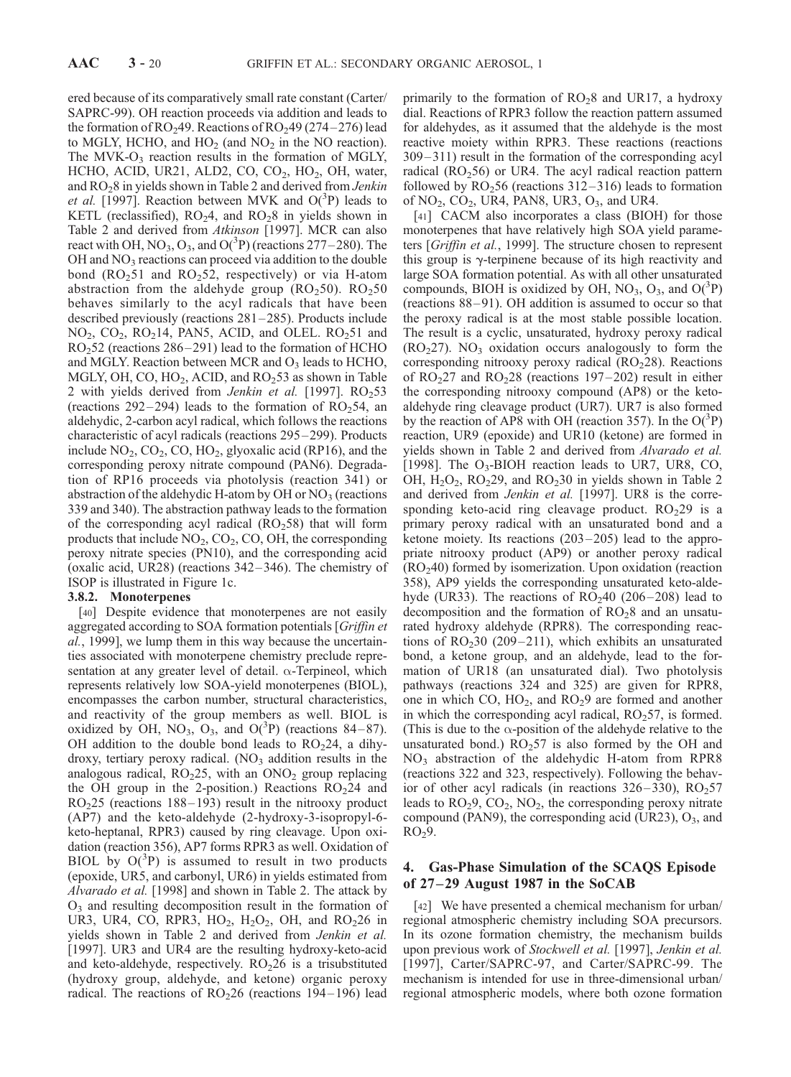ered because of its comparatively small rate constant (Carter/ SAPRC-99). OH reaction proceeds via addition and leads to the formation of  $RO<sub>2</sub>49$ . Reactions of  $RO<sub>2</sub>49$  (274–276) lead to MGLY, HCHO, and  $HO_2$  (and  $NO_2$  in the NO reaction). The MVK- $O_3$  reaction results in the formation of MGLY, HCHO, ACID, UR21, ALD2, CO, CO<sub>2</sub>, HO<sub>2</sub>, OH, water, and RO<sub>2</sub>8 in yields shown in Table 2 and derived from Jenkin et al. [1997]. Reaction between MVK and  $O(^3P)$  leads to KETL (reclassified),  $RO<sub>2</sub>4$ , and  $RO<sub>2</sub>8$  in yields shown in Table 2 and derived from Atkinson [1997]. MCR can also react with OH, NO<sub>3</sub>, O<sub>3</sub>, and O(<sup>3</sup>P) (reactions 277–280). The OH and  $NO<sub>3</sub>$  reactions can proceed via addition to the double bond ( $RO<sub>2</sub>51$  and  $RO<sub>2</sub>52$ , respectively) or via H-atom abstraction from the aldehyde group  $(RO<sub>2</sub>50)$ .  $RO<sub>2</sub>50$ behaves similarly to the acyl radicals that have been described previously (reactions  $281-285$ ). Products include  $NO<sub>2</sub>, CO<sub>2</sub>, RO<sub>2</sub>14, PAN5, ACID, and OLEL. RO<sub>2</sub>51 and$  $RO<sub>2</sub>52$  (reactions 286–291) lead to the formation of HCHO and MGLY. Reaction between MCR and  $O<sub>3</sub>$  leads to HCHO, MGLY, OH, CO,  $HO<sub>2</sub>$ , ACID, and RO $<sub>2</sub>53$  as shown in Table</sub> 2 with yields derived from Jenkin et al. [1997].  $RO<sub>2</sub>53$ (reactions 292-294) leads to the formation of  $RO<sub>2</sub>54$ , an aldehydic, 2-carbon acyl radical, which follows the reactions characteristic of acyl radicals (reactions 295 –299). Products include  $NO_2$ ,  $CO_2$ ,  $CO$ ,  $HO_2$ , glyoxalic acid (RP16), and the corresponding peroxy nitrate compound (PAN6). Degradation of RP16 proceeds via photolysis (reaction 341) or abstraction of the aldehydic H-atom by OH or  $NO<sub>3</sub>$  (reactions 339 and 340). The abstraction pathway leads to the formation of the corresponding acyl radical  $(RO<sub>2</sub>58)$  that will form products that include  $NO_2$ ,  $CO_2$ ,  $CO$ ,  $OH$ , the corresponding peroxy nitrate species (PN10), and the corresponding acid (oxalic acid, UR28) (reactions 342 – 346). The chemistry of ISOP is illustrated in Figure 1c.

## 3.8.2. Monoterpenes

[40] Despite evidence that monoterpenes are not easily aggregated according to SOA formation potentials [Griffin et al., 1999], we lump them in this way because the uncertainties associated with monoterpene chemistry preclude representation at any greater level of detail.  $\alpha$ -Terpineol, which represents relatively low SOA-yield monoterpenes (BIOL), encompasses the carbon number, structural characteristics, and reactivity of the group members as well. BIOL is oxidized by OH,  $NO_3$ ,  $O_3$ , and  $O(^3P)$  (reactions 84–87). OH addition to the double bond leads to  $RO<sub>2</sub>24$ , a dihydroxy, tertiary peroxy radical.  $(NO<sub>3</sub>$  addition results in the analogous radical,  $RO<sub>2</sub>25$ , with an  $ONO<sub>2</sub>$  group replacing the OH group in the 2-position.) Reactions  $RO<sub>2</sub>24$  and  $RO<sub>2</sub>25$  (reactions 188–193) result in the nitrooxy product (AP7) and the keto-aldehyde (2-hydroxy-3-isopropyl-6 keto-heptanal, RPR3) caused by ring cleavage. Upon oxidation (reaction 356), AP7 forms RPR3 as well. Oxidation of BIOL by  $O(^3P)$  is assumed to result in two products (epoxide, UR5, and carbonyl, UR6) in yields estimated from Alvarado et al. [1998] and shown in Table 2. The attack by  $O<sub>3</sub>$  and resulting decomposition result in the formation of UR3, UR4, CO, RPR3, HO<sub>2</sub>, H<sub>2</sub>O<sub>2</sub>, OH, and RO<sub>2</sub>26 in yields shown in Table 2 and derived from Jenkin et al. [1997]. UR3 and UR4 are the resulting hydroxy-keto-acid and keto-aldehyde, respectively.  $RO<sub>2</sub>26$  is a trisubstituted (hydroxy group, aldehyde, and ketone) organic peroxy radical. The reactions of  $RO<sub>2</sub>26$  (reactions 194–196) lead

primarily to the formation of  $RO<sub>2</sub>8$  and UR17, a hydroxy dial. Reactions of RPR3 follow the reaction pattern assumed for aldehydes, as it assumed that the aldehyde is the most reactive moiety within RPR3. These reactions (reactions 309– 311) result in the formation of the corresponding acyl radical  $(RO<sub>2</sub>56)$  or UR4. The acyl radical reaction pattern followed by  $RO<sub>2</sub>56$  (reactions 312–316) leads to formation of  $NO<sub>2</sub>$ ,  $CO<sub>2</sub>$ , UR4, PAN8, UR3,  $O<sub>3</sub>$ , and UR4.

[41] CACM also incorporates a class (BIOH) for those monoterpenes that have relatively high SOA yield parameters [Griffin et al., 1999]. The structure chosen to represent this group is  $\gamma$ -terpinene because of its high reactivity and large SOA formation potential. As with all other unsaturated compounds, BIOH is oxidized by OH, NO<sub>3</sub>, O<sub>3</sub>, and O( $^{3}P$ ) (reactions 88-91). OH addition is assumed to occur so that the peroxy radical is at the most stable possible location. The result is a cyclic, unsaturated, hydroxy peroxy radical  $(RO<sub>2</sub>27)$ . NO<sub>3</sub> oxidation occurs analogously to form the corresponding nitrooxy peroxy radical  $(RO<sub>2</sub>28)$ . Reactions of  $RO<sub>2</sub>27$  and  $RO<sub>2</sub>28$  (reactions 197–202) result in either the corresponding nitrooxy compound (AP8) or the ketoaldehyde ring cleavage product (UR7). UR7 is also formed by the reaction of AP8 with OH (reaction 357). In the  $O(^3P)$ reaction, UR9 (epoxide) and UR10 (ketone) are formed in yields shown in Table 2 and derived from Alvarado et al. [1998]. The  $O_3$ -BIOH reaction leads to UR7, UR8, CO, OH,  $H_2O_2$ , RO<sub>2</sub>29, and RO<sub>2</sub>30 in yields shown in Table 2 and derived from *Jenkin et al.* [1997]. UR8 is the corresponding keto-acid ring cleavage product.  $RO<sub>2</sub>29$  is a primary peroxy radical with an unsaturated bond and a ketone moiety. Its reactions  $(203-205)$  lead to the appropriate nitrooxy product (AP9) or another peroxy radical  $(RO<sub>2</sub>40)$  formed by isomerization. Upon oxidation (reaction 358), AP9 yields the corresponding unsaturated keto-aldehyde (UR33). The reactions of  $RO<sub>2</sub>40$  (206–208) lead to decomposition and the formation of  $RO<sub>2</sub>8$  and an unsaturated hydroxy aldehyde (RPR8). The corresponding reactions of  $RO<sub>2</sub>30$  (209–211), which exhibits an unsaturated bond, a ketone group, and an aldehyde, lead to the formation of UR18 (an unsaturated dial). Two photolysis pathways (reactions 324 and 325) are given for RPR8, one in which CO,  $HO_2$ , and  $RO_2$ 9 are formed and another in which the corresponding acyl radical,  $RO<sub>2</sub>57$ , is formed. (This is due to the  $\alpha$ -position of the aldehyde relative to the unsaturated bond.)  $RO<sub>2</sub>57$  is also formed by the OH and  $NO<sub>3</sub>$  abstraction of the aldehydic H-atom from RPR8 (reactions 322 and 323, respectively). Following the behavior of other acyl radicals (in reactions  $326-330$ ), RO<sub>2</sub>57 leads to  $RO<sub>2</sub>9$ ,  $CO<sub>2</sub>$ ,  $NO<sub>2</sub>$ , the corresponding peroxy nitrate compound (PAN9), the corresponding acid (UR23),  $O_3$ , and  $RO<sub>2</sub>9$ .

## 4. Gas-Phase Simulation of the SCAQS Episode of 27–29 August 1987 in the SoCAB

[42] We have presented a chemical mechanism for urban/ regional atmospheric chemistry including SOA precursors. In its ozone formation chemistry, the mechanism builds upon previous work of Stockwell et al. [1997], Jenkin et al. [1997], Carter/SAPRC-97, and Carter/SAPRC-99. The mechanism is intended for use in three-dimensional urban/ regional atmospheric models, where both ozone formation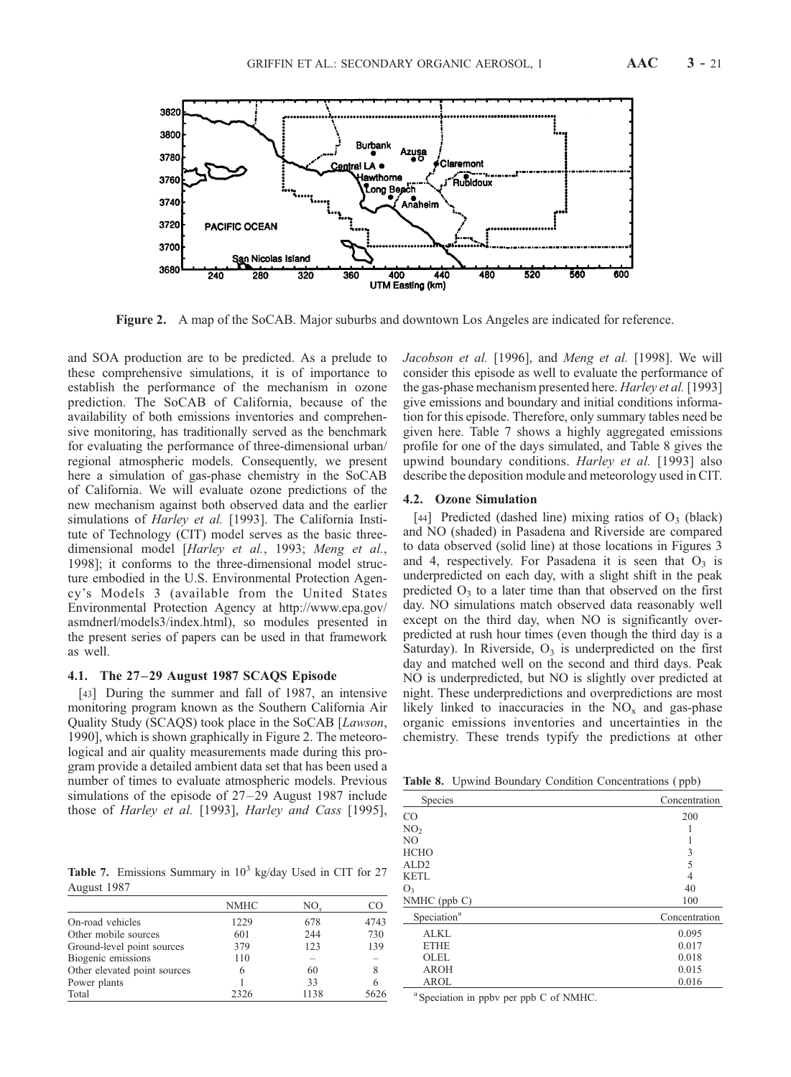

Figure 2. A map of the SoCAB. Major suburbs and downtown Los Angeles are indicated for reference.

and SOA production are to be predicted. As a prelude to these comprehensive simulations, it is of importance to establish the performance of the mechanism in ozone prediction. The SoCAB of California, because of the availability of both emissions inventories and comprehensive monitoring, has traditionally served as the benchmark for evaluating the performance of three-dimensional urban/ regional atmospheric models. Consequently, we present here a simulation of gas-phase chemistry in the SoCAB of California. We will evaluate ozone predictions of the new mechanism against both observed data and the earlier simulations of *Harley et al.* [1993]. The California Institute of Technology (CIT) model serves as the basic threedimensional model [Harley et al., 1993; Meng et al., 1998]; it conforms to the three-dimensional model structure embodied in the U.S. Environmental Protection Agency's Models 3 (available from the United States Environmental Protection Agency at http://www.epa.gov/ asmdnerl/models3/index.html), so modules presented in the present series of papers can be used in that framework as well.

## 4.1. The 27 –29 August 1987 SCAQS Episode

[43] During the summer and fall of 1987, an intensive monitoring program known as the Southern California Air Quality Study (SCAQS) took place in the SoCAB [Lawson, 1990], which is shown graphically in Figure 2. The meteorological and air quality measurements made during this program provide a detailed ambient data set that has been used a number of times to evaluate atmospheric models. Previous simulations of the episode of  $27-29$  August 1987 include those of Harley et al. [1993], Harley and Cass [1995],

**Table 7.** Emissions Summary in  $10^3$  kg/day Used in CIT for 27 August 1987

|                              | <b>NMHC</b> | $NO_{r}$ |      |
|------------------------------|-------------|----------|------|
| On-road vehicles             | 1229        | 678      | 4743 |
| Other mobile sources         | 601         | 244      | 730  |
| Ground-level point sources   | 379         | 123      | 139  |
| Biogenic emissions           | 110         | -        |      |
| Other elevated point sources | 6           | 60       | 8    |
| Power plants                 |             | 33       |      |
| Total                        | 2326        | 1138     | 5626 |

Jacobson et al. [1996], and Meng et al. [1998]. We will consider this episode as well to evaluate the performance of the gas-phase mechanism presented here. *Harley et al.* [1993] give emissions and boundary and initial conditions information for this episode. Therefore, only summary tables need be given here. Table 7 shows a highly aggregated emissions profile for one of the days simulated, and Table 8 gives the upwind boundary conditions. Harley et al. [1993] also describe the deposition module and meteorology used in CIT.

## 4.2. Ozone Simulation

[44] Predicted (dashed line) mixing ratios of  $O_3$  (black) and NO (shaded) in Pasadena and Riverside are compared to data observed (solid line) at those locations in Figures 3 and 4, respectively. For Pasadena it is seen that  $O_3$  is underpredicted on each day, with a slight shift in the peak predicted  $O_3$  to a later time than that observed on the first day. NO simulations match observed data reasonably well except on the third day, when NO is significantly overpredicted at rush hour times (even though the third day is a Saturday). In Riverside,  $O_3$  is underpredicted on the first day and matched well on the second and third days. Peak NO is underpredicted, but NO is slightly over predicted at night. These underpredictions and overpredictions are most likely linked to inaccuracies in the  $NO<sub>x</sub>$  and gas-phase organic emissions inventories and uncertainties in the chemistry. These trends typify the predictions at other

Table 8. Unwind Boundary Condition Concentrations (npb)

| Species                 | Concentration |
|-------------------------|---------------|
| $\rm CO$                | 200           |
| NO <sub>2</sub>         |               |
| N <sub>O</sub>          |               |
| <b>HCHO</b>             | 3             |
| ALD <sub>2</sub>        | 5             |
| <b>KETL</b>             | 4             |
| O <sub>3</sub>          | 40            |
| $NMHC$ (ppb $C$ )       | 100           |
| Speciation <sup>a</sup> | Concentration |
| <b>ALKL</b>             | 0.095         |
| <b>ETHE</b>             | 0.017         |
| OLEL                    | 0.018         |
| <b>AROH</b>             | 0.015         |
| AROL                    | 0.016         |

<sup>a</sup> Speciation in ppbv per ppb C of NMHC.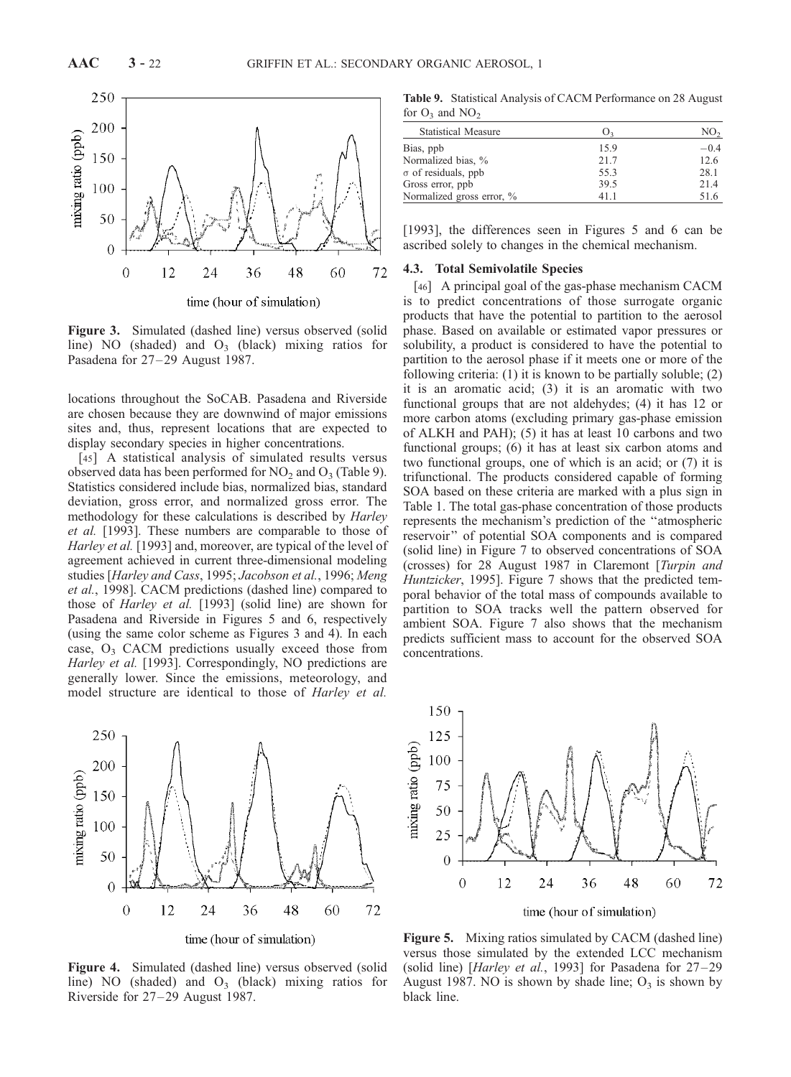

Figure 3. Simulated (dashed line) versus observed (solid line) NO (shaded) and  $O_3$  (black) mixing ratios for Pasadena for 27–29 August 1987.

locations throughout the SoCAB. Pasadena and Riverside are chosen because they are downwind of major emissions sites and, thus, represent locations that are expected to display secondary species in higher concentrations.

[45] A statistical analysis of simulated results versus observed data has been performed for  $NO<sub>2</sub>$  and  $O<sub>3</sub>$  (Table 9). Statistics considered include bias, normalized bias, standard deviation, gross error, and normalized gross error. The methodology for these calculations is described by Harley et al. [1993]. These numbers are comparable to those of Harley et al. [1993] and, moreover, are typical of the level of agreement achieved in current three-dimensional modeling studies [Harley and Cass, 1995; Jacobson et al., 1996; Meng et al., 1998]. CACM predictions (dashed line) compared to those of Harley et al. [1993] (solid line) are shown for Pasadena and Riverside in Figures 5 and 6, respectively (using the same color scheme as Figures 3 and 4). In each case,  $O_3$  CACM predictions usually exceed those from Harley et al. [1993]. Correspondingly, NO predictions are generally lower. Since the emissions, meteorology, and model structure are identical to those of Harley et al.



time (hour of simulation)

Figure 4. Simulated (dashed line) versus observed (solid line) NO (shaded) and  $O_3$  (black) mixing ratios for Riverside for 27–29 August 1987.

Table 9. Statistical Analysis of CACM Performance on 28 August for  $O_3$  and  $NO_2$ 

| <b>Statistical Measure</b> | O <sub>3</sub> | NO <sub>2</sub> |
|----------------------------|----------------|-----------------|
| Bias, ppb                  | 15.9           | $-0.4$          |
| Normalized bias, %         | 21.7           | 12.6            |
| $\sigma$ of residuals, ppb | 55.3           | 28.1            |
| Gross error, ppb           | 39.5           | 21.4            |
| Normalized gross error, %  | 41.1           | 51.6            |
|                            |                |                 |

[1993], the differences seen in Figures 5 and 6 can be ascribed solely to changes in the chemical mechanism.

## 4.3. Total Semivolatile Species

[46] A principal goal of the gas-phase mechanism CACM is to predict concentrations of those surrogate organic products that have the potential to partition to the aerosol phase. Based on available or estimated vapor pressures or solubility, a product is considered to have the potential to partition to the aerosol phase if it meets one or more of the following criteria: (1) it is known to be partially soluble; (2) it is an aromatic acid; (3) it is an aromatic with two functional groups that are not aldehydes; (4) it has 12 or more carbon atoms (excluding primary gas-phase emission of ALKH and PAH); (5) it has at least 10 carbons and two functional groups; (6) it has at least six carbon atoms and two functional groups, one of which is an acid; or (7) it is trifunctional. The products considered capable of forming SOA based on these criteria are marked with a plus sign in Table 1. The total gas-phase concentration of those products represents the mechanism's prediction of the ''atmospheric reservoir'' of potential SOA components and is compared (solid line) in Figure 7 to observed concentrations of SOA (crosses) for 28 August 1987 in Claremont [Turpin and Huntzicker, 1995]. Figure 7 shows that the predicted temporal behavior of the total mass of compounds available to partition to SOA tracks well the pattern observed for ambient SOA. Figure 7 also shows that the mechanism predicts sufficient mass to account for the observed SOA concentrations.



Figure 5. Mixing ratios simulated by CACM (dashed line) versus those simulated by the extended LCC mechanism (solid line) [Harley et al., 1993] for Pasadena for  $27-29$ August 1987. NO is shown by shade line;  $O_3$  is shown by black line.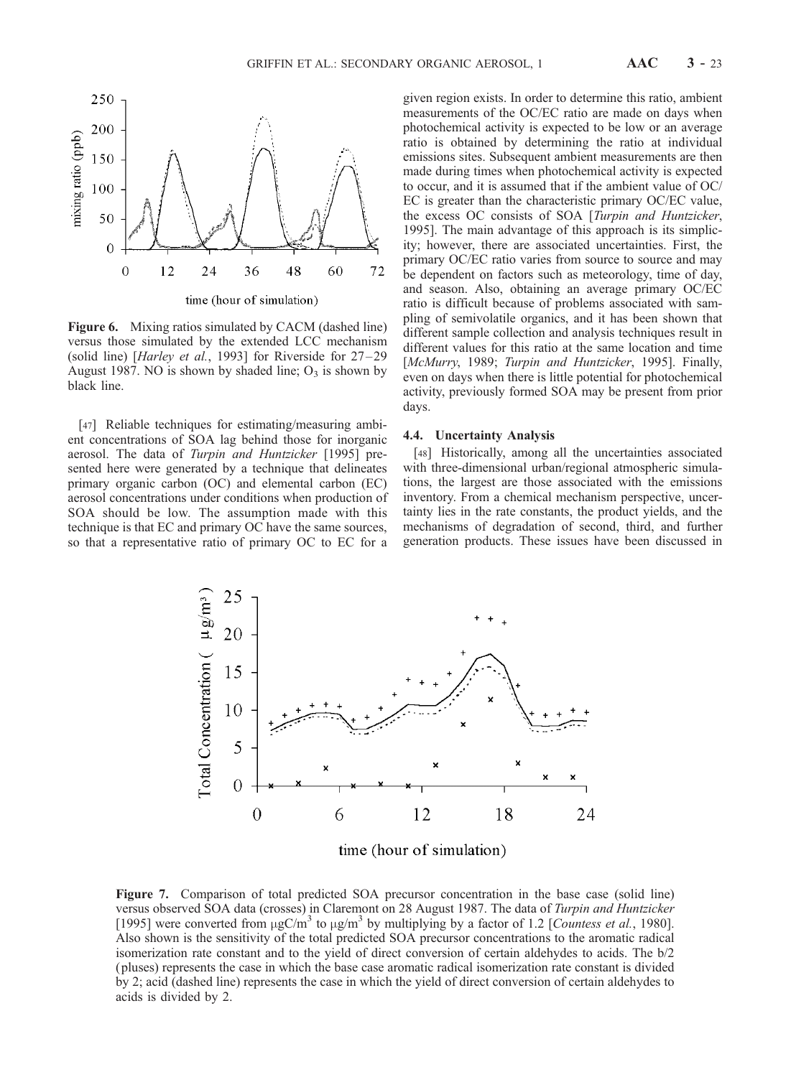

Figure 6. Mixing ratios simulated by CACM (dashed line) versus those simulated by the extended LCC mechanism (solid line) [Harley et al., 1993] for Riverside for 27-29 August 1987. NO is shown by shaded line;  $O_3$  is shown by black line.

[47] Reliable techniques for estimating/measuring ambient concentrations of SOA lag behind those for inorganic aerosol. The data of Turpin and Huntzicker [1995] presented here were generated by a technique that delineates primary organic carbon (OC) and elemental carbon (EC) aerosol concentrations under conditions when production of SOA should be low. The assumption made with this technique is that EC and primary OC have the same sources, so that a representative ratio of primary OC to EC for a

given region exists. In order to determine this ratio, ambient measurements of the OC/EC ratio are made on days when photochemical activity is expected to be low or an average ratio is obtained by determining the ratio at individual emissions sites. Subsequent ambient measurements are then made during times when photochemical activity is expected to occur, and it is assumed that if the ambient value of OC/ EC is greater than the characteristic primary OC/EC value, the excess OC consists of SOA [Turpin and Huntzicker, 1995]. The main advantage of this approach is its simplicity; however, there are associated uncertainties. First, the primary OC/EC ratio varies from source to source and may be dependent on factors such as meteorology, time of day, and season. Also, obtaining an average primary OC/EC ratio is difficult because of problems associated with sampling of semivolatile organics, and it has been shown that different sample collection and analysis techniques result in different values for this ratio at the same location and time [McMurry, 1989; Turpin and Huntzicker, 1995]. Finally, even on days when there is little potential for photochemical activity, previously formed SOA may be present from prior days.

#### 4.4. Uncertainty Analysis

[48] Historically, among all the uncertainties associated with three-dimensional urban/regional atmospheric simulations, the largest are those associated with the emissions inventory. From a chemical mechanism perspective, uncertainty lies in the rate constants, the product yields, and the mechanisms of degradation of second, third, and further generation products. These issues have been discussed in



time (hour of simulation)

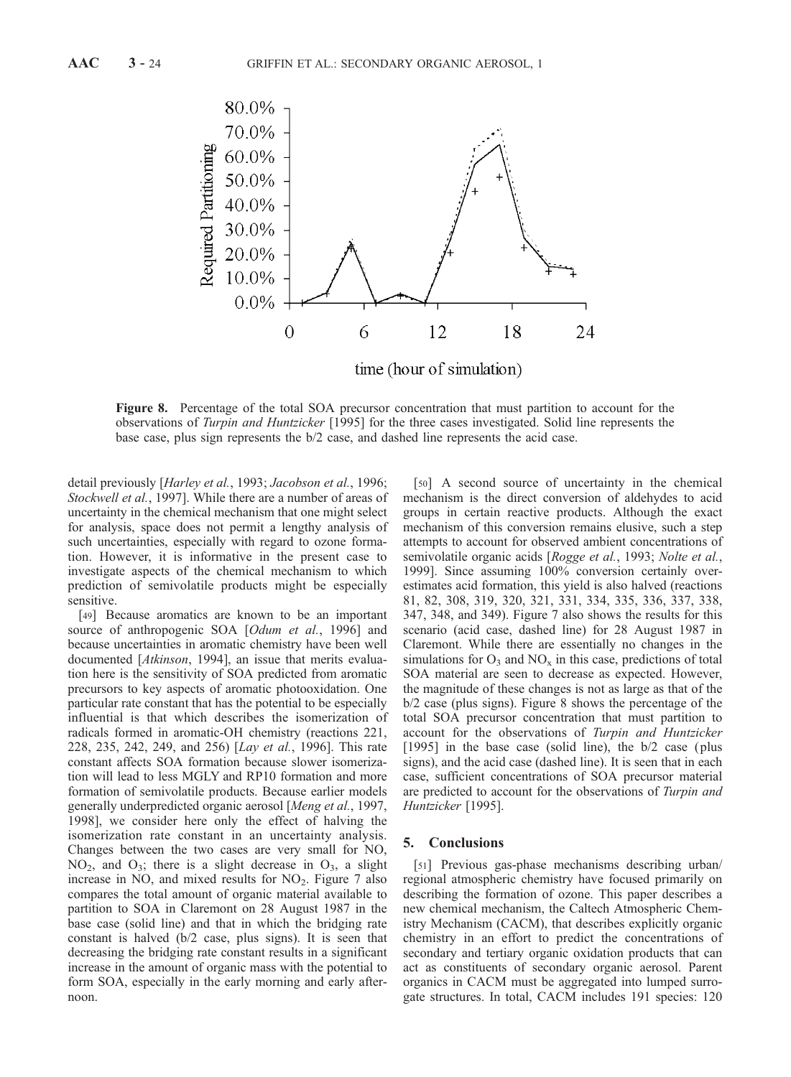

Figure 8. Percentage of the total SOA precursor concentration that must partition to account for the observations of Turpin and Huntzicker [1995] for the three cases investigated. Solid line represents the base case, plus sign represents the b/2 case, and dashed line represents the acid case.

detail previously [Harley et al., 1993; Jacobson et al., 1996; Stockwell et al., 1997]. While there are a number of areas of uncertainty in the chemical mechanism that one might select for analysis, space does not permit a lengthy analysis of such uncertainties, especially with regard to ozone formation. However, it is informative in the present case to investigate aspects of the chemical mechanism to which prediction of semivolatile products might be especially sensitive.

[49] Because aromatics are known to be an important source of anthropogenic SOA [Odum et al., 1996] and because uncertainties in aromatic chemistry have been well documented [Atkinson, 1994], an issue that merits evaluation here is the sensitivity of SOA predicted from aromatic precursors to key aspects of aromatic photooxidation. One particular rate constant that has the potential to be especially influential is that which describes the isomerization of radicals formed in aromatic-OH chemistry (reactions 221, 228, 235, 242, 249, and 256) [Lay et al., 1996]. This rate constant affects SOA formation because slower isomerization will lead to less MGLY and RP10 formation and more formation of semivolatile products. Because earlier models generally underpredicted organic aerosol [Meng et al., 1997, 1998], we consider here only the effect of halving the isomerization rate constant in an uncertainty analysis. Changes between the two cases are very small for NO,  $NO<sub>2</sub>$ , and  $O<sub>3</sub>$ ; there is a slight decrease in  $O<sub>3</sub>$ , a slight increase in NO, and mixed results for  $NO<sub>2</sub>$ . Figure 7 also compares the total amount of organic material available to partition to SOA in Claremont on 28 August 1987 in the base case (solid line) and that in which the bridging rate constant is halved (b/2 case, plus signs). It is seen that decreasing the bridging rate constant results in a significant increase in the amount of organic mass with the potential to form SOA, especially in the early morning and early afternoon.

[50] A second source of uncertainty in the chemical mechanism is the direct conversion of aldehydes to acid groups in certain reactive products. Although the exact mechanism of this conversion remains elusive, such a step attempts to account for observed ambient concentrations of semivolatile organic acids [Rogge et al., 1993; Nolte et al., 1999]. Since assuming 100% conversion certainly overestimates acid formation, this yield is also halved (reactions 81, 82, 308, 319, 320, 321, 331, 334, 335, 336, 337, 338, 347, 348, and 349). Figure 7 also shows the results for this scenario (acid case, dashed line) for 28 August 1987 in Claremont. While there are essentially no changes in the simulations for  $O_3$  and  $NO_x$  in this case, predictions of total SOA material are seen to decrease as expected. However, the magnitude of these changes is not as large as that of the b/2 case (plus signs). Figure 8 shows the percentage of the total SOA precursor concentration that must partition to account for the observations of Turpin and Huntzicker [1995] in the base case (solid line), the b/2 case (plus signs), and the acid case (dashed line). It is seen that in each case, sufficient concentrations of SOA precursor material are predicted to account for the observations of Turpin and Huntzicker [1995].

## 5. Conclusions

[51] Previous gas-phase mechanisms describing urban/ regional atmospheric chemistry have focused primarily on describing the formation of ozone. This paper describes a new chemical mechanism, the Caltech Atmospheric Chemistry Mechanism (CACM), that describes explicitly organic chemistry in an effort to predict the concentrations of secondary and tertiary organic oxidation products that can act as constituents of secondary organic aerosol. Parent organics in CACM must be aggregated into lumped surrogate structures. In total, CACM includes 191 species: 120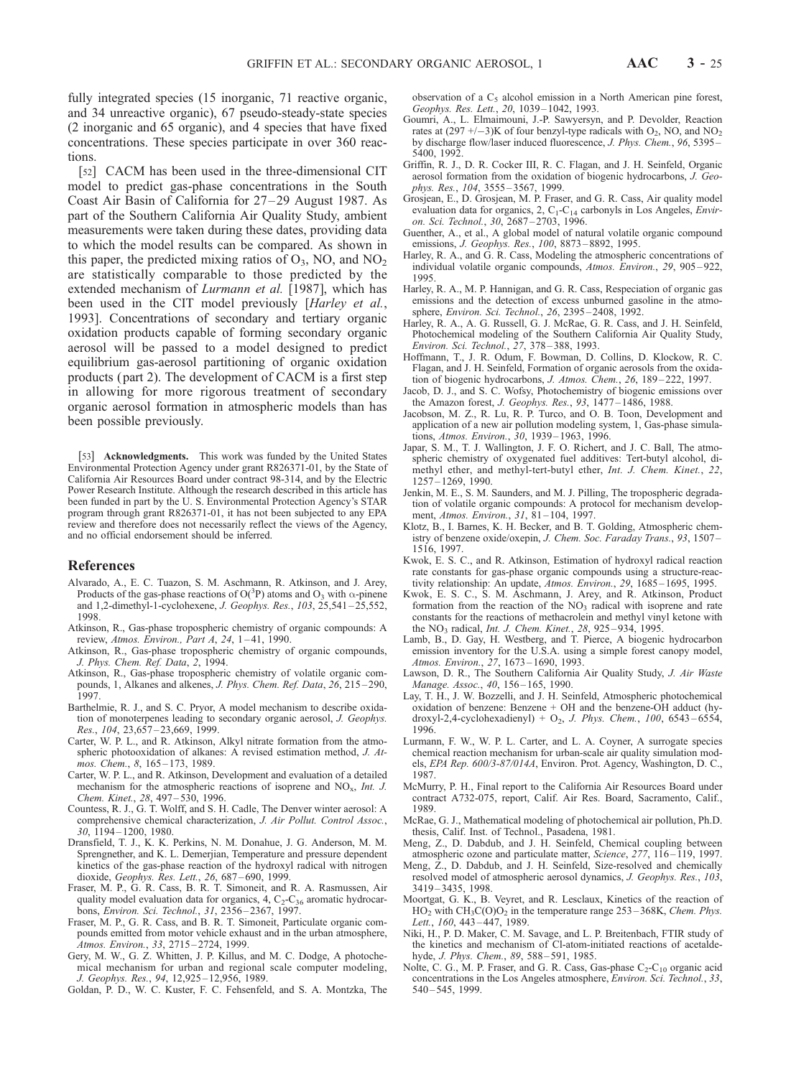fully integrated species (15 inorganic, 71 reactive organic, and 34 unreactive organic), 67 pseudo-steady-state species (2 inorganic and 65 organic), and 4 species that have fixed concentrations. These species participate in over 360 reactions.

[52] CACM has been used in the three-dimensional CIT model to predict gas-phase concentrations in the South Coast Air Basin of California for 27– 29 August 1987. As part of the Southern California Air Quality Study, ambient measurements were taken during these dates, providing data to which the model results can be compared. As shown in this paper, the predicted mixing ratios of  $O_3$ , NO, and NO<sub>2</sub> are statistically comparable to those predicted by the extended mechanism of *Lurmann et al.* [1987], which has been used in the CIT model previously [*Harley et al.*, 1993]. Concentrations of secondary and tertiary organic oxidation products capable of forming secondary organic aerosol will be passed to a model designed to predict equilibrium gas-aerosol partitioning of organic oxidation products ( part 2). The development of CACM is a first step in allowing for more rigorous treatment of secondary organic aerosol formation in atmospheric models than has been possible previously.

[53] **Acknowledgments.** This work was funded by the United States Environmental Protection Agency under grant R826371-01, by the State of California Air Resources Board under contract 98-314, and by the Electric Power Research Institute. Although the research described in this article has been funded in part by the U. S. Environmental Protection Agency's STAR program through grant R826371-01, it has not been subjected to any EPA review and therefore does not necessarily reflect the views of the Agency, and no official endorsement should be inferred.

#### References

- Alvarado, A., E. C. Tuazon, S. M. Aschmann, R. Atkinson, and J. Arey, Products of the gas-phase reactions of O( ${}^{3}P$ ) atoms and O<sub>3</sub> with  $\alpha$ -pinene and 1,2-dimethyl-1-cyclohexene, *J. Geophys. Res.*, 103, 25,541-25,552, 1998.
- Atkinson, R., Gas-phase tropospheric chemistry of organic compounds: A review, Atmos. Environ., Part A, 24,  $1-41$ , 1990.
- Atkinson, R., Gas-phase tropospheric chemistry of organic compounds, J. Phys. Chem. Ref. Data, 2, 1994.
- Atkinson, R., Gas-phase tropospheric chemistry of volatile organic compounds, 1, Alkanes and alkenes, J. Phys. Chem. Ref. Data, 26, 215-290, 1997.
- Barthelmie, R. J., and S. C. Pryor, A model mechanism to describe oxidation of monoterpenes leading to secondary organic aerosol, J. Geophys. Res., 104, 23,657 – 23,669, 1999.
- Carter, W. P. L., and R. Atkinson, Alkyl nitrate formation from the atmospheric photooxidation of alkanes: A revised estimation method, J. Atmos. Chem., 8, 165-173, 1989.
- Carter, W. P. L., and R. Atkinson, Development and evaluation of a detailed mechanism for the atmospheric reactions of isoprene and  $NO<sub>x</sub>$ , Int. J. Chem. Kinet., 28, 497-530, 1996.
- Countess, R. J., G. T. Wolff, and S. H. Cadle, The Denver winter aerosol: A comprehensive chemical characterization, J. Air Pollut. Control Assoc., 30, 1194 – 1200, 1980.
- Dransfield, T. J., K. K. Perkins, N. M. Donahue, J. G. Anderson, M. M. Sprengnether, and K. L. Demerjian, Temperature and pressure dependent kinetics of the gas-phase reaction of the hydroxyl radical with nitrogen dioxide, Geophys. Res. Lett., 26, 687 – 690, 1999.
- Fraser, M. P., G. R. Cass, B. R. T. Simoneit, and R. A. Rasmussen, Air quality model evaluation data for organics,  $4, C_2-C_{36}$  aromatic hydrocarbons, Environ. Sci. Technol., 31, 2356 – 2367, 1997.
- Fraser, M. P., G. R. Cass, and B. R. T. Simoneit, Particulate organic compounds emitted from motor vehicle exhaust and in the urban atmosphere, Atmos. Environ., 33, 2715 – 2724, 1999.
- Gery, M. W., G. Z. Whitten, J. P. Killus, and M. C. Dodge, A photochemical mechanism for urban and regional scale computer modeling, J. Geophys. Res., 94, 12,925 – 12,956, 1989.
- Goldan, P. D., W. C. Kuster, F. C. Fehsenfeld, and S. A. Montzka, The

observation of a  $C_5$  alcohol emission in a North American pine forest, Geophys. Res. Lett., 20, 1039-1042, 1993.

- Goumri, A., L. Elmaimouni, J.-P. Sawyersyn, and P. Devolder, Reaction rates at  $(297 +/-3)$ K of four benzyl-type radicals with O<sub>2</sub>, NO, and NO<sub>2</sub> by discharge flow/laser induced fluorescence, J. Phys. Chem., 96, 5395 – 5400, 1992.
- Griffin, R. J., D. R. Cocker III, R. C. Flagan, and J. H. Seinfeld, Organic aerosol formation from the oxidation of biogenic hydrocarbons, J. Geophys. Res., 104, 3555-3567, 1999.
- Grosjean, E., D. Grosjean, M. P. Fraser, and G. R. Cass, Air quality model evaluation data for organics,  $2$ ,  $C_1$ - $C_{14}$  carbonyls in Los Angeles, *Envir-*<br>*on. Sci. Technol.*,  $30$ ,  $2687 - 2703$ , 1996.
- Guenther, A., et al., A global model of natural volatile organic compound emissions, J. Geophys. Res., 100, 8873 – 8892, 1995.
- Harley, R. A., and G. R. Cass, Modeling the atmospheric concentrations of individual volatile organic compounds, Atmos. Environ., 29, 905 – 922, 1995.
- Harley, R. A., M. P. Hannigan, and G. R. Cass, Respeciation of organic gas emissions and the detection of excess unburned gasoline in the atmosphere, Environ. Sci. Technol., 26, 2395 – 2408, 1992.
- Harley, R. A., A. G. Russell, G. J. McRae, G. R. Cass, and J. H. Seinfeld, Photochemical modeling of the Southern California Air Quality Study, Environ. Sci. Technol., 27, 378 – 388, 1993.
- Hoffmann, T., J. R. Odum, F. Bowman, D. Collins, D. Klockow, R. C. Flagan, and J. H. Seinfeld, Formation of organic aerosols from the oxidation of biogenic hydrocarbons, J. Atmos. Chem., 26, 189 – 222, 1997.
- Jacob, D. J., and S. C. Wofsy, Photochemistry of biogenic emissions over the Amazon forest, J. Geophys. Res., 93, 1477 – 1486, 1988.
- Jacobson, M. Z., R. Lu, R. P. Turco, and O. B. Toon, Development and application of a new air pollution modeling system, 1, Gas-phase simulations, Atmos. Environ., 30, 1939 – 1963, 1996.
- Japar, S. M., T. J. Wallington, J. F. O. Richert, and J. C. Ball, The atmospheric chemistry of oxygenated fuel additives: Tert-butyl alcohol, dimethyl ether, and methyl-tert-butyl ether, Int. J. Chem. Kinet., 22, 1257 – 1269, 1990.
- Jenkin, M. E., S. M. Saunders, and M. J. Pilling, The tropospheric degradation of volatile organic compounds: A protocol for mechanism development, Atmos. Environ., 31, 81-104, 1997.
- Klotz, B., I. Barnes, K. H. Becker, and B. T. Golding, Atmospheric chemistry of benzene oxide/oxepin, J. Chem. Soc. Faraday Trans., 93, 1507-1516, 1997.
- Kwok, E. S. C., and R. Atkinson, Estimation of hydroxyl radical reaction rate constants for gas-phase organic compounds using a structure-reactivity relationship: An update, Atmos. Environ., 29, 1685-1695, 1995.
- Kwok, E. S. C., S. M. Aschmann, J. Arey, and R. Atkinson, Product formation from the reaction of the  $NO<sub>3</sub>$  radical with isoprene and rate constants for the reactions of methacrolein and methyl vinyl ketone with the NO<sub>3</sub> radical, *Int. J. Chem. Kinet.*, 28, 925-934, 1995.
- Lamb, B., D. Gay, H. Westberg, and T. Pierce, A biogenic hydrocarbon emission inventory for the U.S.A. using a simple forest canopy model, Atmos. Environ., 27, 1673 – 1690, 1993.
- Lawson, D. R., The Southern California Air Quality Study, J. Air Waste Manage. Assoc., 40, 156-165, 1990.
- Lay, T. H., J. W. Bozzelli, and J. H. Seinfeld, Atmospheric photochemical oxidation of benzene: Benzene + OH and the benzene-OH adduct (hydroxyl-2,4-cyclohexadienyl) +  $O_2$ , *J. Phys. Chem.*, 100, 6543-6554, 1996.
- Lurmann, F. W., W. P. L. Carter, and L. A. Coyner, A surrogate species chemical reaction mechanism for urban-scale air quality simulation models, EPA Rep. 600/3-87/014A, Environ. Prot. Agency, Washington, D. C., 1987.
- McMurry, P. H., Final report to the California Air Resources Board under contract A732-075, report, Calif. Air Res. Board, Sacramento, Calif., 1989.
- McRae, G. J., Mathematical modeling of photochemical air pollution, Ph.D. thesis, Calif. Inst. of Technol., Pasadena, 1981.
- Meng, Z., D. Dabdub, and J. H. Seinfeld, Chemical coupling between atmospheric ozone and particulate matter, Science, 277, 116 – 119, 1997.
- Meng,  $Z_n$ , D. Dabdub, and J. H. Seinfeld, Size-resolved and chemically resolved model of atmospheric aerosol dynamics, J. Geophys. Res., 103, 3419 – 3435, 1998.
- Moortgat, G. K., B. Veyret, and R. Lesclaux, Kinetics of the reaction of  $HO_2$  with  $CH_3C(O)O_2$  in the temperature range 253–368K, Chem. Phys. Lett., 160, 443-447, 1989.
- Niki, H., P. D. Maker, C. M. Savage, and L. P. Breitenbach, FTIR study of the kinetics and mechanism of Cl-atom-initiated reactions of acetaldehyde, J. Phys. Chem., 89, 588-591, 1985.
- Nolte, C. G., M. P. Fraser, and G. R. Cass, Gas-phase  $C_2$ - $C_{10}$  organic acid concentrations in the Los Angeles atmosphere, Environ. Sci. Technol., 33, 540 – 545, 1999.